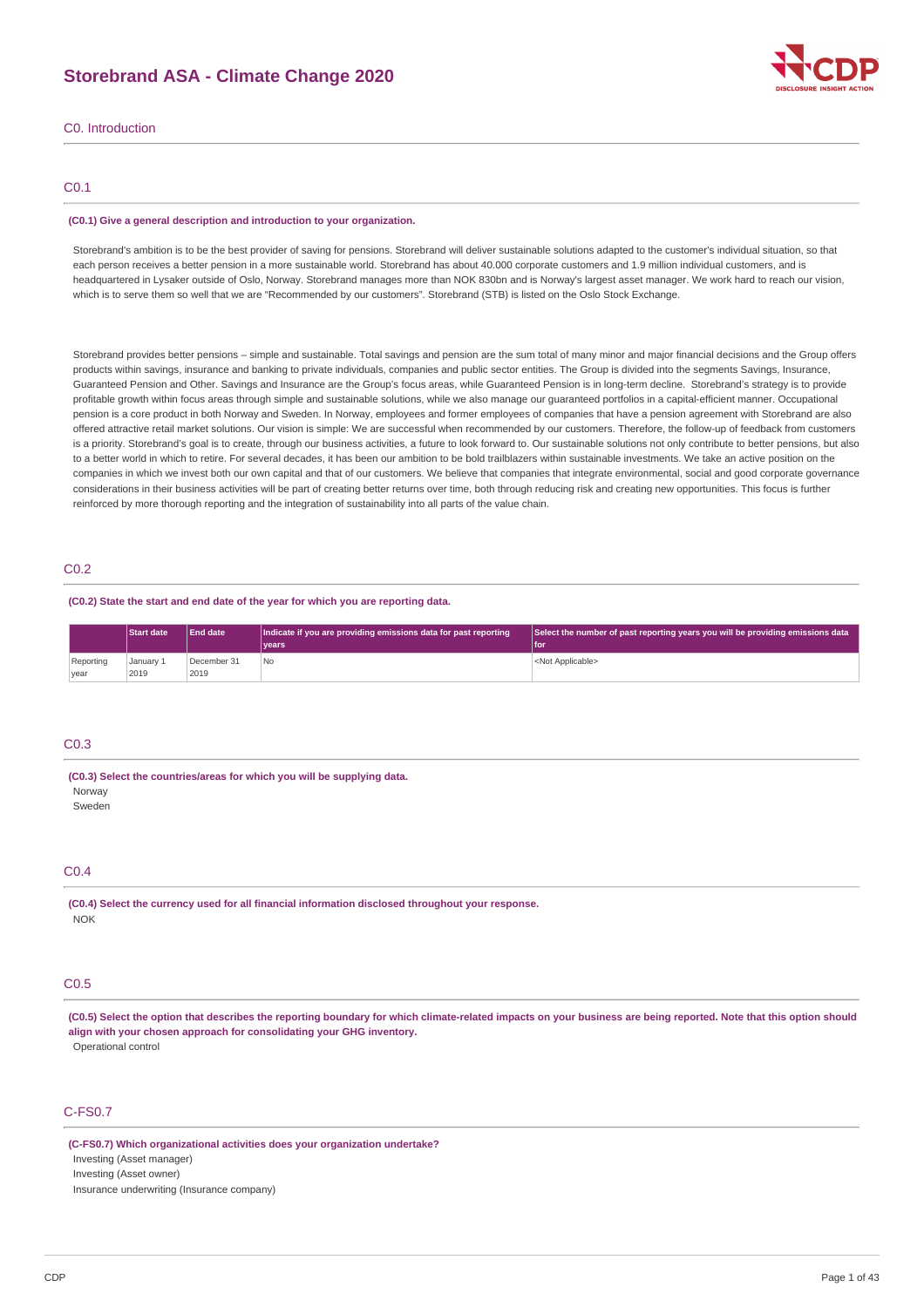# **Storebrand ASA - Climate Change 2020**



C0. Introduction

### C0.1

#### **(C0.1) Give a general description and introduction to your organization.**

Storebrand's ambition is to be the best provider of saving for pensions. Storebrand will deliver sustainable solutions adapted to the customer's individual situation, so that each person receives a better pension in a more sustainable world. Storebrand has about 40.000 corporate customers and 1.9 million individual customers, and is headquartered in Lysaker outside of Oslo, Norway. Storebrand manages more than NOK 830bn and is Norway's largest asset manager. We work hard to reach our vision, which is to serve them so well that we are "Recommended by our customers". Storebrand (STB) is listed on the Oslo Stock Exchange.

Storebrand provides better pensions – simple and sustainable. Total savings and pension are the sum total of many minor and major financial decisions and the Group offers products within savings, insurance and banking to private individuals, companies and public sector entities. The Group is divided into the segments Savings, Insurance, Guaranteed Pension and Other. Savings and Insurance are the Group's focus areas, while Guaranteed Pension is in long-term decline. Storebrand's strategy is to provide profitable growth within focus areas through simple and sustainable solutions, while we also manage our guaranteed portfolios in a capital-efficient manner. Occupational pension is a core product in both Norway and Sweden. In Norway, employees and former employees of companies that have a pension agreement with Storebrand are also offered attractive retail market solutions. Our vision is simple: We are successful when recommended by our customers. Therefore, the follow-up of feedback from customers is a priority. Storebrand's goal is to create, through our business activities, a future to look forward to. Our sustainable solutions not only contribute to better pensions, but also to a better world in which to retire. For several decades, it has been our ambition to be bold trailblazers within sustainable investments. We take an active nosition on the companies in which we invest both our own capital and that of our customers. We believe that companies that integrate environmental, social and good corporate governance considerations in their business activities will be part of creating better returns over time, both through reducing risk and creating new opportunities. This focus is further reinforced by more thorough reporting and the integration of sustainability into all parts of the value chain.

### C0.2

### **(C0.2) State the start and end date of the year for which you are reporting data.**

|           | <b>Start date</b> | <b>End date</b> | Indicate if you are providing emissions data for past reporting | Select the number of past reporting years you will be providing emissions data |
|-----------|-------------------|-----------------|-----------------------------------------------------------------|--------------------------------------------------------------------------------|
|           |                   |                 | vears <sup>®</sup>                                              | l for                                                                          |
| Reporting | January 1         | December 31     | No                                                              | <not applicable=""></not>                                                      |
| vear      | 2019              | 2019            |                                                                 |                                                                                |

### C<sub>U</sub> 3

#### **(C0.3) Select the countries/areas for which you will be supplying data. Nonway**

Sweden

### C0.4

**(C0.4) Select the currency used for all financial information disclosed throughout your response.** NOK

### C0.5

(C0.5) Select the option that describes the reporting boundary for which climate-related impacts on your business are being reported. Note that this option should **align with your chosen approach for consolidating your GHG inventory.** Operational control

# C-FS0.7

**(C-FS0.7) Which organizational activities does your organization undertake?** Investing (Asset manager) Investing (Asset owner) Insurance underwriting (Insurance company)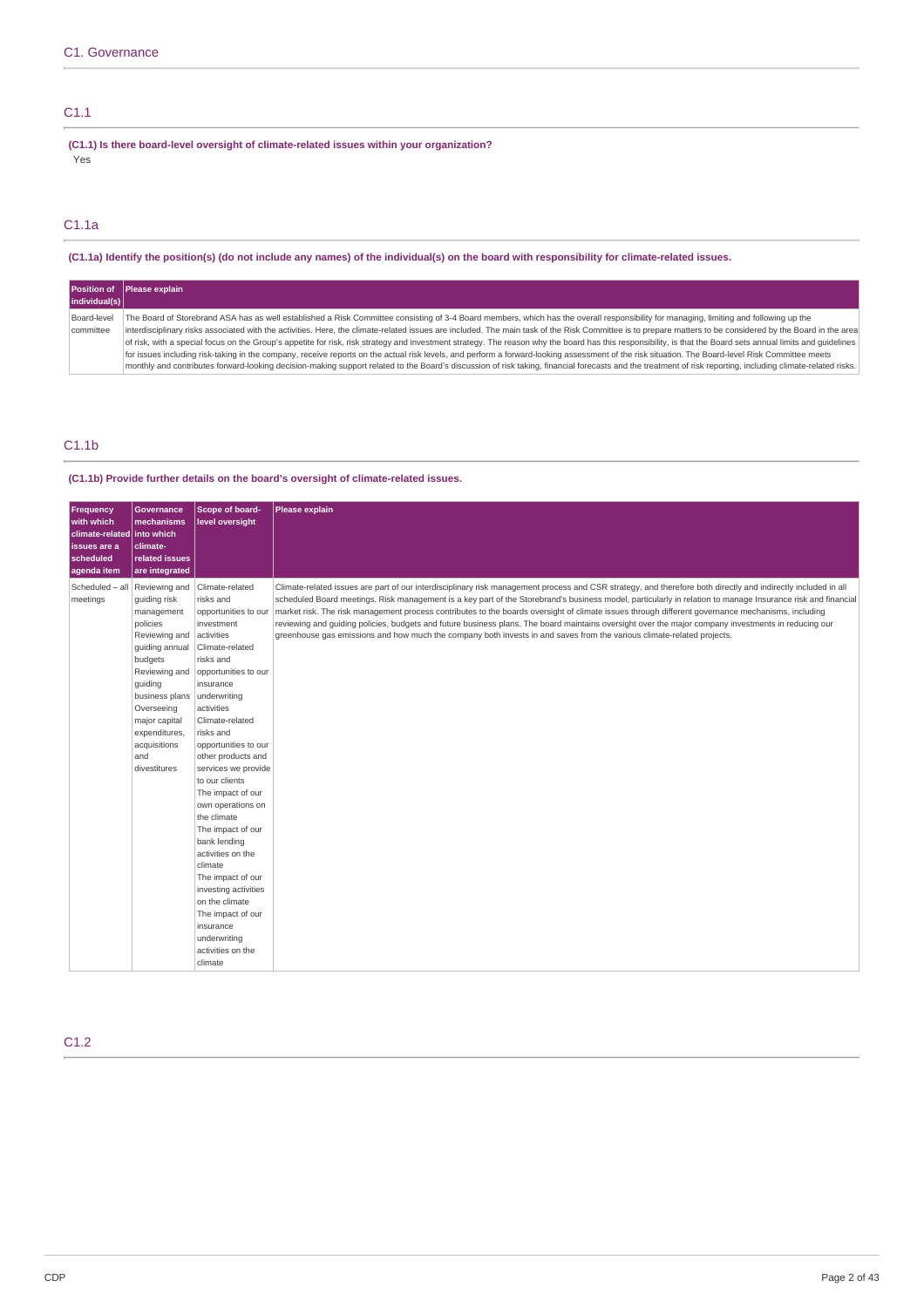# C1.1

**(C1.1) Is there board-level oversight of climate-related issues within your organization?** Yes

# C1.1a

(C1.1a) Identify the position(s) (do not include any names) of the individual(s) on the board with responsibility for climate-related issues.

| individual(s)            | Position of Please explain                                                                                                                                                                                                                                                                                                                                                                                                                                                                                                                                                                                           |
|--------------------------|----------------------------------------------------------------------------------------------------------------------------------------------------------------------------------------------------------------------------------------------------------------------------------------------------------------------------------------------------------------------------------------------------------------------------------------------------------------------------------------------------------------------------------------------------------------------------------------------------------------------|
| Board-level<br>committee | The Board of Storebrand ASA has as well established a Risk Committee consisting of 3-4 Board members, which has the overall responsibility for managing, limiting and following up the<br>interdisciplinary risks associated with the activities. Here, the climate-related issues are included. The main task of the Risk Committee is to prepare matters to be considered by the Board in the area<br>of risk, with a special focus on the Group's appetite for risk, risk strategy and investment strategy. The reason why the board has this responsibility, is that the Board sets annual limits and quidelines |
|                          | for issues including risk-taking in the company, receive reports on the actual risk levels, and perform a forward-looking assessment of the risk situation. The Board-level Risk Committee meets<br>monthly and contributes forward-looking decision-making support related to the Board's discussion of risk taking, financial forecasts and the treatment of risk reporting, including climate-related risks.                                                                                                                                                                                                      |

# C1.1b

### **(C1.1b) Provide further details on the board's oversight of climate-related issues.**

| Frequency<br>with which<br>climate-related into which<br>issues are a<br>scheduled<br>agenda item | <b>Governance</b><br>mechanisms<br>climate-<br>related issues<br>are integrated                                                                                                                                       | Scope of board-<br>level oversight                                                                                                                                                                                                                                                                                                                                                                                                                                                                                                                                   | Please explain                                                                                                                                                                                                                                                                                                                                                                                                                                                                                                                                                                                                                                                                                                                                                     |
|---------------------------------------------------------------------------------------------------|-----------------------------------------------------------------------------------------------------------------------------------------------------------------------------------------------------------------------|----------------------------------------------------------------------------------------------------------------------------------------------------------------------------------------------------------------------------------------------------------------------------------------------------------------------------------------------------------------------------------------------------------------------------------------------------------------------------------------------------------------------------------------------------------------------|--------------------------------------------------------------------------------------------------------------------------------------------------------------------------------------------------------------------------------------------------------------------------------------------------------------------------------------------------------------------------------------------------------------------------------------------------------------------------------------------------------------------------------------------------------------------------------------------------------------------------------------------------------------------------------------------------------------------------------------------------------------------|
| Scheduled - all   Reviewing and   Climate-related<br>meetings                                     | guiding risk<br>management<br>policies<br>Reviewing and<br>guiding annual<br>budgets<br>guiding<br>business plans underwriting<br>Overseeing<br>major capital<br>expenditures,<br>acquisitions<br>and<br>divestitures | risks and<br>opportunities to our<br>investment<br>activities<br>Climate-related<br>risks and<br>Reviewing and opportunities to our<br>insurance<br>activities<br>Climate-related<br>risks and<br>opportunities to our<br>other products and<br>services we provide<br>to our clients<br>The impact of our<br>own operations on<br>the climate<br>The impact of our<br>bank lending<br>activities on the<br>climate<br>The impact of our<br>investing activities<br>on the climate<br>The impact of our<br>insurance<br>underwriting<br>activities on the<br>climate | Climate-related issues are part of our interdisciplinary risk management process and CSR strategy, and therefore both directly and indirectly included in all<br>scheduled Board meetings. Risk management is a key part of the Storebrand's business model, particularly in relation to manage Insurance risk and financial<br>market risk. The risk management process contributes to the boards oversight of climate issues through different governance mechanisms, including<br>reviewing and quiding policies, budgets and future business plans. The board maintains oversight over the major company investments in reducing our<br>greenhouse gas emissions and how much the company both invests in and saves from the various climate-related projects. |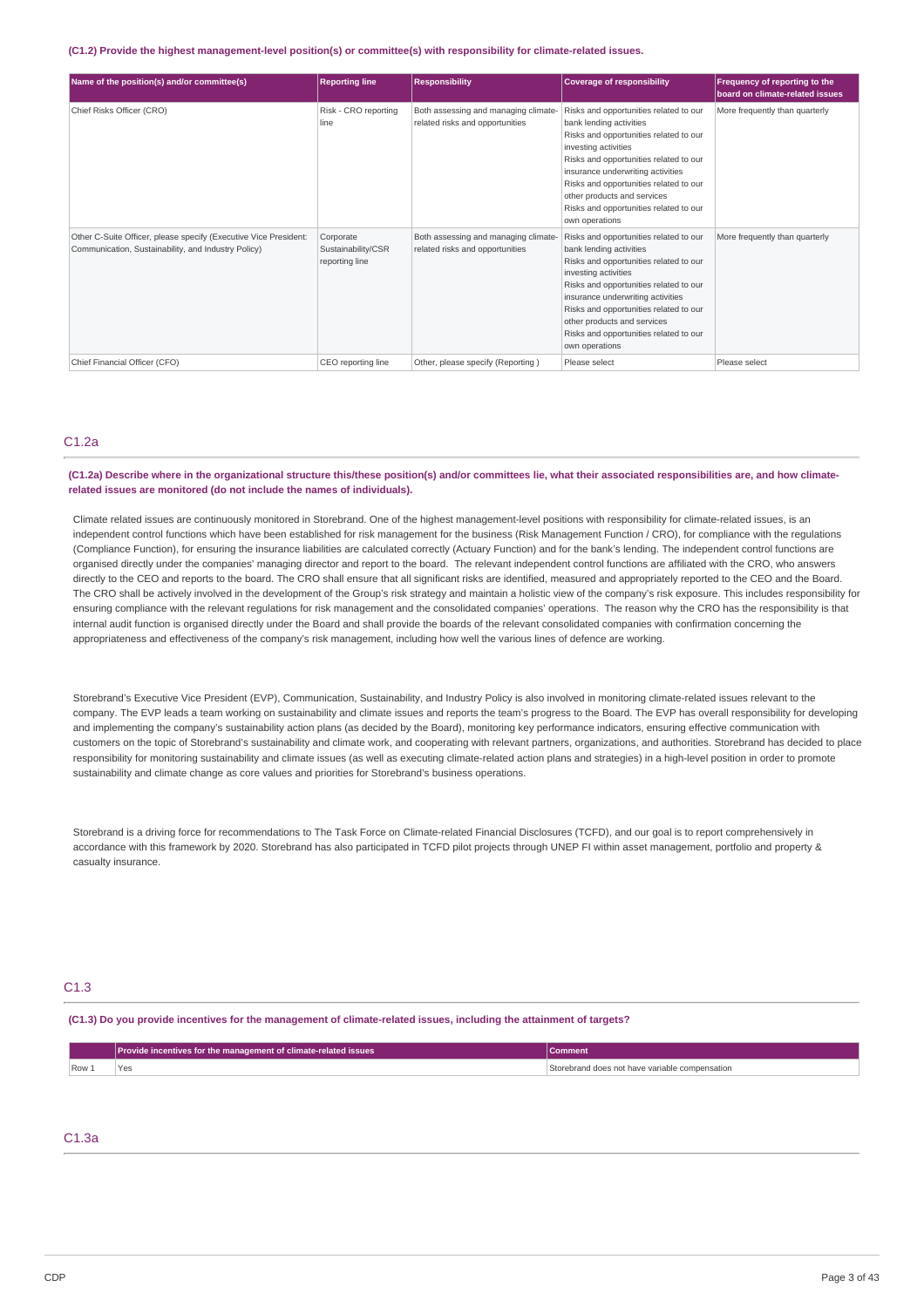#### **(C1.2) Provide the highest management-level position(s) or committee(s) with responsibility for climate-related issues.**

| Name of the position(s) and/or committee(s)                                                                             | <b>Reporting line</b>                             | <b>Responsibility</b>                                                   | <b>Coverage of responsibility</b>                                                                                                                                                                                                                                                                                                                       | Frequency of reporting to the<br>board on climate-related issues |
|-------------------------------------------------------------------------------------------------------------------------|---------------------------------------------------|-------------------------------------------------------------------------|---------------------------------------------------------------------------------------------------------------------------------------------------------------------------------------------------------------------------------------------------------------------------------------------------------------------------------------------------------|------------------------------------------------------------------|
| Chief Risks Officer (CRO)                                                                                               | Risk - CRO reporting<br>line                      | Both assessing and managing climate-<br>related risks and opportunities | Risks and opportunities related to our<br>bank lending activities<br>Risks and opportunities related to our<br>investing activities<br>Risks and opportunities related to our<br>insurance underwriting activities<br>Risks and opportunities related to our<br>other products and services<br>Risks and opportunities related to our<br>own operations | More frequently than quarterly                                   |
| Other C-Suite Officer, please specify (Executive Vice President:<br>Communication, Sustainability, and Industry Policy) | Corporate<br>Sustainability/CSR<br>reporting line | Both assessing and managing climate-<br>related risks and opportunities | Risks and opportunities related to our<br>bank lending activities<br>Risks and opportunities related to our<br>investing activities<br>Risks and opportunities related to our<br>insurance underwriting activities<br>Risks and opportunities related to our<br>other products and services<br>Risks and opportunities related to our<br>own operations | More frequently than quarterly                                   |
| Chief Financial Officer (CFO)                                                                                           | CEO reporting line                                | Other, please specify (Reporting)                                       | Please select                                                                                                                                                                                                                                                                                                                                           | Please select                                                    |

## C1.2a

#### (C1.2a) Describe where in the organizational structure this/these position(s) and/or committees lie, what their associated responsibilities are, and how climate**related issues are monitored (do not include the names of individuals).**

Climate related issues are continuously monitored in Storebrand. One of the highest management-level positions with responsibility for climate-related issues, is an independent control functions which have been established for risk management for the business (Risk Management Function / CRO), for compliance with the regulations (Compliance Function), for ensuring the insurance liabilities are calculated correctly (Actuary Function) and for the bank's lending. The independent control functions are organised directly under the companies' managing director and report to the board. The relevant independent control functions are affiliated with the CRO, who answers directly to the CEO and reports to the board. The CRO shall ensure that all significant risks are identified, measured and appropriately reported to the CEO and the Board. The CRO shall be actively involved in the development of the Group's risk strategy and maintain a holistic view of the company's risk exposure. This includes responsibility for ensuring compliance with the relevant regulations for risk management and the consolidated companies' operations. The reason why the CRO has the responsibility is that internal audit function is organised directly under the Board and shall provide the boards of the relevant consolidated companies with confirmation concerning the appropriateness and effectiveness of the company's risk management, including how well the various lines of defence are working.

Storebrand's Executive Vice President (EVP), Communication, Sustainability, and Industry Policy is also involved in monitoring climate-related issues relevant to the company. The EVP leads a team working on sustainability and climate issues and reports the team's progress to the Board. The EVP has overall responsibility for developing and implementing the company's sustainability action plans (as decided by the Board), monitoring key performance indicators, ensuring effective communication with customers on the topic of Storebrand's sustainability and climate work, and cooperating with relevant partners, organizations, and authorities. Storebrand has decided to place responsibility for monitoring sustainability and climate issues (as well as executing climate-related action plans and strategies) in a high-level position in order to promote sustainability and climate change as core values and priorities for Storebrand's business operations.

Storebrand is a driving force for recommendations to The Task Force on Climate-related Financial Disclosures (TCFD), and our goal is to report comprehensively in accordance with this framework by 2020. Storebrand has also participated in TCFD pilot projects through UNEP FI within asset management, portfolio and property & casualty insurance.

### C1.3

(C1.3) Do you provide incentives for the management of climate-related issues, including the attainment of targets?

|      | Provide incentives for the management of climate-related issues |                                                |
|------|-----------------------------------------------------------------|------------------------------------------------|
| Row: | Yes                                                             | Storebrand does not have variable compensation |

### C1.3a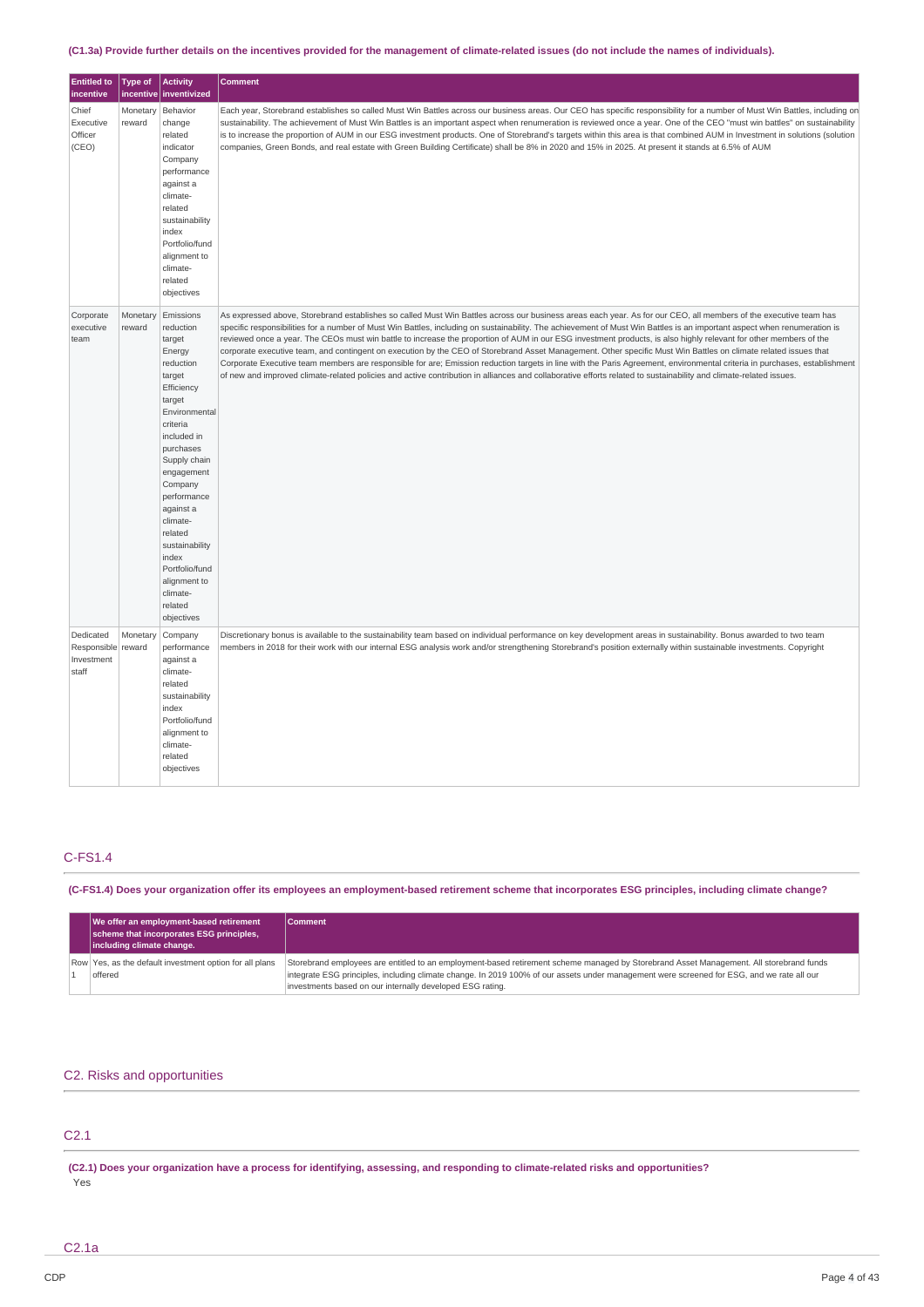### (C1.3a) Provide further details on the incentives provided for the management of climate-related issues (do not include the names of individuals).

| <b>Entitled to</b><br>incentive                        | Type of<br>incentive | <b>Activity</b><br>inventivized                                                                                                                                                                                                                                                                                                                  | <b>Comment</b>                                                                                                                                                                                                                                                                                                                                                                                                                                                                                                                                                                                                                                                                                                                                                                                                                                                                                                                                                                                                                         |
|--------------------------------------------------------|----------------------|--------------------------------------------------------------------------------------------------------------------------------------------------------------------------------------------------------------------------------------------------------------------------------------------------------------------------------------------------|----------------------------------------------------------------------------------------------------------------------------------------------------------------------------------------------------------------------------------------------------------------------------------------------------------------------------------------------------------------------------------------------------------------------------------------------------------------------------------------------------------------------------------------------------------------------------------------------------------------------------------------------------------------------------------------------------------------------------------------------------------------------------------------------------------------------------------------------------------------------------------------------------------------------------------------------------------------------------------------------------------------------------------------|
| Chief<br>Executive<br>Officer<br>(CEO)                 | Monetary<br>reward   | Behavior<br>change<br>related<br>indicator<br>Company<br>performance<br>against a<br>climate-<br>related<br>sustainability<br>index<br>Portfolio/fund<br>alignment to<br>climate-<br>related<br>objectives                                                                                                                                       | Each year, Storebrand establishes so called Must Win Battles across our business areas. Our CEO has specific responsibility for a number of Must Win Battles, including on<br>sustainability. The achievement of Must Win Battles is an important aspect when renumeration is reviewed once a year. One of the CEO "must win battles" on sustainability<br>is to increase the proportion of AUM in our ESG investment products. One of Storebrand's targets within this area is that combined AUM in Investment in solutions (solution<br>companies, Green Bonds, and real estate with Green Building Certificate) shall be 8% in 2020 and 15% in 2025. At present it stands at 6.5% of AUM                                                                                                                                                                                                                                                                                                                                            |
| Corporate<br>executive<br>team                         | Monetary<br>reward   | Emissions<br>reduction<br>target<br>Energy<br>reduction<br>target<br>Efficiency<br>target<br>Environmental<br>criteria<br>included in<br>purchases<br>Supply chain<br>engagement<br>Company<br>performance<br>against a<br>climate-<br>related<br>sustainability<br>index<br>Portfolio/fund<br>alignment to<br>climate-<br>related<br>objectives | As expressed above, Storebrand establishes so called Must Win Battles across our business areas each year. As for our CEO, all members of the executive team has<br>specific responsibilities for a number of Must Win Battles, including on sustainability. The achievement of Must Win Battles is an important aspect when renumeration is<br>reviewed once a year. The CEOs must win battle to increase the proportion of AUM in our ESG investment products, is also highly relevant for other members of the<br>corporate executive team, and contingent on execution by the CEO of Storebrand Asset Management. Other specific Must Win Battles on climate related issues that<br>Corporate Executive team members are responsible for are; Emission reduction targets in line with the Paris Agreement, environmental criteria in purchases, establishment<br>of new and improved climate-related policies and active contribution in alliances and collaborative efforts related to sustainability and climate-related issues. |
| Dedicated<br>Responsible reward<br>Investment<br>staff | Monetary             | Company<br>performance<br>against a<br>climate-<br>related<br>sustainability<br>index<br>Portfolio/fund<br>alignment to<br>climate-<br>related<br>objectives                                                                                                                                                                                     | Discretionary bonus is available to the sustainability team based on individual performance on key development areas in sustainability. Bonus awarded to two team<br>members in 2018 for their work with our internal ESG analysis work and/or strengthening Storebrand's position externally within sustainable investments. Copyright                                                                                                                                                                                                                                                                                                                                                                                                                                                                                                                                                                                                                                                                                                |

# C-FS1.4

(C-FS1.4) Does your organization offer its employees an employment-based retirement scheme that incorporates ESG principles, including climate change?

|  | We offer an employment-based retirement<br>scheme that incorporates ESG principles,<br>including climate change. | Comment                                                                                                                                                                                                                                                                               |
|--|------------------------------------------------------------------------------------------------------------------|---------------------------------------------------------------------------------------------------------------------------------------------------------------------------------------------------------------------------------------------------------------------------------------|
|  | Row Yes, as the default investment option for all plans<br>offered                                               | Storebrand employees are entitled to an employment-based retirement scheme managed by Storebrand Asset Management. All storebrand funds<br>integrate ESG principles, including climate change. In 2019 100% of our assets under management were screened for ESG, and we rate all our |
|  |                                                                                                                  | investments based on our internally developed ESG rating.                                                                                                                                                                                                                             |

### C2. Risks and opportunities

# C2.1

(C2.1) Does your organization have a process for identifying, assessing, and responding to climate-related risks and opportunities? Yes

C2.1a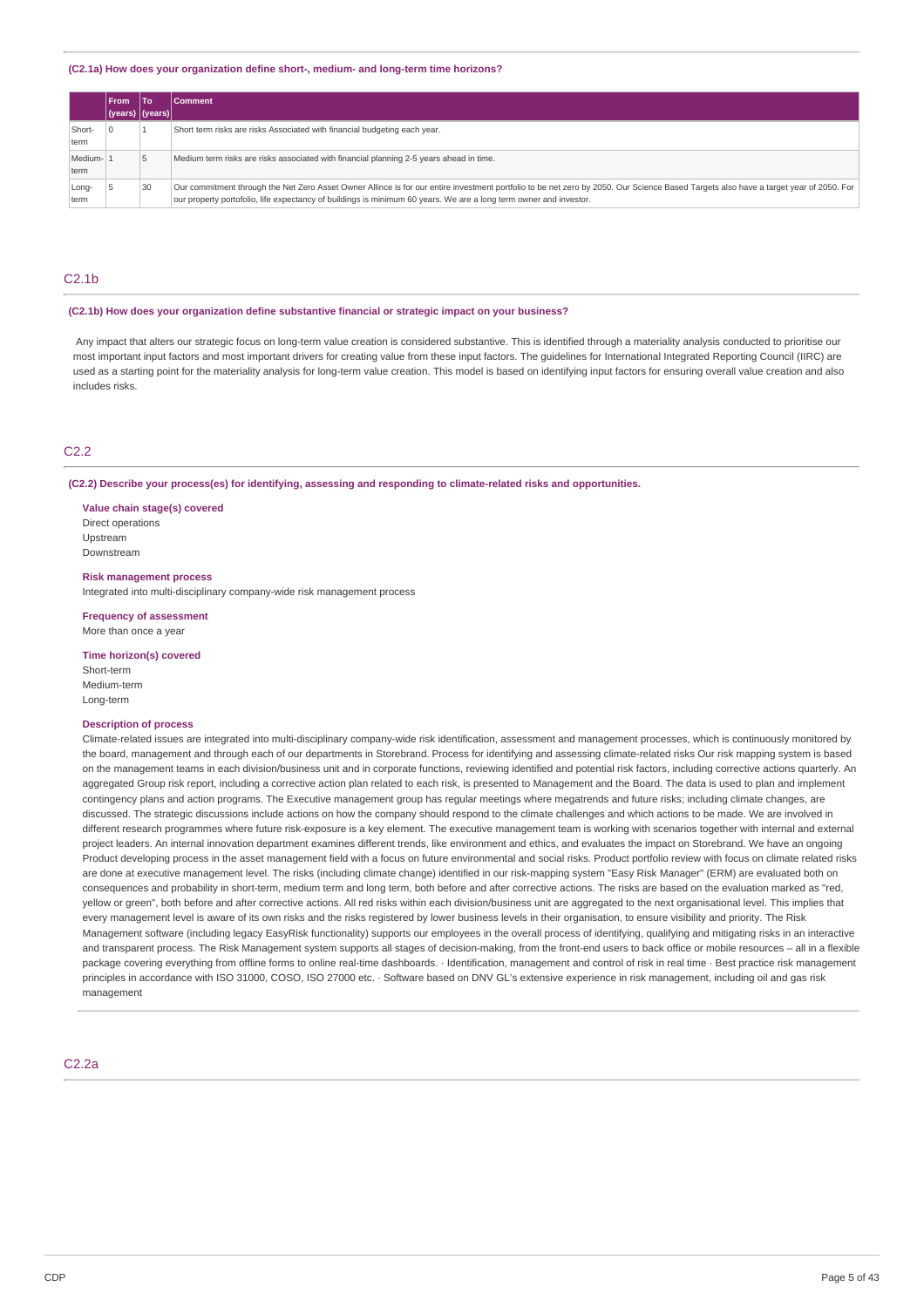#### **(C2.1a) How does your organization define short-, medium- and long-term time horizons?**

|                 | <b>From</b>      | l To | <b>Comment</b>                                                                                                                                                                                                                                                                                             |
|-----------------|------------------|------|------------------------------------------------------------------------------------------------------------------------------------------------------------------------------------------------------------------------------------------------------------------------------------------------------------|
|                 | (years)  (years) |      |                                                                                                                                                                                                                                                                                                            |
| Short-<br>term  |                  |      | Short term risks are risks Associated with financial budgeting each year.                                                                                                                                                                                                                                  |
| Medium-<br>term |                  |      | Medium term risks are risks associated with financial planning 2-5 years ahead in time.                                                                                                                                                                                                                    |
| Long-<br>term   |                  | 30   | Our commitment through the Net Zero Asset Owner Allince is for our entire investment portfolio to be net zero by 2050. Our Science Based Targets also have a target year of 2050. For<br>our property portofolio, life expectancy of buildings is minimum 60 years. We are a long term owner and investor. |

### C2.1b

#### **(C2.1b) How does your organization define substantive financial or strategic impact on your business?**

Any impact that alters our strategic focus on long-term value creation is considered substantive. This is identified through a materiality analysis conducted to prioritise our most important input factors and most important drivers for creating value from these input factors. The guidelines for International Integrated Reporting Council (IIRC) are used as a starting point for the materiality analysis for long-term value creation. This model is based on identifying input factors for ensuring overall value creation and also includes risks.

### C2.2

#### **(C2.2) Describe your process(es) for identifying, assessing and responding to climate-related risks and opportunities.**

**Value chain stage(s) covered** Direct operations Upstream Downstream

#### **Risk management process**

Integrated into multi-disciplinary company-wide risk management process

**Frequency of assessment** More than once a year

**Time horizon(s) covered** Short-term Medium-term

### **Description of process**

Long-term

Climate-related issues are integrated into multi-disciplinary company-wide risk identification, assessment and management processes, which is continuously monitored by the board, management and through each of our departments in Storebrand. Process for identifying and assessing climate-related risks Our risk mapping system is based on the management teams in each division/business unit and in corporate functions, reviewing identified and potential risk factors, including corrective actions quarterly. An aggregated Group risk report, including a corrective action plan related to each risk, is presented to Management and the Board. The data is used to plan and implement contingency plans and action programs. The Executive management group has regular meetings where megatrends and future risks; including climate changes, are discussed. The strategic discussions include actions on how the company should respond to the climate challenges and which actions to be made. We are involved in different research programmes where future risk-exposure is a key element. The executive management team is working with scenarios together with internal and external project leaders. An internal innovation department examines different trends, like environment and ethics, and evaluates the impact on Storebrand. We have an ongoing Product developing process in the asset management field with a focus on future environmental and social risks. Product portfolio review with focus on climate related risks are done at executive management level. The risks (including climate change) identified in our risk-mapping system "Easy Risk Manager" (ERM) are evaluated both on consequences and probability in short-term, medium term and long term, both before and after corrective actions. The risks are based on the evaluation marked as "red, yellow or green", both before and after corrective actions. All red risks within each division/business unit are aggregated to the next organisational level. This implies that every management level is aware of its own risks and the risks registered by lower business levels in their organisation, to ensure visibility and priority. The Risk Management software (including legacy EasyRisk functionality) supports our employees in the overall process of identifying, qualifying and mitigating risks in an interactive and transparent process. The Risk Management system supports all stages of decision-making, from the front-end users to back office or mobile resources – all in a flexible package covering everything from offline forms to online real-time dashboards. · Identification, management and control of risk in real time · Best practice risk management principles in accordance with ISO 31000, COSO, ISO 27000 etc. · Software based on DNV GL's extensive experience in risk management, including oil and gas risk management

C2.2a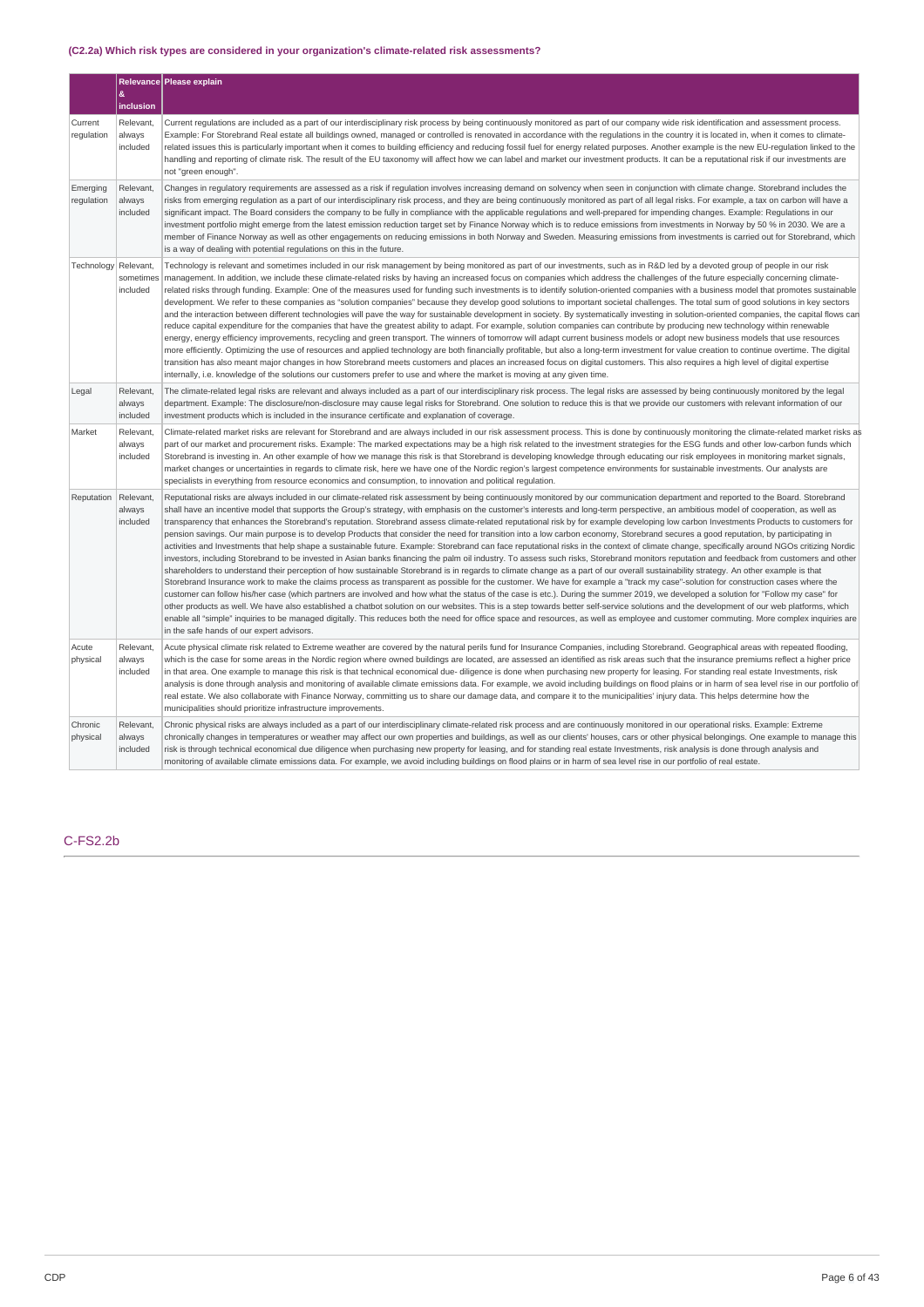### **(C2.2a) Which risk types are considered in your organization's climate-related risk assessments?**

|                        | &                                  | Relevance Please explain                                                                                                                                                                                                                                                                                                                                                                                                                                                                                                                                                                                                                                                                                                                                                                                                                                                                                                                                                                                                                                                                                                                                                                                                                                                                                                                                                                                                                                                                                                                                                                                                                                                                                                                                                                                                                                                                                                                                                                                                                                                                                                                                             |
|------------------------|------------------------------------|----------------------------------------------------------------------------------------------------------------------------------------------------------------------------------------------------------------------------------------------------------------------------------------------------------------------------------------------------------------------------------------------------------------------------------------------------------------------------------------------------------------------------------------------------------------------------------------------------------------------------------------------------------------------------------------------------------------------------------------------------------------------------------------------------------------------------------------------------------------------------------------------------------------------------------------------------------------------------------------------------------------------------------------------------------------------------------------------------------------------------------------------------------------------------------------------------------------------------------------------------------------------------------------------------------------------------------------------------------------------------------------------------------------------------------------------------------------------------------------------------------------------------------------------------------------------------------------------------------------------------------------------------------------------------------------------------------------------------------------------------------------------------------------------------------------------------------------------------------------------------------------------------------------------------------------------------------------------------------------------------------------------------------------------------------------------------------------------------------------------------------------------------------------------|
|                        | inclusion                          |                                                                                                                                                                                                                                                                                                                                                                                                                                                                                                                                                                                                                                                                                                                                                                                                                                                                                                                                                                                                                                                                                                                                                                                                                                                                                                                                                                                                                                                                                                                                                                                                                                                                                                                                                                                                                                                                                                                                                                                                                                                                                                                                                                      |
| Current<br>regulation  | Relevant,<br>always<br>included    | Current regulations are included as a part of our interdisciplinary risk process by being continuously monitored as part of our company wide risk identification and assessment process.<br>Example: For Storebrand Real estate all buildings owned, managed or controlled is renovated in accordance with the requlations in the country it is located in, when it comes to climate-<br>related issues this is particularly important when it comes to building efficiency and reducing fossil fuel for energy related purposes. Another example is the new EU-regulation linked to the<br>handling and reporting of climate risk. The result of the EU taxonomy will affect how we can label and market our investment products. It can be a reputational risk if our investments are<br>not "green enough".                                                                                                                                                                                                                                                                                                                                                                                                                                                                                                                                                                                                                                                                                                                                                                                                                                                                                                                                                                                                                                                                                                                                                                                                                                                                                                                                                       |
| Emerging<br>regulation | Relevant,<br>always<br>included    | Changes in regulatory requirements are assessed as a risk if regulation involves increasing demand on solvency when seen in conjunction with climate change. Storebrand includes the<br>risks from emerging regulation as a part of our interdisciplinary risk process, and they are being continuously monitored as part of all legal risks. For example, a tax on carbon will have a<br>significant impact. The Board considers the company to be fully in compliance with the applicable regulations and well-prepared for impending changes. Example: Regulations in our<br>investment portfolio might emerge from the latest emission reduction target set by Finance Norway which is to reduce emissions from investments in Norway by 50 % in 2030. We are a<br>member of Finance Norway as well as other engagements on reducing emissions in both Norway and Sweden. Measuring emissions from investments is carried out for Storebrand, which<br>is a way of dealing with potential regulations on this in the future.                                                                                                                                                                                                                                                                                                                                                                                                                                                                                                                                                                                                                                                                                                                                                                                                                                                                                                                                                                                                                                                                                                                                     |
| Technology             | Relevant,<br>sometimes<br>included | Technology is relevant and sometimes included in our risk management by being monitored as part of our investments, such as in R&D led by a devoted group of people in our risk<br>management. In addition, we include these climate-related risks by having an increased focus on companies which address the challenges of the future especially concerning climate-<br>related risks through funding. Example: One of the measures used for funding such investments is to identify solution-oriented companies with a business model that promotes sustainable<br>development. We refer to these companies as "solution companies" because they develop good solutions to important societal challenges. The total sum of good solutions in key sectors<br>and the interaction between different technologies will pave the way for sustainable development in society. By systematically investing in solution-oriented companies, the capital flows can<br>reduce capital expenditure for the companies that have the greatest ability to adapt. For example, solution companies can contribute by producing new technology within renewable<br>energy, energy efficiency improvements, recycling and green transport. The winners of tomorrow will adapt current business models or adopt new business models that use resources<br>more efficiently. Optimizing the use of resources and applied technology are both financially profitable, but also a long-term investment for value creation to continue overtime. The digital<br>transition has also meant major changes in how Storebrand meets customers and places an increased focus on digital customers. This also requires a high level of digital expertise<br>internally, i.e. knowledge of the solutions our customers prefer to use and where the market is moving at any given time.                                                                                                                                                                                                                                                                                                         |
| Legal                  | Relevant,<br>always<br>included    | The climate-related legal risks are relevant and always included as a part of our interdisciplinary risk process. The legal risks are assessed by being continuously monitored by the legal<br>department. Example: The disclosure/non-disclosure may cause legal risks for Storebrand. One solution to reduce this is that we provide our customers with relevant information of our<br>investment products which is included in the insurance certificate and explanation of coverage.                                                                                                                                                                                                                                                                                                                                                                                                                                                                                                                                                                                                                                                                                                                                                                                                                                                                                                                                                                                                                                                                                                                                                                                                                                                                                                                                                                                                                                                                                                                                                                                                                                                                             |
| Market                 | Relevant,<br>always<br>included    | Climate-related market risks are relevant for Storebrand and are always included in our risk assessment process. This is done by continuously monitoring the climate-related market risks as<br>part of our market and procurement risks. Example: The marked expectations may be a high risk related to the investment strategies for the ESG funds and other low-carbon funds which<br>Storebrand is investing in. An other example of how we manage this risk is that Storebrand is developing knowledge through educating our risk employees in monitoring market signals,<br>market changes or uncertainties in regards to climate risk, here we have one of the Nordic region's largest competence environments for sustainable investments. Our analysts are<br>specialists in everything from resource economics and consumption, to innovation and political regulation.                                                                                                                                                                                                                                                                                                                                                                                                                                                                                                                                                                                                                                                                                                                                                                                                                                                                                                                                                                                                                                                                                                                                                                                                                                                                                    |
| Reputation             | Relevant,<br>always<br>included    | Reputational risks are always included in our climate-related risk assessment by being continuously monitored by our communication department and reported to the Board. Storebrand<br>shall have an incentive model that supports the Group's strategy, with emphasis on the customer's interests and long-term perspective, an ambitious model of cooperation, as well as<br>transparency that enhances the Storebrand's reputation. Storebrand assess climate-related reputational risk by for example developing low carbon Investments Products to customers for<br>pension savings. Our main purpose is to develop Products that consider the need for transition into a low carbon economy, Storebrand secures a good reputation, by participating in<br>activities and Investments that help shape a sustainable future. Example: Storebrand can face reputational risks in the context of climate change, specifically around NGOs critizing Nordic<br>investors, including Storebrand to be invested in Asian banks financing the palm oil industry. To assess such risks, Storebrand monitors reputation and feedback from customers and other<br>shareholders to understand their perception of how sustainable Storebrand is in regards to climate change as a part of our overall sustainability strategy. An other example is that<br>Storebrand Insurance work to make the claims process as transparent as possible for the customer. We have for example a "track my case"-solution for construction cases where the<br>customer can follow his/her case (which partners are involved and how what the status of the case is etc.). During the summer 2019, we developed a solution for "Follow my case" for<br>other products as well. We have also established a chatbot solution on our websites. This is a step towards better self-service solutions and the development of our web platforms, which<br>enable all "simple" inquiries to be managed digitally. This reduces both the need for office space and resources, as well as employee and customer commuting. More complex inquiries are<br>in the safe hands of our expert advisors. |
| Acute<br>physical      | Relevant,<br>always<br>included    | Acute physical climate risk related to Extreme weather are covered by the natural perils fund for Insurance Companies, including Storebrand. Geographical areas with repeated flooding,<br>which is the case for some areas in the Nordic region where owned buildings are located, are assessed an identified as risk areas such that the insurance premiums reflect a higher price<br>in that area. One example to manage this risk is that technical economical due-diligence is done when purchasing new property for leasing. For standing real estate Investments, risk<br>analysis is done through analysis and monitoring of available climate emissions data. For example, we avoid including buildings on flood plains or in harm of sea level rise in our portfolio of<br>real estate. We also collaborate with Finance Norway, committing us to share our damage data, and compare it to the municipalities' injury data. This helps determine how the<br>municipalities should prioritize infrastructure improvements.                                                                                                                                                                                                                                                                                                                                                                                                                                                                                                                                                                                                                                                                                                                                                                                                                                                                                                                                                                                                                                                                                                                                  |
| Chronic<br>physical    | Relevant,<br>always<br>included    | Chronic physical risks are always included as a part of our interdisciplinary climate-related risk process and are continuously monitored in our operational risks. Example: Extreme<br>chronically changes in temperatures or weather may affect our own properties and buildings, as well as our clients' houses, cars or other physical belongings. One example to manage this<br>risk is through technical economical due diligence when purchasing new property for leasing, and for standing real estate Investments, risk analysis is done through analysis and<br>monitoring of available climate emissions data. For example, we avoid including buildings on flood plains or in harm of sea level rise in our portfolio of real estate.                                                                                                                                                                                                                                                                                                                                                                                                                                                                                                                                                                                                                                                                                                                                                                                                                                                                                                                                                                                                                                                                                                                                                                                                                                                                                                                                                                                                                    |

# C-FS2.2b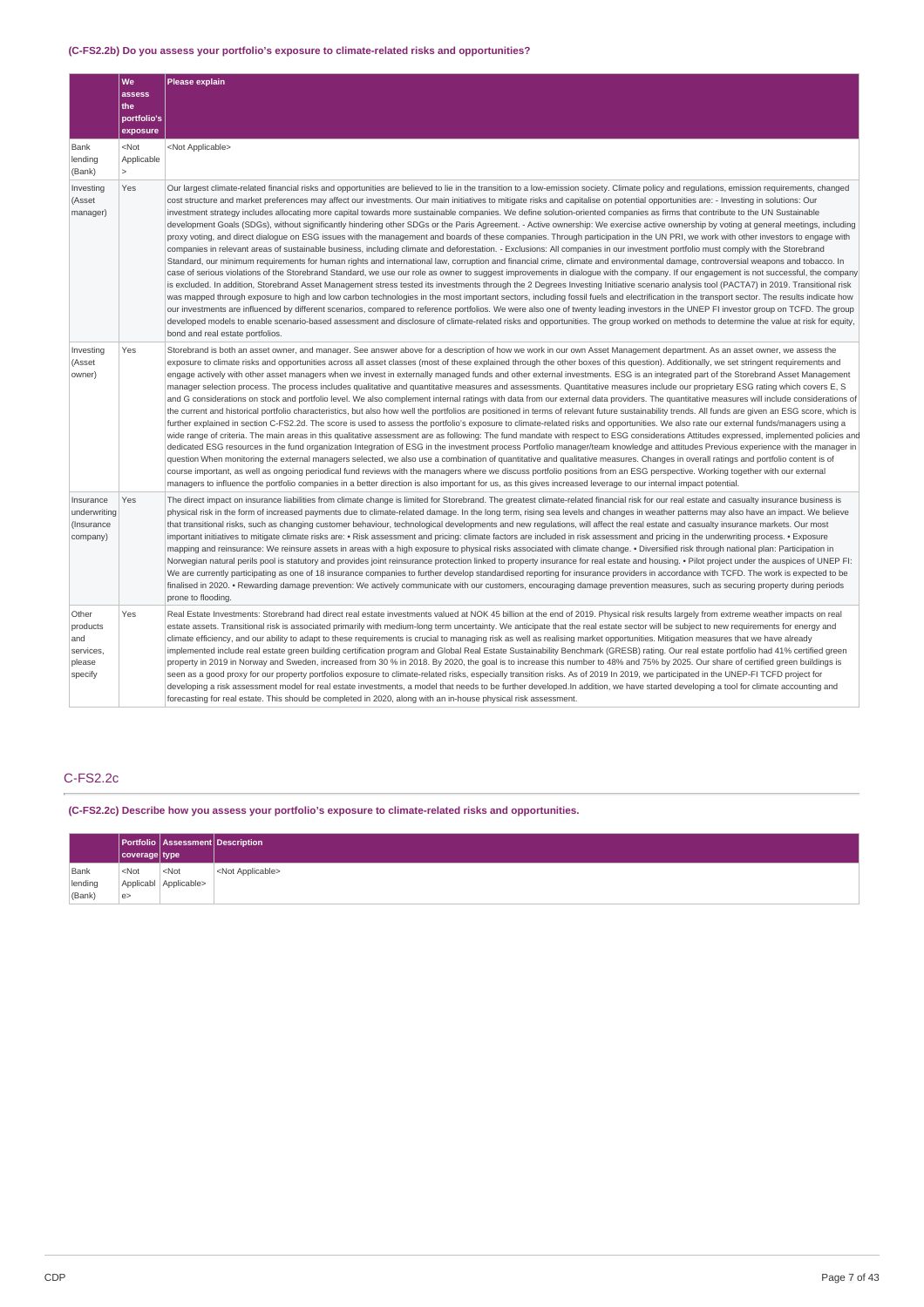# **(C-FS2.2b) Do you assess your portfolio's exposure to climate-related risks and opportunities?**

|                                                            | We<br>assess<br>the<br>portfolio's<br>exposure | Please explain                                                                                                                                                                                                                                                                                                                                                                                                                                                                                                                                                                                                                                                                                                                                                                                                                                                                                                                                                                                                                                                                                                                                                                                                                                                                                                                                                                                                                                                                                                                                                                                                                                                                                                                                                                                                                                                                                                                                                                                                                                                                                                                                                                                                                                                                                                                                    |
|------------------------------------------------------------|------------------------------------------------|---------------------------------------------------------------------------------------------------------------------------------------------------------------------------------------------------------------------------------------------------------------------------------------------------------------------------------------------------------------------------------------------------------------------------------------------------------------------------------------------------------------------------------------------------------------------------------------------------------------------------------------------------------------------------------------------------------------------------------------------------------------------------------------------------------------------------------------------------------------------------------------------------------------------------------------------------------------------------------------------------------------------------------------------------------------------------------------------------------------------------------------------------------------------------------------------------------------------------------------------------------------------------------------------------------------------------------------------------------------------------------------------------------------------------------------------------------------------------------------------------------------------------------------------------------------------------------------------------------------------------------------------------------------------------------------------------------------------------------------------------------------------------------------------------------------------------------------------------------------------------------------------------------------------------------------------------------------------------------------------------------------------------------------------------------------------------------------------------------------------------------------------------------------------------------------------------------------------------------------------------------------------------------------------------------------------------------------------------|
| Bank<br>lending<br>(Bank)                                  | $<$ Not<br>Applicable<br>$\mathbf{r}$          | <not applicable=""></not>                                                                                                                                                                                                                                                                                                                                                                                                                                                                                                                                                                                                                                                                                                                                                                                                                                                                                                                                                                                                                                                                                                                                                                                                                                                                                                                                                                                                                                                                                                                                                                                                                                                                                                                                                                                                                                                                                                                                                                                                                                                                                                                                                                                                                                                                                                                         |
| Investing<br>(Asset<br>manager)                            | Yes                                            | Our largest climate-related financial risks and opportunities are believed to lie in the transition to a low-emission society. Climate policy and regulations, emission requirements, changed<br>cost structure and market preferences may affect our investments. Our main initiatives to mitigate risks and capitalise on potential opportunities are: - Investing in solutions: Our<br>investment strategy includes allocating more capital towards more sustainable companies. We define solution-oriented companies as firms that contribute to the UN Sustainable<br>development Goals (SDGs), without significantly hindering other SDGs or the Paris Agreement. - Active ownership: We exercise active ownership by voting at general meetings, including<br>proxy voting, and direct dialogue on ESG issues with the management and boards of these companies. Through participation in the UN PRI, we work with other investors to engage with<br>companies in relevant areas of sustainable business, including climate and deforestation. - Exclusions: All companies in our investment portfolio must comply with the Storebrand<br>Standard, our minimum requirements for human rights and international law, corruption and financial crime, climate and environmental damage, controversial weapons and tobacco. In<br>case of serious violations of the Storebrand Standard, we use our role as owner to suggest improvements in dialogue with the company. If our engagement is not successful, the company<br>is excluded. In addition, Storebrand Asset Management stress tested its investments through the 2 Degrees Investing Initiative scenario analysis tool (PACTA7) in 2019. Transitional risk<br>was mapped through exposure to high and low carbon technologies in the most important sectors, including fossil fuels and electrification in the transport sector. The results indicate how<br>our investments are influenced by different scenarios, compared to reference portfolios. We were also one of twenty leading investors in the UNEP FI investor group on TCFD. The group<br>developed models to enable scenario-based assessment and disclosure of climate-related risks and opportunities. The group worked on methods to determine the value at risk for equity,<br>bond and real estate portfolios. |
| Investing<br>(Asset<br>owner)                              | Yes                                            | Storebrand is both an asset owner, and manager. See answer above for a description of how we work in our own Asset Management department. As an asset owner, we assess the<br>exposure to climate risks and opportunities across all asset classes (most of these explained through the other boxes of this question). Additionally, we set stringent requirements and<br>engage actively with other asset managers when we invest in externally managed funds and other external investments. ESG is an integrated part of the Storebrand Asset Management<br>manager selection process. The process includes qualitative and quantitative measures and assessments. Quantitative measures include our proprietary ESG rating which covers E, S<br>and G considerations on stock and portfolio level. We also complement internal ratings with data from our external data providers. The quantitative measures will include considerations of<br>the current and historical portfolio characteristics, but also how well the portfolios are positioned in terms of relevant future sustainability trends. All funds are qiven an ESG score, which is<br>further explained in section C-FS2.2d. The score is used to assess the portfolio's exposure to climate-related risks and opportunities. We also rate our external funds/managers using a<br>wide range of criteria. The main areas in this qualitative assessment are as following: The fund mandate with respect to ESG considerations Attitudes expressed, implemented policies and<br>dedicated ESG resources in the fund organization Integration of ESG in the investment process Portfolio manager/team knowledge and attitudes Previous experience with the manager in<br>question When monitoring the external managers selected, we also use a combination of quantitative and qualitative measures. Changes in overall ratings and portfolio content is of<br>course important, as well as ongoing periodical fund reviews with the managers where we discuss portfolio positions from an ESG perspective. Working together with our external<br>managers to influence the portfolio companies in a better direction is also important for us, as this gives increased leverage to our internal impact potential.                                                             |
| Insurance<br>underwriting<br>(Insurance<br>company)        | Yes                                            | The direct impact on insurance liabilities from climate change is limited for Storebrand. The greatest climate-related financial risk for our real estate and casualty insurance business is<br>physical risk in the form of increased payments due to climate-related damage. In the long term, rising sea levels and changes in weather patterns may also have an impact. We believe<br>that transitional risks, such as changing customer behaviour, technological developments and new regulations, will affect the real estate and casualty insurance markets. Our most<br>important initiatives to mitigate climate risks are: • Risk assessment and pricing: climate factors are included in risk assessment and pricing in the underwriting process. • Exposure<br>mapping and reinsurance: We reinsure assets in areas with a high exposure to physical risks associated with climate change. • Diversified risk through national plan: Participation in<br>Norwegian natural perils pool is statutory and provides joint reinsurance protection linked to property insurance for real estate and housing. • Pilot project under the auspices of UNEP FI:<br>We are currently participating as one of 18 insurance companies to further develop standardised reporting for insurance providers in accordance with TCFD. The work is expected to be<br>finalised in 2020. • Rewarding damage prevention: We actively communicate with our customers, encouraging damage prevention measures, such as securing property during periods<br>prone to flooding.                                                                                                                                                                                                                                                                                                                                                                                                                                                                                                                                                                                                                                                                                                                                                                               |
| Other<br>products<br>and<br>services,<br>please<br>specify | Yes                                            | Real Estate Investments: Storebrand had direct real estate investments valued at NOK 45 billion at the end of 2019. Physical risk results largely from extreme weather impacts on real<br>estate assets. Transitional risk is associated primarily with medium-long term uncertainty. We anticipate that the real estate sector will be subject to new requirements for energy and<br>climate efficiency, and our ability to adapt to these requirements is crucial to managing risk as well as realising market opportunities. Mitigation measures that we have already<br>implemented include real estate green building certification program and Global Real Estate Sustainability Benchmark (GRESB) rating. Our real estate portfolio had 41% certified green<br>property in 2019 in Norway and Sweden, increased from 30 % in 2018. By 2020, the goal is to increase this number to 48% and 75% by 2025. Our share of certified green buildings is<br>seen as a good proxy for our property portfolios exposure to climate-related risks, especially transition risks. As of 2019 In 2019, we participated in the UNEP-FI TCFD project for<br>developing a risk assessment model for real estate investments, a model that needs to be further developed.In addition, we have started developing a tool for climate accounting and<br>forecasting for real estate. This should be completed in 2020, along with an in-house physical risk assessment.                                                                                                                                                                                                                                                                                                                                                                                                                                                                                                                                                                                                                                                                                                                                                                                                                                                                                       |

# C-FS2.2c

**(C-FS2.2c) Describe how you assess your portfolio's exposure to climate-related risks and opportunities.**

|         | coverage   type |                       | <b>Portfolio Assessment Description</b> |
|---------|-----------------|-----------------------|-----------------------------------------|
| Bank    | $<$ Not         | $<$ Not               | <not applicable=""></not>               |
| lending |                 | Applicabl Applicable> |                                         |
| (Bank)  | e>              |                       |                                         |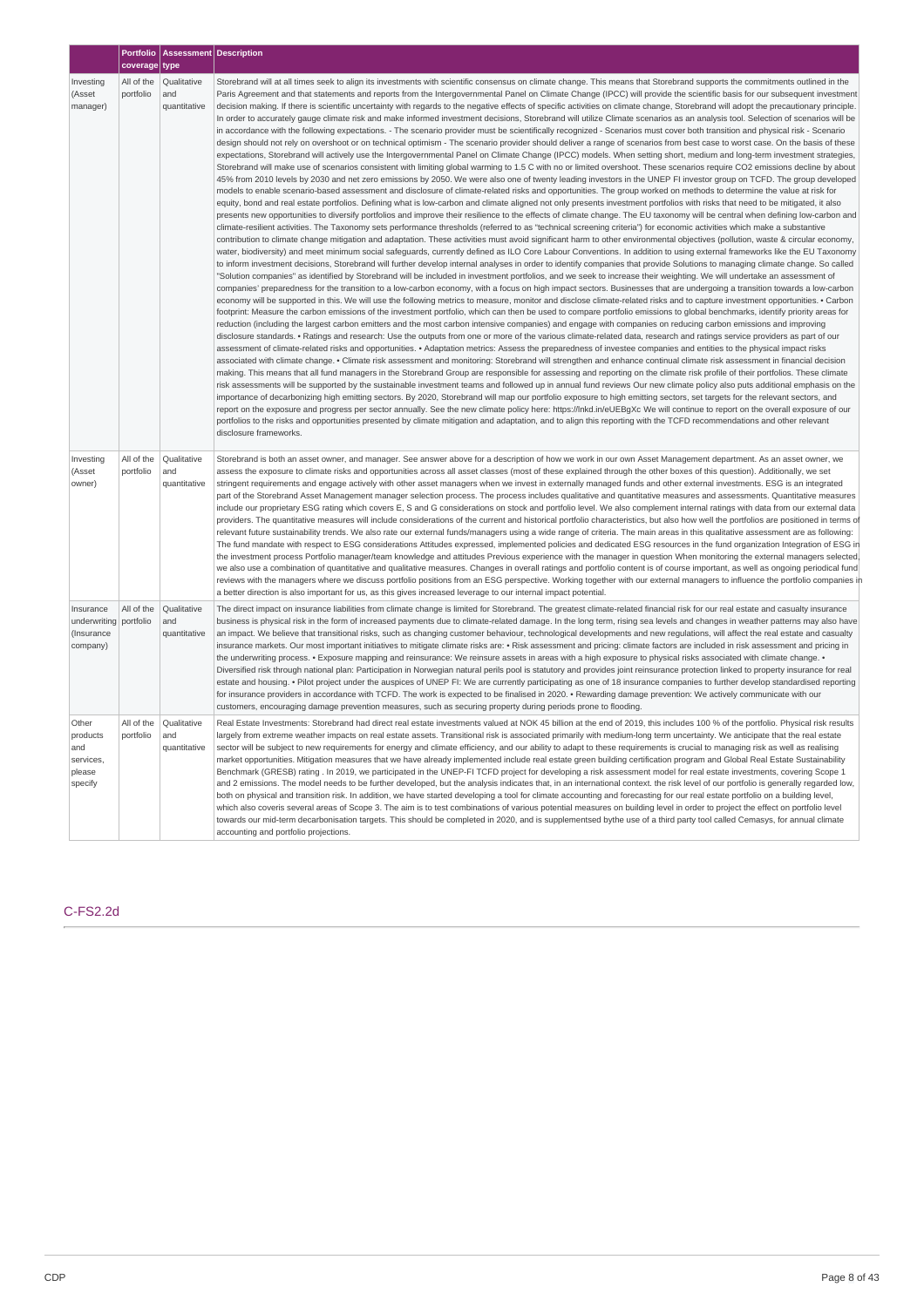|                                                               | coverage type           | Portfolio   Assessment   Description |                                                                                                                                                                                                                                                                                                                                                                                                                                                                                                                                                                                                                                                                                                                                                                                                                                                                                                                                                                                                                                                                                                                                                                                                                                                                                                                                                                                                                                                                                                                                                                                                                                                                                                                                                                                                                                                                                                                                                                                                                                                                                                                                                                                                                                                                                                                                                                                                                                                                                                                                                                                                                                                                                                                                                                                                                                                                                                                                                                                                                                                                                                                                                                                                                                                                                                                                                                                                                                                                                                                                                                                                                                                                                                                                                                                                                                                                                                                                                                                                                                                                                                                                                                                                                                                                                                                                                                                                                                                                                                                                                                                                                                                                                                                                                                                                                                                                                                                                                                                                                                                                                                                                                                                                                                                                        |
|---------------------------------------------------------------|-------------------------|--------------------------------------|------------------------------------------------------------------------------------------------------------------------------------------------------------------------------------------------------------------------------------------------------------------------------------------------------------------------------------------------------------------------------------------------------------------------------------------------------------------------------------------------------------------------------------------------------------------------------------------------------------------------------------------------------------------------------------------------------------------------------------------------------------------------------------------------------------------------------------------------------------------------------------------------------------------------------------------------------------------------------------------------------------------------------------------------------------------------------------------------------------------------------------------------------------------------------------------------------------------------------------------------------------------------------------------------------------------------------------------------------------------------------------------------------------------------------------------------------------------------------------------------------------------------------------------------------------------------------------------------------------------------------------------------------------------------------------------------------------------------------------------------------------------------------------------------------------------------------------------------------------------------------------------------------------------------------------------------------------------------------------------------------------------------------------------------------------------------------------------------------------------------------------------------------------------------------------------------------------------------------------------------------------------------------------------------------------------------------------------------------------------------------------------------------------------------------------------------------------------------------------------------------------------------------------------------------------------------------------------------------------------------------------------------------------------------------------------------------------------------------------------------------------------------------------------------------------------------------------------------------------------------------------------------------------------------------------------------------------------------------------------------------------------------------------------------------------------------------------------------------------------------------------------------------------------------------------------------------------------------------------------------------------------------------------------------------------------------------------------------------------------------------------------------------------------------------------------------------------------------------------------------------------------------------------------------------------------------------------------------------------------------------------------------------------------------------------------------------------------------------------------------------------------------------------------------------------------------------------------------------------------------------------------------------------------------------------------------------------------------------------------------------------------------------------------------------------------------------------------------------------------------------------------------------------------------------------------------------------------------------------------------------------------------------------------------------------------------------------------------------------------------------------------------------------------------------------------------------------------------------------------------------------------------------------------------------------------------------------------------------------------------------------------------------------------------------------------------------------------------------------------------------------------------------------------------------------------------------------------------------------------------------------------------------------------------------------------------------------------------------------------------------------------------------------------------------------------------------------------------------------------------------------------------------------------------------------------------------------------------------------------------------------------------|
| Investing<br>(Asset<br>manager)                               | All of the<br>portfolio | Qualitative<br>and<br>quantitative   | Storebrand will at all times seek to align its investments with scientific consensus on climate change. This means that Storebrand supports the commitments outlined in the<br>Paris Agreement and that statements and reports from the Intergovernmental Panel on Climate Change (IPCC) will provide the scientific basis for our subsequent investment<br>decision making. If there is scientific uncertainty with regards to the negative effects of specific activities on climate change, Storebrand will adopt the precautionary principle.<br>In order to accurately gauge climate risk and make informed investment decisions, Storebrand will utilize Climate scenarios as an analysis tool. Selection of scenarios will be<br>in accordance with the following expectations. - The scenario provider must be scientifically recognized - Scenarios must cover both transition and physical risk - Scenario<br>design should not rely on overshoot or on technical optimism - The scenario provider should deliver a range of scenarios from best case to worst case. On the basis of these<br>expectations, Storebrand will actively use the Intergovernmental Panel on Climate Change (IPCC) models. When setting short, medium and long-term investment strategies,<br>Storebrand will make use of scenarios consistent with limiting global warming to 1.5 C with no or limited overshoot. These scenarios require CO2 emissions decline by about<br>45% from 2010 levels by 2030 and net zero emissions by 2050. We were also one of twenty leading investors in the UNEP FI investor group on TCFD. The group developed<br>models to enable scenario-based assessment and disclosure of climate-related risks and opportunities. The group worked on methods to determine the value at risk for<br>equity, bond and real estate portfolios. Defining what is low-carbon and climate aligned not only presents investment portfolios with risks that need to be mitigated, it also<br>presents new opportunities to diversify portfolios and improve their resilience to the effects of climate change. The EU taxonomy will be central when defining low-carbon and<br>climate-resilient activities. The Taxonomy sets performance thresholds (referred to as "technical screening criteria") for economic activities which make a substantive<br>contribution to climate change mitigation and adaptation. These activities must avoid significant harm to other environmental objectives (pollution, waste & circular economy,<br>water, biodiversity) and meet minimum social safeguards, currently defined as ILO Core Labour Conventions. In addition to using external frameworks like the EU Taxonomy<br>to inform investment decisions, Storebrand will further develop internal analyses in order to identify companies that provide Solutions to managing climate change. So called<br>"Solution companies" as identified by Storebrand will be included in investment portfolios, and we seek to increase their weighting. We will undertake an assessment of<br>companies' preparedness for the transition to a low-carbon economy, with a focus on high impact sectors. Businesses that are undergoing a transition towards a low-carbon<br>economy will be supported in this. We will use the following metrics to measure, monitor and disclose climate-related risks and to capture investment opportunities. • Carbon<br>footprint: Measure the carbon emissions of the investment portfolio, which can then be used to compare portfolio emissions to global benchmarks, identify priority areas for<br>reduction (including the largest carbon emitters and the most carbon intensive companies) and engage with companies on reducing carbon emissions and improving<br>disclosure standards. • Ratings and research: Use the outputs from one or more of the various climate-related data, research and ratings service providers as part of our<br>assessment of climate-related risks and opportunities. • Adaptation metrics: Assess the preparedness of investee companies and entities to the physical impact risks<br>associated with climate change. • Climate risk assessment and monitoring: Storebrand will strengthen and enhance continual climate risk assessment in financial decision<br>making. This means that all fund managers in the Storebrand Group are responsible for assessing and reporting on the climate risk profile of their portfolios. These climate<br>risk assessments will be supported by the sustainable investment teams and followed up in annual fund reviews Our new climate policy also puts additional emphasis on the<br>importance of decarbonizing high emitting sectors. By 2020, Storebrand will map our portfolio exposure to high emitting sectors, set targets for the relevant sectors, and<br>report on the exposure and progress per sector annually. See the new climate policy here: https://lnkd.in/eUEBgXc We will continue to report on the overall exposure of our<br>portfolios to the risks and opportunities presented by climate mitigation and adaptation, and to align this reporting with the TCFD recommendations and other relevant<br>disclosure frameworks. |
| Investing<br>(Asset<br>owner)                                 | All of the<br>portfolio | Qualitative<br>and<br>quantitative   | Storebrand is both an asset owner, and manager. See answer above for a description of how we work in our own Asset Management department. As an asset owner, we<br>assess the exposure to climate risks and opportunities across all asset classes (most of these explained through the other boxes of this question). Additionally, we set<br>stringent requirements and engage actively with other asset managers when we invest in externally managed funds and other external investments. ESG is an integrated<br>part of the Storebrand Asset Management manager selection process. The process includes qualitative and quantitative measures and assessments. Quantitative measures<br>include our proprietary ESG rating which covers E, S and G considerations on stock and portfolio level. We also complement internal ratings with data from our external data<br>providers. The quantitative measures will include considerations of the current and historical portfolio characteristics, but also how well the portfolios are positioned in terms of<br>relevant future sustainability trends. We also rate our external funds/managers using a wide range of criteria. The main areas in this qualitative assessment are as following:<br>The fund mandate with respect to ESG considerations Attitudes expressed, implemented policies and dedicated ESG resources in the fund organization Integration of ESG in<br>the investment process Portfolio manager/team knowledge and attitudes Previous experience with the manager in question When monitoring the external managers selected.<br>we also use a combination of quantitative and qualitative measures. Changes in overall ratings and portfolio content is of course important, as well as ongoing periodical fund<br>reviews with the managers where we discuss portfolio positions from an ESG perspective. Working together with our external managers to influence the portfolio companies in<br>a better direction is also important for us, as this gives increased leverage to our internal impact potential.                                                                                                                                                                                                                                                                                                                                                                                                                                                                                                                                                                                                                                                                                                                                                                                                                                                                                                                                                                                                                                                                                                                                                                                                                                                                                                                                                                                                                                                                                                                                                                                                                                                                                                                                                                                                                                                                                                                                                                                                                                                                                                                                                                                                                                                                                                                                                                                                                                                                                                                                                                                                                                                                                                                                                                                                                                                                                                                                                                                                                                                                                                                                                                     |
| Insurance<br>underwriting portfolio<br>(Insurance<br>company) | All of the              | Oualitative<br>and<br>quantitative   | The direct impact on insurance liabilities from climate change is limited for Storebrand. The greatest climate-related financial risk for our real estate and casualty insurance<br>business is physical risk in the form of increased payments due to climate-related damage. In the long term, rising sea levels and changes in weather patterns may also have<br>an impact. We believe that transitional risks, such as changing customer behaviour, technological developments and new regulations, will affect the real estate and casualty<br>insurance markets. Our most important initiatives to mitigate climate risks are: • Risk assessment and pricing: climate factors are included in risk assessment and pricing in<br>the underwriting process. • Exposure mapping and reinsurance: We reinsure assets in areas with a high exposure to physical risks associated with climate change. •<br>Diversified risk through national plan: Participation in Norwegian natural perils pool is statutory and provides joint reinsurance protection linked to property insurance for real<br>estate and housing. • Pilot project under the auspices of UNEP FI: We are currently participating as one of 18 insurance companies to further develop standardised reporting<br>for insurance providers in accordance with TCFD. The work is expected to be finalised in 2020. • Rewarding damage prevention: We actively communicate with our<br>customers, encouraging damage prevention measures, such as securing property during periods prone to flooding.                                                                                                                                                                                                                                                                                                                                                                                                                                                                                                                                                                                                                                                                                                                                                                                                                                                                                                                                                                                                                                                                                                                                                                                                                                                                                                                                                                                                                                                                                                                                                                                                                                                                                                                                                                                                                                                                                                                                                                                                                                                                                                                                                                                                                                                                                                                                                                                                                                                                                                                                                                                                                                                                                                                                                                                                                                                                                                                                                                                                                                                                                                                                                                                                                                                                                                                                                                                                                                                                                                                                                                                                                                                                                                    |
| Other<br>products<br>and<br>services,<br>please<br>specify    | All of the<br>portfolio | Qualitative<br>and<br>quantitative   | Real Estate Investments: Storebrand had direct real estate investments valued at NOK 45 billion at the end of 2019, this includes 100 % of the portfolio. Physical risk results<br>largely from extreme weather impacts on real estate assets. Transitional risk is associated primarily with medium-long term uncertainty. We anticipate that the real estate<br>sector will be subject to new requirements for energy and climate efficiency, and our ability to adapt to these requirements is crucial to managing risk as well as realising<br>market opportunities. Mitigation measures that we have already implemented include real estate green building certification program and Global Real Estate Sustainability<br>Benchmark (GRESB) rating. In 2019, we participated in the UNEP-FI TCFD project for developing a risk assessment model for real estate investments, covering Scope 1<br>and 2 emissions. The model needs to be further developed, but the analysis indicates that, in an international context. the risk level of our portfolio is generally regarded low,<br>both on physical and transition risk. In addition, we have started developing a tool for climate accounting and forecasting for our real estate portfolio on a building level,<br>which also coveris several areas of Scope 3. The aim is to test combinations of various potential measures on building level in order to project the effect on portfolio level<br>towards our mid-term decarbonisation targets. This should be completed in 2020, and is supplementsed bythe use of a third party tool called Cemasys, for annual climate<br>accounting and portfolio projections.                                                                                                                                                                                                                                                                                                                                                                                                                                                                                                                                                                                                                                                                                                                                                                                                                                                                                                                                                                                                                                                                                                                                                                                                                                                                                                                                                                                                                                                                                                                                                                                                                                                                                                                                                                                                                                                                                                                                                                                                                                                                                                                                                                                                                                                                                                                                                                                                                                                                                                                                                                                                                                                                                                                                                                                                                                                                                                                                                                                                                                                                                                                                                                                                                                                                                                                                                                                                                                                                                                                                                                                      |

# C-FS2.2d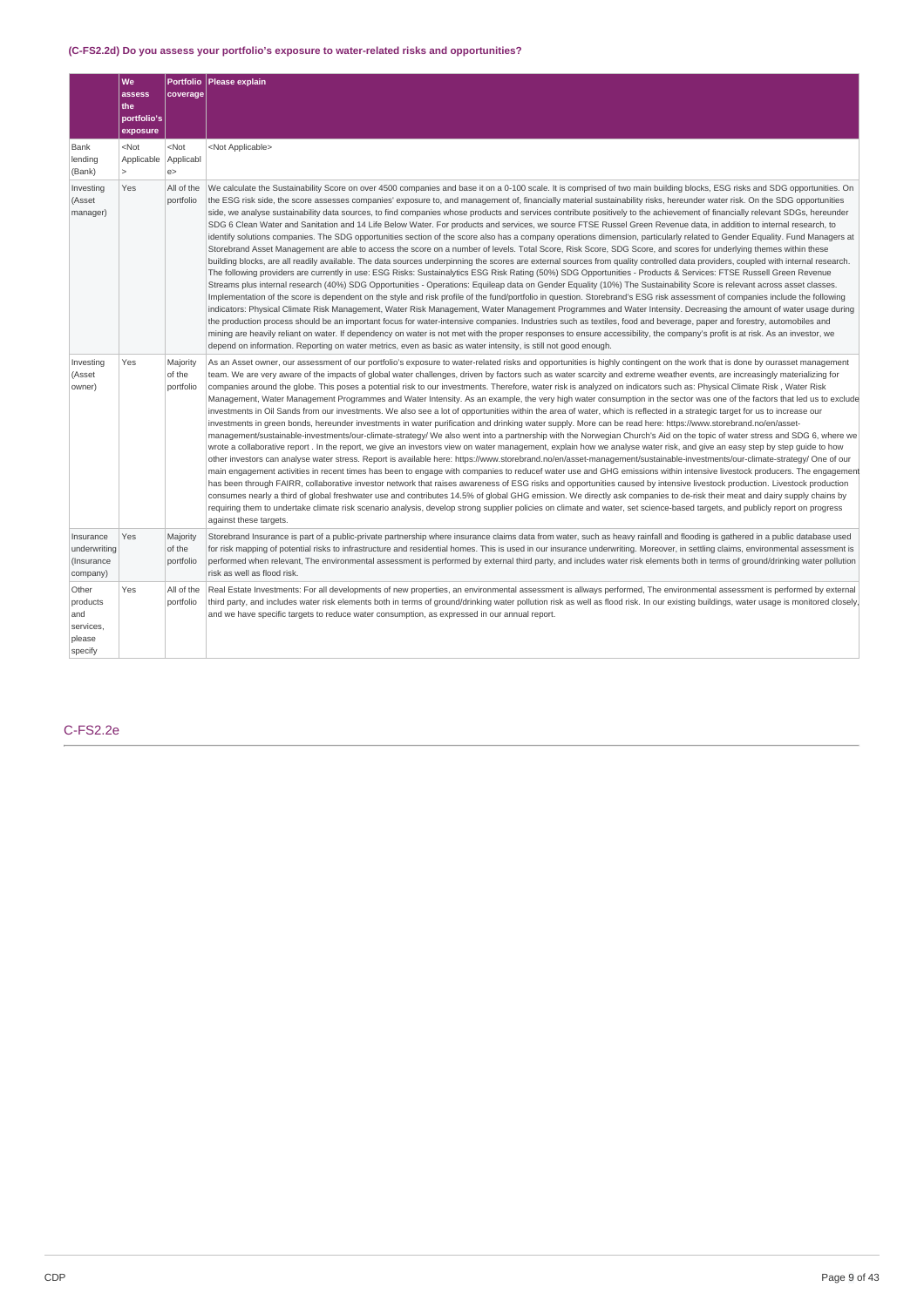# **(C-FS2.2d) Do you assess your portfolio's exposure to water-related risks and opportunities?**

|                                                            | We<br>assess<br>the<br>portfolio's<br>exposure | <b>Portfolio</b><br>coverage    | Please explain                                                                                                                                                                                                                                                                                                                                                                                                                                                                                                                                                                                                                                                                                                                                                                                                                                                                                                                                                                                                                                                                                                                                                                                                                                                                                                                                                                                                                                                                                                                                                                                                                                                                                                                                                                                                                                                                                                                                                                                                                                                                                                                                                                                                                                                                                                                                                                                                                              |
|------------------------------------------------------------|------------------------------------------------|---------------------------------|---------------------------------------------------------------------------------------------------------------------------------------------------------------------------------------------------------------------------------------------------------------------------------------------------------------------------------------------------------------------------------------------------------------------------------------------------------------------------------------------------------------------------------------------------------------------------------------------------------------------------------------------------------------------------------------------------------------------------------------------------------------------------------------------------------------------------------------------------------------------------------------------------------------------------------------------------------------------------------------------------------------------------------------------------------------------------------------------------------------------------------------------------------------------------------------------------------------------------------------------------------------------------------------------------------------------------------------------------------------------------------------------------------------------------------------------------------------------------------------------------------------------------------------------------------------------------------------------------------------------------------------------------------------------------------------------------------------------------------------------------------------------------------------------------------------------------------------------------------------------------------------------------------------------------------------------------------------------------------------------------------------------------------------------------------------------------------------------------------------------------------------------------------------------------------------------------------------------------------------------------------------------------------------------------------------------------------------------------------------------------------------------------------------------------------------------|
| Bank<br>lending<br>(Bank)                                  | $<$ Not<br>Applicable<br>$\overline{ }$        | $<$ Not<br>Applicabl<br>e >     | <not applicable=""></not>                                                                                                                                                                                                                                                                                                                                                                                                                                                                                                                                                                                                                                                                                                                                                                                                                                                                                                                                                                                                                                                                                                                                                                                                                                                                                                                                                                                                                                                                                                                                                                                                                                                                                                                                                                                                                                                                                                                                                                                                                                                                                                                                                                                                                                                                                                                                                                                                                   |
| Investing<br>(Asset<br>manager)                            | Yes                                            | All of the<br>portfolio         | We calculate the Sustainability Score on over 4500 companies and base it on a 0-100 scale. It is comprised of two main building blocks, ESG risks and SDG opportunities. On<br>the ESG risk side, the score assesses companies' exposure to, and management of, financially material sustainability risks, hereunder water risk. On the SDG opportunities<br>side, we analyse sustainability data sources, to find companies whose products and services contribute positively to the achievement of financially relevant SDGs, hereunder<br>SDG 6 Clean Water and Sanitation and 14 Life Below Water. For products and services, we source FTSE Russel Green Revenue data, in addition to internal research, to<br>identify solutions companies. The SDG opportunities section of the score also has a company operations dimension, particularly related to Gender Equality. Fund Managers at<br>Storebrand Asset Management are able to access the score on a number of levels. Total Score, Risk Score, SDG Score, and scores for underlying themes within these<br>building blocks, are all readily available. The data sources underpinning the scores are external sources from quality controlled data providers, coupled with internal research.<br>The following providers are currently in use: ESG Risks: Sustainalytics ESG Risk Rating (50%) SDG Opportunities - Products & Services: FTSE Russell Green Revenue<br>Streams plus internal research (40%) SDG Opportunities - Operations: Equileap data on Gender Equality (10%) The Sustainability Score is relevant across asset classes.<br>Implementation of the score is dependent on the style and risk profile of the fund/portfolio in question. Storebrand's ESG risk assessment of companies include the following<br>indicators: Physical Climate Risk Management, Water Risk Management, Water Management Programmes and Water Intensity. Decreasing the amount of water usage during<br>the production process should be an important focus for water-intensive companies. Industries such as textiles, food and beverage, paper and forestry, automobiles and<br>mining are heavily reliant on water. If dependency on water is not met with the proper responses to ensure accessibility, the company's profit is at risk. As an investor, we<br>depend on information. Reporting on water metrics, even as basic as water intensity, is still not good enough. |
| Investing<br>(Asset<br>owner)                              | Yes                                            | Majority<br>of the<br>portfolio | As an Asset owner, our assessment of our portfolio's exposure to water-related risks and opportunities is highly contingent on the work that is done by ourasset management<br>team. We are very aware of the impacts of global water challenges, driven by factors such as water scarcity and extreme weather events, are increasingly materializing for<br>companies around the globe. This poses a potential risk to our investments. Therefore, water risk is analyzed on indicators such as: Physical Climate Risk , Water Risk<br>Management, Water Management Programmes and Water Intensity. As an example, the very high water consumption in the sector was one of the factors that led us to exclude<br>investments in Oil Sands from our investments. We also see a lot of opportunities within the area of water, which is reflected in a strategic target for us to increase our<br>investments in green bonds, hereunder investments in water purification and drinking water supply. More can be read here: https://www.storebrand.no/en/asset-<br>management/sustainable-investments/our-climate-strategy/ We also went into a partnership with the Norwegian Church's Aid on the topic of water stress and SDG 6, where we<br>wrote a collaborative report . In the report, we give an investors view on water management, explain how we analyse water risk, and give an easy step by step quide to how<br>other investors can analyse water stress. Report is available here: https://www.storebrand.no/en/asset-management/sustainable-investments/our-climate-strategy/ One of our<br>main engagement activities in recent times has been to engage with companies to reducef water use and GHG emissions within intensive livestock producers. The engagement<br>has been through FAIRR, collaborative investor network that raises awareness of ESG risks and opportunities caused by intensive livestock production. Livestock production<br>consumes nearly a third of global freshwater use and contributes 14.5% of global GHG emission. We directly ask companies to de-risk their meat and dairy supply chains by<br>requiring them to undertake climate risk scenario analysis, develop strong supplier policies on climate and water, set science-based targets, and publicly report on progress<br>against these targets.                                                                                  |
| Insurance<br>underwriting<br>(Insurance<br>company)        | Yes                                            | Majority<br>of the<br>portfolio | Storebrand Insurance is part of a public-private partnership where insurance claims data from water, such as heavy rainfall and flooding is gathered in a public database used<br>for risk mapping of potential risks to infrastructure and residential homes. This is used in our insurance underwriting. Moreover, in settling claims, environmental assessment is<br>performed when relevant, The environmental assessment is performed by external third party, and includes water risk elements both in terms of ground/drinking water pollution<br>risk as well as flood risk.                                                                                                                                                                                                                                                                                                                                                                                                                                                                                                                                                                                                                                                                                                                                                                                                                                                                                                                                                                                                                                                                                                                                                                                                                                                                                                                                                                                                                                                                                                                                                                                                                                                                                                                                                                                                                                                        |
| Other<br>products<br>and<br>services,<br>please<br>specify | Yes                                            | All of the<br>portfolio         | Real Estate Investments: For all developments of new properties, an environmental assessment is allways performed, The environmental assessment is performed by external<br>third party, and includes water risk elements both in terms of ground/drinking water pollution risk as well as flood risk. In our existing buildings, water usage is monitored closely,<br>and we have specific targets to reduce water consumption, as expressed in our annual report.                                                                                                                                                                                                                                                                                                                                                                                                                                                                                                                                                                                                                                                                                                                                                                                                                                                                                                                                                                                                                                                                                                                                                                                                                                                                                                                                                                                                                                                                                                                                                                                                                                                                                                                                                                                                                                                                                                                                                                         |

# C-FS2.2e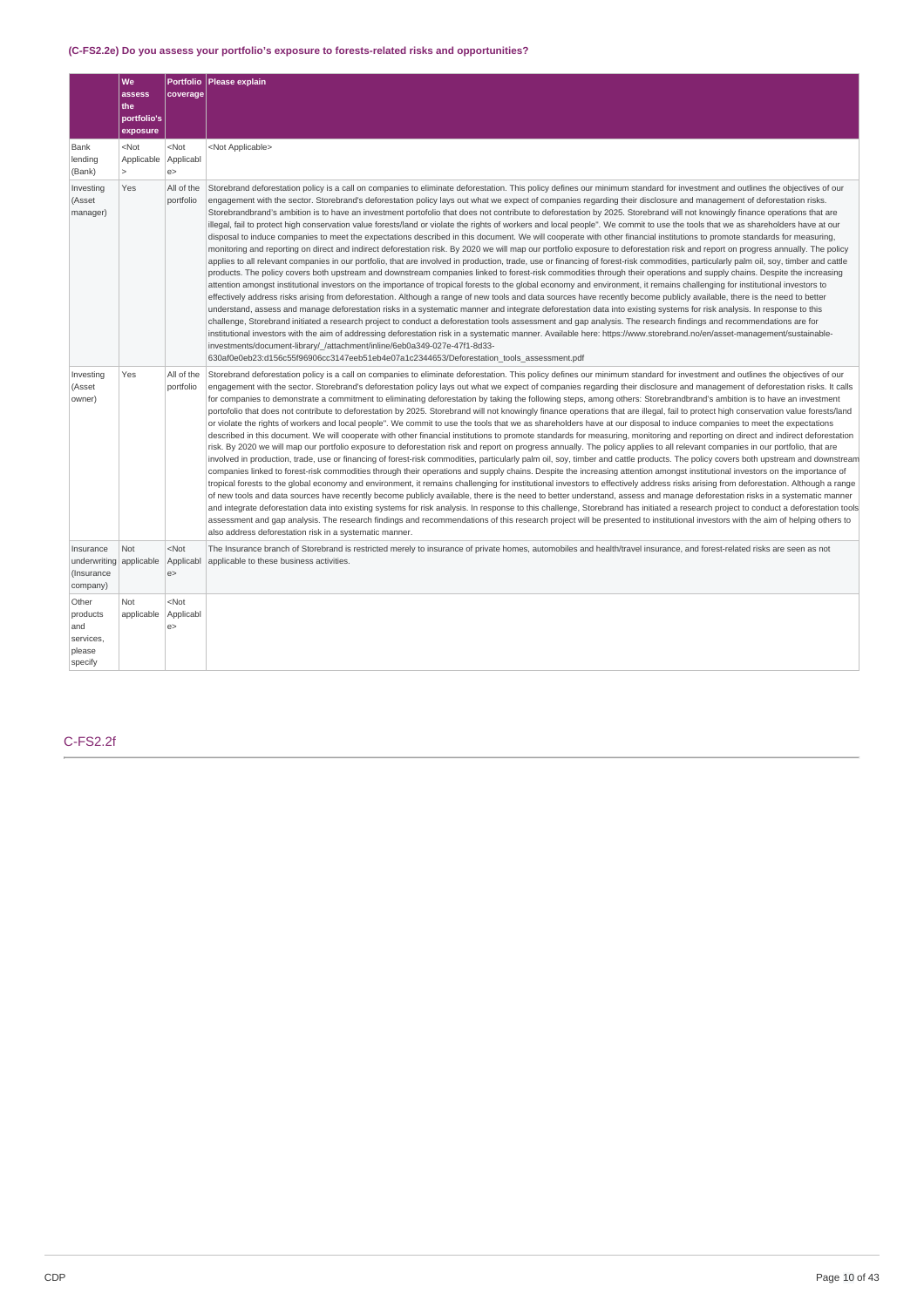# **(C-FS2.2e) Do you assess your portfolio's exposure to forests-related risks and opportunities?**

|                                                            | We<br>assess<br>the<br>portfolio's<br>exposure | coverage                  | Portfolio   Please explain                                                                                                                                                                                                                                                                                                                                                                                                                                                                                                                                                                                                                                                                                                                                                                                                                                                                                                                                                                                                                                                                                                                                                                                                                                                                                                                                                                                                                                                                                                                                                                                                                                                                                                                                                                                                                                                                                                                                                                                                                                                                                                                                                                                                                                                                                                                                                                                                                                                                                                       |
|------------------------------------------------------------|------------------------------------------------|---------------------------|----------------------------------------------------------------------------------------------------------------------------------------------------------------------------------------------------------------------------------------------------------------------------------------------------------------------------------------------------------------------------------------------------------------------------------------------------------------------------------------------------------------------------------------------------------------------------------------------------------------------------------------------------------------------------------------------------------------------------------------------------------------------------------------------------------------------------------------------------------------------------------------------------------------------------------------------------------------------------------------------------------------------------------------------------------------------------------------------------------------------------------------------------------------------------------------------------------------------------------------------------------------------------------------------------------------------------------------------------------------------------------------------------------------------------------------------------------------------------------------------------------------------------------------------------------------------------------------------------------------------------------------------------------------------------------------------------------------------------------------------------------------------------------------------------------------------------------------------------------------------------------------------------------------------------------------------------------------------------------------------------------------------------------------------------------------------------------------------------------------------------------------------------------------------------------------------------------------------------------------------------------------------------------------------------------------------------------------------------------------------------------------------------------------------------------------------------------------------------------------------------------------------------------|
| Bank<br>lending<br>(Bank)                                  | $<$ Not<br>Applicable<br>$\mathbf{r}$          | $<$ Not<br>Applicabl<br>e | <not applicable=""></not>                                                                                                                                                                                                                                                                                                                                                                                                                                                                                                                                                                                                                                                                                                                                                                                                                                                                                                                                                                                                                                                                                                                                                                                                                                                                                                                                                                                                                                                                                                                                                                                                                                                                                                                                                                                                                                                                                                                                                                                                                                                                                                                                                                                                                                                                                                                                                                                                                                                                                                        |
| Investing<br>(Asset<br>manager)                            | Yes                                            | All of the<br>portfolio   | Storebrand deforestation policy is a call on companies to eliminate deforestation. This policy defines our minimum standard for investment and outlines the objectives of our<br>engagement with the sector. Storebrand's deforestation policy lays out what we expect of companies regarding their disclosure and management of deforestation risks.<br>Storebrandbrand's ambition is to have an investment portofolio that does not contribute to deforestation by 2025. Storebrand will not knowingly finance operations that are<br>illegal, fail to protect high conservation value forests/land or violate the rights of workers and local people". We commit to use the tools that we as shareholders have at our<br>disposal to induce companies to meet the expectations described in this document. We will cooperate with other financial institutions to promote standards for measuring,<br>monitoring and reporting on direct and indirect deforestation risk. By 2020 we will map our portfolio exposure to deforestation risk and report on progress annually. The policy<br>applies to all relevant companies in our portfolio, that are involved in production, trade, use or financing of forest-risk commodities, particularly palm oil, soy, timber and cattle<br>products. The policy covers both upstream and downstream companies linked to forest-risk commodities through their operations and supply chains. Despite the increasing<br>attention amongst institutional investors on the importance of tropical forests to the global economy and environment, it remains challenging for institutional investors to<br>effectively address risks arising from deforestation. Although a range of new tools and data sources have recently become publicly available, there is the need to better<br>understand, assess and manage deforestation risks in a systematic manner and integrate deforestation data into existing systems for risk analysis. In response to this<br>challenge, Storebrand initiated a research project to conduct a deforestation tools assessment and gap analysis. The research findings and recommendations are for<br>institutional investors with the aim of addressing deforestation risk in a systematic manner. Available here: https://www.storebrand.no/en/asset-management/sustainable-<br>investments/document-library/ /attachment/inline/6eb0a349-027e-47f1-8d33-<br>630af0e0eb23:d156c55f96906cc3147eeb51eb4e07a1c2344653/Deforestation_tools_assessment.pdf |
| Investing<br>(Asset<br>owner)                              | Yes                                            | All of the<br>portfolio   | Storebrand deforestation policy is a call on companies to eliminate deforestation. This policy defines our minimum standard for investment and outlines the objectives of our<br>engagement with the sector. Storebrand's deforestation policy lays out what we expect of companies regarding their disclosure and management of deforestation risks. It calls<br>for companies to demonstrate a commitment to eliminating deforestation by taking the following steps, among others: Storebrandbrand's ambition is to have an investment<br>portofolio that does not contribute to deforestation by 2025. Storebrand will not knowingly finance operations that are illegal, fail to protect high conservation value forests/land<br>or violate the rights of workers and local people". We commit to use the tools that we as shareholders have at our disposal to induce companies to meet the expectations<br>described in this document. We will cooperate with other financial institutions to promote standards for measuring, monitoring and reporting on direct and indirect deforestation<br>risk. By 2020 we will map our portfolio exposure to deforestation risk and report on progress annually. The policy applies to all relevant companies in our portfolio, that are<br>involved in production, trade, use or financing of forest-risk commodities, particularly palm oil, soy, timber and cattle products. The policy covers both upstream and downstream<br>companies linked to forest-risk commodities through their operations and supply chains. Despite the increasing attention amongst institutional investors on the importance of<br>tropical forests to the global economy and environment, it remains challenging for institutional investors to effectively address risks arising from deforestation. Although a range<br>of new tools and data sources have recently become publicly available, there is the need to better understand, assess and manage deforestation risks in a systematic manner<br>and integrate deforestation data into existing systems for risk analysis. In response to this challenge, Storebrand has initiated a research project to conduct a deforestation tools<br>assessment and gap analysis. The research findings and recommendations of this research project will be presented to institutional investors with the aim of helping others to<br>also address deforestation risk in a systematic manner.                                                       |
| Insurance<br>underwriting<br>(Insurance<br>company)        | Not<br>applicable                              | $<$ Not<br>Applicabl<br>e | The Insurance branch of Storebrand is restricted merely to insurance of private homes, automobiles and health/travel insurance, and forest-related risks are seen as not<br>applicable to these business activities.                                                                                                                                                                                                                                                                                                                                                                                                                                                                                                                                                                                                                                                                                                                                                                                                                                                                                                                                                                                                                                                                                                                                                                                                                                                                                                                                                                                                                                                                                                                                                                                                                                                                                                                                                                                                                                                                                                                                                                                                                                                                                                                                                                                                                                                                                                             |
| Other<br>products<br>and<br>services,<br>please<br>specify | Not<br>applicable                              | $<$ Not<br>Applicabl<br>e |                                                                                                                                                                                                                                                                                                                                                                                                                                                                                                                                                                                                                                                                                                                                                                                                                                                                                                                                                                                                                                                                                                                                                                                                                                                                                                                                                                                                                                                                                                                                                                                                                                                                                                                                                                                                                                                                                                                                                                                                                                                                                                                                                                                                                                                                                                                                                                                                                                                                                                                                  |

# C-FS2.2f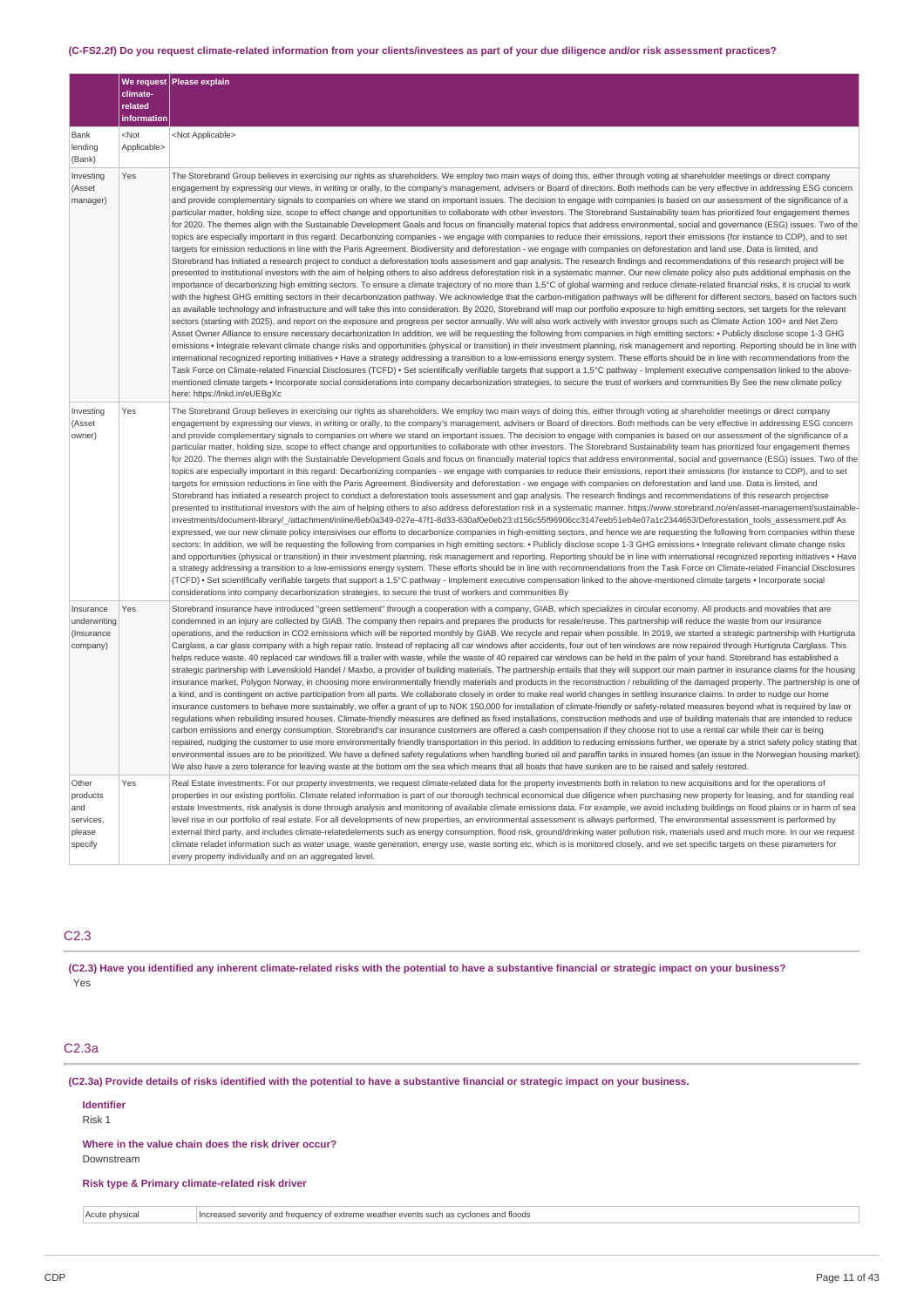### (C-FS2.2f) Do you request climate-related information from your clients/investees as part of your due diligence and/or risk assessment practices?

|                                                            | climate-<br>related<br>information | We request Please explain                                                                                                                                                                                                                                                                                                                                                                                                                                                                                                                                                                                                                                                                                                                                                                                                                                                                                                                                                                                                                                                                                                                                                                                                                                                                                                                                                                                                                                                                                                                                                                                                                                                                                                                                                                                                                                                                                                                                                                                                                                                                                                                                                                                                                                                                                                                                                                                                                                                                                                                                                                                                                                                                                                                                                                                                                                                                                                                                                                                                                                                                                                                                                                                                                                                                                                                                                                                                                                                                                  |
|------------------------------------------------------------|------------------------------------|------------------------------------------------------------------------------------------------------------------------------------------------------------------------------------------------------------------------------------------------------------------------------------------------------------------------------------------------------------------------------------------------------------------------------------------------------------------------------------------------------------------------------------------------------------------------------------------------------------------------------------------------------------------------------------------------------------------------------------------------------------------------------------------------------------------------------------------------------------------------------------------------------------------------------------------------------------------------------------------------------------------------------------------------------------------------------------------------------------------------------------------------------------------------------------------------------------------------------------------------------------------------------------------------------------------------------------------------------------------------------------------------------------------------------------------------------------------------------------------------------------------------------------------------------------------------------------------------------------------------------------------------------------------------------------------------------------------------------------------------------------------------------------------------------------------------------------------------------------------------------------------------------------------------------------------------------------------------------------------------------------------------------------------------------------------------------------------------------------------------------------------------------------------------------------------------------------------------------------------------------------------------------------------------------------------------------------------------------------------------------------------------------------------------------------------------------------------------------------------------------------------------------------------------------------------------------------------------------------------------------------------------------------------------------------------------------------------------------------------------------------------------------------------------------------------------------------------------------------------------------------------------------------------------------------------------------------------------------------------------------------------------------------------------------------------------------------------------------------------------------------------------------------------------------------------------------------------------------------------------------------------------------------------------------------------------------------------------------------------------------------------------------------------------------------------------------------------------------------------------------------|
| Bank<br>lending<br>(Bank)                                  | $<$ Not<br>Applicable>             | <not applicable=""></not>                                                                                                                                                                                                                                                                                                                                                                                                                                                                                                                                                                                                                                                                                                                                                                                                                                                                                                                                                                                                                                                                                                                                                                                                                                                                                                                                                                                                                                                                                                                                                                                                                                                                                                                                                                                                                                                                                                                                                                                                                                                                                                                                                                                                                                                                                                                                                                                                                                                                                                                                                                                                                                                                                                                                                                                                                                                                                                                                                                                                                                                                                                                                                                                                                                                                                                                                                                                                                                                                                  |
| Investing<br>(Asset<br>manager)                            | Yes                                | The Storebrand Group believes in exercising our rights as shareholders. We employ two main ways of doing this, either through voting at shareholder meetings or direct company<br>engagement by expressing our views, in writing or orally, to the company's management, advisers or Board of directors. Both methods can be very effective in addressing ESG concern<br>and provide complementary signals to companies on where we stand on important issues. The decision to engage with companies is based on our assessment of the significance of a<br>particular matter, holding size, scope to effect change and opportunities to collaborate with other investors. The Storebrand Sustainability team has prioritized four engagement themes<br>for 2020. The themes align with the Sustainable Development Goals and focus on financially material topics that address environmental, social and governance (ESG) issues. Two of the<br>topics are especially important in this regard: Decarbonizing companies - we engage with companies to reduce their emissions, report their emissions (for instance to CDP), and to set<br>targets for emission reductions in line with the Paris Agreement. Biodiversity and deforestation - we engage with companies on deforestation and land use. Data is limited, and<br>Storebrand has initiated a research project to conduct a deforestation tools assessment and gap analysis. The research findings and recommendations of this research project will be<br>presented to institutional investors with the aim of helping others to also address deforestation risk in a systematic manner. Our new climate policy also puts additional emphasis on the<br>importance of decarbonizing high emitting sectors. To ensure a climate trajectory of no more than 1,5°C of global warming and reduce climate-related financial risks, it is crucial to work<br>with the highest GHG emitting sectors in their decarbonization pathway. We acknowledge that the carbon-mitigation pathways will be different for different sectors, based on factors such<br>as available technology and infrastructure and will take this into consideration. By 2020, Storebrand will map our portfolio exposure to high emitting sectors, set targets for the relevant<br>sectors (starting with 2025), and report on the exposure and progress per sector annually. We will also work actively with investor groups such as Climate Action 100+ and Net Zero<br>Asset Owner Alliance to ensure necessary decarbonization In addition, we will be requesting the following from companies in high emitting sectors: • Publicly disclose scope 1-3 GHG<br>emissions • Integrate relevant climate change risks and opportunities (physical or transition) in their investment planning, risk management and reporting. Reporting should be in line with<br>international recognized reporting initiatives • Have a strategy addressing a transition to a low-emissions energy system. These efforts should be in line with recommendations from the<br>Task Force on Climate-related Financial Disclosures (TCFD) · Set scientifically verifiable targets that support a 1,5°C pathway - Implement executive compensation linked to the above-<br>mentioned climate targets • Incorporate social considerations into company decarbonization strategies, to secure the trust of workers and communities By See the new climate policy<br>here: https://lnkd.in/eUEBgXc |
| Investing<br>(Asset<br>owner)                              | Yes                                | The Storebrand Group believes in exercising our rights as shareholders. We employ two main ways of doing this, either through voting at shareholder meetings or direct company<br>engagement by expressing our views, in writing or orally, to the company's management, advisers or Board of directors. Both methods can be very effective in addressing ESG concern<br>and provide complementary signals to companies on where we stand on important issues. The decision to engage with companies is based on our assessment of the significance of a<br>particular matter, holding size, scope to effect change and opportunities to collaborate with other investors. The Storebrand Sustainability team has prioritized four engagement themes<br>for 2020. The themes align with the Sustainable Development Goals and focus on financially material topics that address environmental, social and governance (ESG) issues. Two of the<br>topics are especially important in this regard: Decarbonizing companies - we engage with companies to reduce their emissions, report their emissions (for instance to CDP), and to set<br>targets for emission reductions in line with the Paris Agreement. Biodiversity and deforestation - we engage with companies on deforestation and land use. Data is limited, and<br>Storebrand has initiated a research project to conduct a deforestation tools assessment and gap analysis. The research findings and recommendations of this research projectise<br>presented to institutional investors with the aim of helping others to also address deforestation risk in a systematic manner. https://www.storebrand.no/en/asset-management/sustainable-<br>investments/document-library/ /attachment/inline/6eb0a349-027e-47f1-8d33-630af0e0eb23:d156c55f96906cc3147eeb51eb4e07a1c2344653/Deforestation tools assessment.pdf As<br>expressed, we our new climate policy intensivises our efforts to decarbonize companies in high-emitting sectors, and hence we are requesting the following from companies within these<br>sectors: In addition, we will be requesting the following from companies in high emitting sectors: • Publicly disclose scope 1-3 GHG emissions • Integrate relevant climate change risks<br>and opportunities (physical or transition) in their investment planning, risk management and reporting. Reporting should be in line with international recognized reporting initiatives • Have<br>a strategy addressing a transition to a low-emissions energy system. These efforts should be in line with recommendations from the Task Force on Climate-related Financial Disclosures<br>(TCFD) • Set scientifically verifiable targets that support a 1,5°C pathway - Implement executive compensation linked to the above-mentioned climate targets • Incorporate social<br>considerations into company decarbonization strategies, to secure the trust of workers and communities By                                                                                                                                                                                                                                                                                                                                                                                                                                                                                                                                     |
| Insurance<br>underwriting<br>(Insurance<br>company)        | Yes                                | Storebrand insurance have introduced "green settlement" through a cooperation with a company, GIAB, which specializes in circular economy. All products and movables that are<br>condemned in an injury are collected by GIAB. The company then repairs and prepares the products for resale/reuse. This partnership will reduce the waste from our insurance<br>operations, and the reduction in CO2 emissions which will be reported monthly by GIAB. We recycle and repair when possible. In 2019, we started a strategic partnership with Hurtigruta<br>Carglass, a car glass company with a high repair ratio. Instead of replacing all car windows after accidents, four out of ten windows are now repaired through Hurtigruta Carglass. This<br>helps reduce waste. 40 replaced car windows fill a trailer with waste, while the waste of 40 repaired car windows can be held in the palm of your hand. Storebrand has established a<br>strategic partnership with Løvenskiold Handel / Maxbo, a provider of building materials. The partnership entails that they will support our main partner in insurance claims for the housing<br>insurance market, Polygon Norway, in choosing more environmentally friendly materials and products in the reconstruction / rebuilding of the damaged property. The partnership is one of<br>a kind, and is contingent on active participation from all parts. We collaborate closely in order to make real world changes in settling insurance claims. In order to nudge our home<br>insurance customers to behave more sustainably, we offer a grant of up to NOK 150,000 for installation of climate-friendly or safety-related measures beyond what is required by law or<br>requlations when rebuilding insured houses. Climate-friendly measures are defined as fixed installations, construction methods and use of building materials that are intended to reduce<br>carbon emissions and energy consumption. Storebrand's car insurance customers are offered a cash compensation if they choose not to use a rental car while their car is being<br>repaired, nudging the customer to use more environmentally friendly transportation in this period. In addition to reducing emissions further, we operate by a strict safety policy stating that<br>environmental issues are to be prioritized. We have a defined safety regulations when handling buried oil and paraffin tanks in insured homes (an issue in the Norwegian housing market)<br>We also have a zero tolerance for leaving waste at the bottom om the sea which means that all boats that have sunken are to be raised and safely restored.                                                                                                                                                                                                                                                                                                                                                                                                                                                                                                                                                                                                                                                                                                                                                                                                                                     |
| Other<br>products<br>and<br>services,<br>please<br>specify | Yes                                | Real Estate investments: For our property investments, we request climate-related data for the property investments both in relation to new acquisitions and for the operations of<br>properties in our existing portfolio. Climate related information is part of our thorough technical economical due diligence when purchasing new property for leasing, and for standing real<br>estate Investments, risk analysis is done through analysis and monitoring of available climate emissions data. For example, we avoid including buildings on flood plains or in harm of sea<br>level rise in our portfolio of real estate. For all developments of new properties, an environmental assessment is allways performed, The environmental assessment is performed by<br>external third party, and includes climate-relatedelements such as energy consumption, flood risk, ground/drinking water pollution risk, materials used and much more. In our we request<br>climate reladet information such as water usage, waste generation, energy use, waste sorting etc, which is is monitored closely, and we set specific targets on these parameters for<br>every property individually and on an aggregated level.                                                                                                                                                                                                                                                                                                                                                                                                                                                                                                                                                                                                                                                                                                                                                                                                                                                                                                                                                                                                                                                                                                                                                                                                                                                                                                                                                                                                                                                                                                                                                                                                                                                                                                                                                                                                                                                                                                                                                                                                                                                                                                                                                                                                                                                                                      |

### C2.3

(C2.3) Have you identified any inherent climate-related risks with the potential to have a substantive financial or strategic impact on your business? Yes

## C2.3a

(C2.3a) Provide details of risks identified with the potential to have a substantive financial or strategic impact on your business.

# **Identifier** Risk 1 **Where in the value chain does the risk driver occur?** Downstream

**Risk type & Primary climate-related risk driver**

Acute physical **Increased severity and frequency of extreme weather events such as cyclones and floods**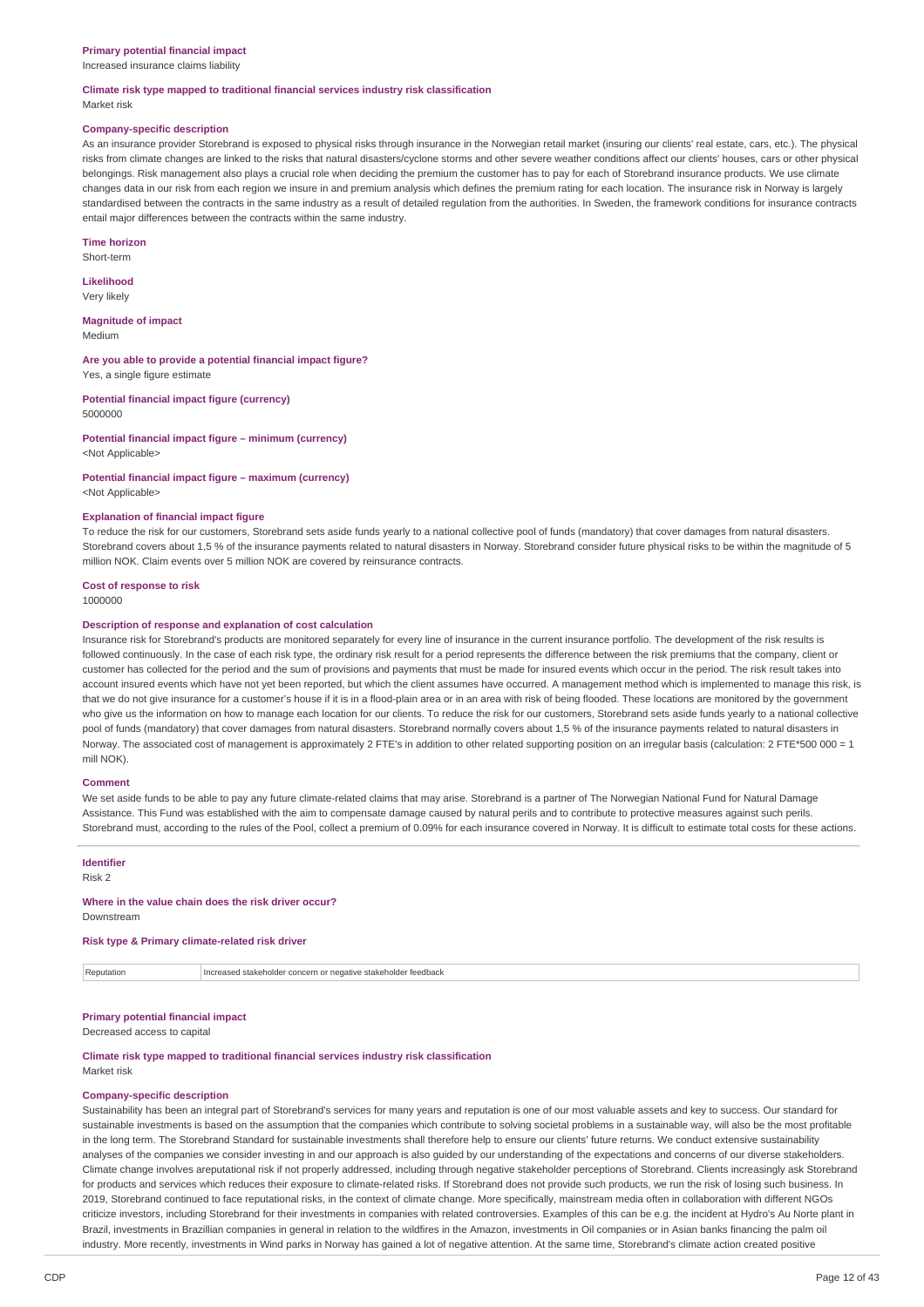#### **Primary potential financial impact**

Increased insurance claims liability

#### **Climate risk type mapped to traditional financial services industry risk classification** Market risk

#### **Company-specific description**

As an insurance provider Storebrand is exposed to physical risks through insurance in the Norwegian retail market (insuring our clients' real estate, cars, etc.). The physical risks from climate changes are linked to the risks that natural disasters/cyclone storms and other severe weather conditions affect our clients' houses, cars or other physical belongings. Risk management also plays a crucial role when deciding the premium the customer has to pay for each of Storebrand insurance products. We use climate changes data in our risk from each region we insure in and premium analysis which defines the premium rating for each location. The insurance risk in Norway is largely standardised between the contracts in the same industry as a result of detailed regulation from the authorities. In Sweden, the framework conditions for insurance contracts entail major differences between the contracts within the same industry.

**Time horizon**

Short-term

**Likelihood** Very likely

**Magnitude of impact** Medium

**Are you able to provide a potential financial impact figure?** Yes, a single figure estimate

**Potential financial impact figure (currency)** 5000000

**Potential financial impact figure – minimum (currency)** <Not Applicable>

# **Potential financial impact figure – maximum (currency)**

### <Not Applicable>

#### **Explanation of financial impact figure**

To reduce the risk for our customers, Storebrand sets aside funds yearly to a national collective pool of funds (mandatory) that cover damages from natural disasters. Storebrand covers about 1,5 % of the insurance payments related to natural disasters in Norway. Storebrand consider future physical risks to be within the magnitude of 5 million NOK. Claim events over 5 million NOK are covered by reinsurance contracts.

#### **Cost of response to risk**

1000000

#### **Description of response and explanation of cost calculation**

Insurance risk for Storebrand's products are monitored separately for every line of insurance in the current insurance portfolio. The development of the risk results is followed continuously. In the case of each risk type, the ordinary risk result for a period represents the difference between the risk premiums that the company, client or customer has collected for the period and the sum of provisions and payments that must be made for insured events which occur in the period. The risk result takes into account insured events which have not yet been reported, but which the client assumes have occurred. A management method which is implemented to manage this risk, is that we do not give insurance for a customer's house if it is in a flood-plain area or in an area with risk of being flooded. These locations are monitored by the government who give us the information on how to manage each location for our clients. To reduce the risk for our customers, Storebrand sets aside funds yearly to a national collective pool of funds (mandatory) that cover damages from natural disasters. Storebrand normally covers about 1,5 % of the insurance payments related to natural disasters in Norway. The associated cost of management is approximately 2 FTE's in addition to other related supporting position on an irregular basis (calculation: 2 FTE\*500 000 = 1 mill NOK).

#### **Comment**

We set aside funds to be able to pay any future climate-related claims that may arise. Storebrand is a partner of The Norwegian National Fund for Natural Damage Assistance. This Fund was established with the aim to compensate damage caused by natural perils and to contribute to protective measures against such perils. Storebrand must, according to the rules of the Pool, collect a premium of 0.09% for each insurance covered in Norway. It is difficult to estimate total costs for these actions.

### **Identifier**

Risk 2

#### **Where in the value chain does the risk driver occur?**

Downstream

### **Risk type & Primary climate-related risk driver**

Reputation Increased stakeholder concern or negative stakeholder feedback

## **Primary potential financial impact**

Decreased access to capital

#### **Climate risk type mapped to traditional financial services industry risk classification** Market risk

### **Company-specific description**

Sustainability has been an integral part of Storebrand's services for many years and reputation is one of our most valuable assets and key to success. Our standard for sustainable investments is based on the assumption that the companies which contribute to solving societal problems in a sustainable way, will also be the most profitable in the long term. The Storebrand Standard for sustainable investments shall therefore help to ensure our clients' future returns. We conduct extensive sustainability analyses of the companies we consider investing in and our approach is also guided by our understanding of the expectations and concerns of our diverse stakeholders. Climate change involves areputational risk if not properly addressed, including through negative stakeholder perceptions of Storebrand. Clients increasingly ask Storebrand for products and services which reduces their exposure to climate-related risks. If Storebrand does not provide such products, we run the risk of losing such business. In 2019, Storebrand continued to face reputational risks, in the context of climate change. More specifically, mainstream media often in collaboration with different NGOs criticize investors, including Storebrand for their investments in companies with related controversies. Examples of this can be e.g. the incident at Hydro's Au Norte plant in Brazil, investments in Brazillian companies in general in relation to the wildfires in the Amazon, investments in Oil companies or in Asian banks financing the palm oil industry. More recently, investments in Wind parks in Norway has gained a lot of negative attention. At the same time, Storebrand's climate action created positive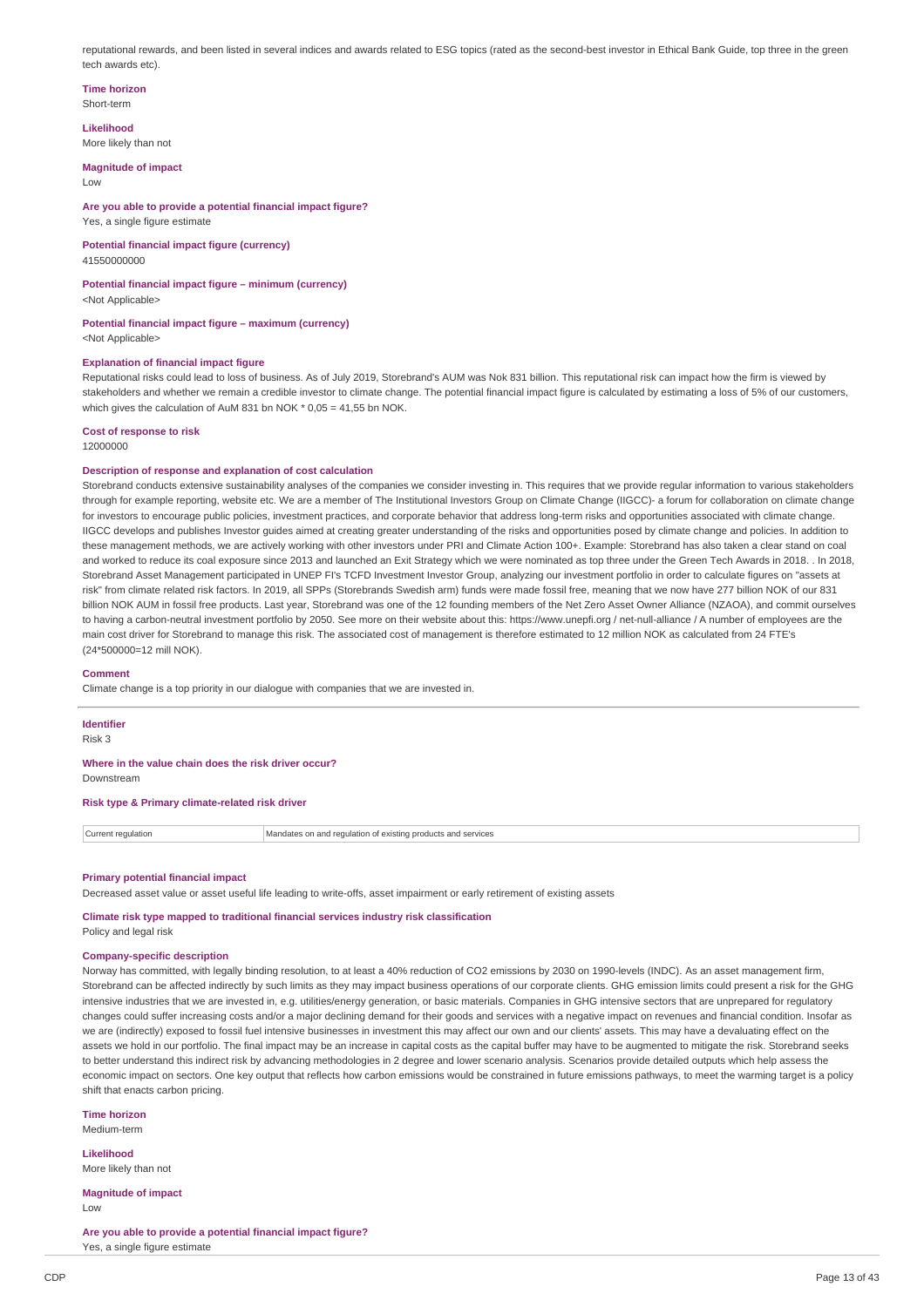reputational rewards, and been listed in several indices and awards related to ESG topics (rated as the second-best investor in Ethical Bank Guide, top three in the green tech awards etc)

#### **Time horizon** Short-term

**Likelihood**

More likely than not

**Magnitude of impact** Low

### **Are you able to provide a potential financial impact figure?** Yes, a single figure estimate

**Potential financial impact figure (currency)** 41550000000

**Potential financial impact figure – minimum (currency)** <Not Applicable>

**Potential financial impact figure – maximum (currency)** <Not Applicable>

### **Explanation of financial impact figure**

Reputational risks could lead to loss of business. As of July 2019, Storebrand's AUM was Nok 831 billion. This reputational risk can impact how the firm is viewed by stakeholders and whether we remain a credible investor to climate change. The potential financial impact figure is calculated by estimating a loss of 5% of our customers, which gives the calculation of AuM 831 bn NOK  $*$  0,05 = 41,55 bn NOK.

### **Cost of response to risk**

12000000

### **Description of response and explanation of cost calculation**

Storebrand conducts extensive sustainability analyses of the companies we consider investing in. This requires that we provide regular information to various stakeholders through for example reporting, website etc. We are a member of The Institutional Investors Group on Climate Change (IIGCC)- a forum for collaboration on climate change for investors to encourage public policies, investment practices, and corporate behavior that address long-term risks and opportunities associated with climate change. IIGCC develops and publishes Investor guides aimed at creating greater understanding of the risks and opportunities posed by climate change and policies. In addition to these management methods, we are actively working with other investors under PRI and Climate Action 100+. Example: Storebrand has also taken a clear stand on coal and worked to reduce its coal exposure since 2013 and launched an Exit Strategy which we were nominated as top three under the Green Tech Awards in 2018. . In 2018, Storebrand Asset Management participated in UNEP FI's TCFD Investment Investor Group, analyzing our investment portfolio in order to calculate figures on "assets at risk" from climate related risk factors. In 2019, all SPPs (Storebrands Swedish arm) funds were made fossil free, meaning that we now have 277 billion NOK of our 831 billion NOK AUM in fossil free products. Last year, Storebrand was one of the 12 founding members of the Net Zero Asset Owner Alliance (NZAOA), and commit ourselves to having a carbon-neutral investment portfolio by 2050. See more on their website about this: https://www.unepfi.org / net-null-alliance / A number of employees are the main cost driver for Storebrand to manage this risk. The associated cost of management is therefore estimated to 12 million NOK as calculated from 24 FTE's (24\*500000=12 mill NOK).

#### **Comment**

Climate change is a top priority in our dialogue with companies that we are invested in.

**Identifier**

Risk 3

**Where in the value chain does the risk driver occur?**

Downstream

**Risk type & Primary climate-related risk driver**

Current regulation Mandates on and regulation of existing products and services

#### **Primary potential financial impact**

Decreased asset value or asset useful life leading to write-offs, asset impairment or early retirement of existing assets

**Climate risk type mapped to traditional financial services industry risk classification** Policy and legal risk

#### **Company-specific description**

Norway has committed, with legally binding resolution, to at least a 40% reduction of CO2 emissions by 2030 on 1990-levels (INDC). As an asset management firm, Storebrand can be affected indirectly by such limits as they may impact business operations of our corporate clients. GHG emission limits could present a risk for the GHG intensive industries that we are invested in, e.g. utilities/energy generation, or basic materials. Companies in GHG intensive sectors that are unprepared for regulatory changes could suffer increasing costs and/or a major declining demand for their goods and services with a negative impact on revenues and financial condition. Insofar as we are (indirectly) exposed to fossil fuel intensive businesses in investment this may affect our own and our clients' assets. This may have a devaluating effect on the assets we hold in our portfolio. The final impact may be an increase in capital costs as the capital buffer may have to be augmented to mitigate the risk. Storebrand seeks to better understand this indirect risk by advancing methodologies in 2 degree and lower scenario analysis. Scenarios provide detailed outputs which help assess the economic impact on sectors. One key output that reflects how carbon emissions would be constrained in future emissions pathways, to meet the warming target is a policy shift that enacts carbon pricing.

**Time horizon** Medium-term

**Likelihood** More likely than not

**Magnitude of impact** Low

**Are you able to provide a potential financial impact figure?** Yes, a single figure estimate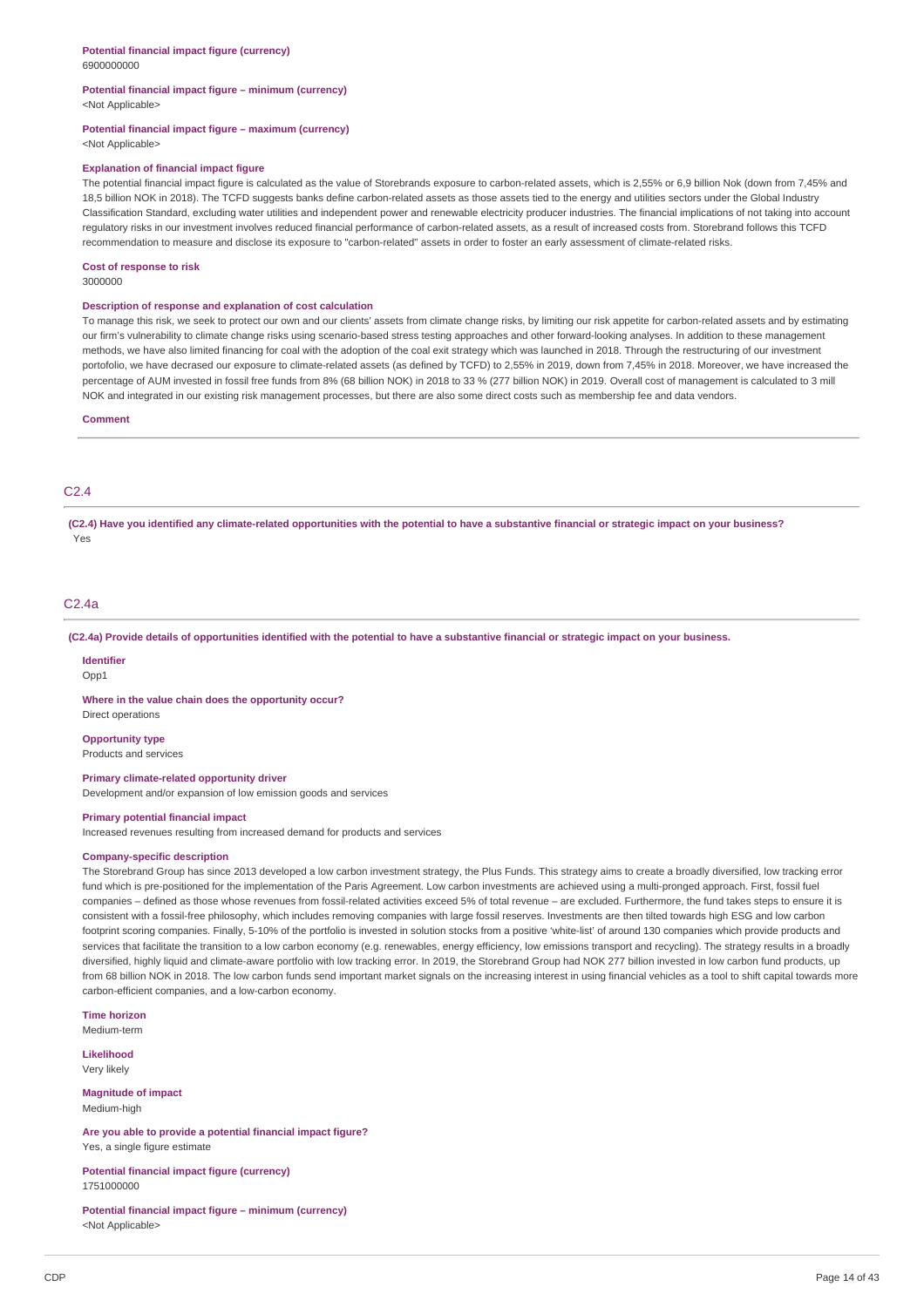#### **Potential financial impact figure – minimum (currency)** <Not Applicable>

### **Potential financial impact figure – maximum (currency)**

<Not Applicable>

#### **Explanation of financial impact figure**

The potential financial impact figure is calculated as the value of Storebrands exposure to carbon-related assets, which is 2,55% or 6,9 billion Nok (down from 7,45% and 18,5 billion NOK in 2018). The TCFD suggests banks define carbon-related assets as those assets tied to the energy and utilities sectors under the Global Industry Classification Standard, excluding water utilities and independent power and renewable electricity producer industries. The financial implications of not taking into account regulatory risks in our investment involves reduced financial performance of carbon-related assets, as a result of increased costs from. Storebrand follows this TCFD recommendation to measure and disclose its exposure to "carbon-related" assets in order to foster an early assessment of climate-related risks.

#### **Cost of response to risk**

3000000

#### **Description of response and explanation of cost calculation**

To manage this risk, we seek to protect our own and our clients' assets from climate change risks, by limiting our risk appetite for carbon-related assets and by estimating our firm's vulnerability to climate change risks using scenario-based stress testing approaches and other forward-looking analyses. In addition to these management methods, we have also limited financing for coal with the adoption of the coal exit strategy which was launched in 2018. Through the restructuring of our investment portofolio, we have decrased our exposure to climate-related assets (as defined by TCFD) to 2,55% in 2019, down from 7,45% in 2018. Moreover, we have increased the percentage of AUM invested in fossil free funds from 8% (68 billion NOK) in 2018 to 33 % (277 billion NOK) in 2019. Overall cost of management is calculated to 3 mill NOK and integrated in our existing risk management processes, but there are also some direct costs such as membership fee and data vendors.

#### **Comment**

### C2.4

(C2.4) Have you identified any climate-related opportunities with the potential to have a substantive financial or strategic impact on your business? Yes

### C2.4a

(C2.4a) Provide details of opportunities identified with the potential to have a substantive financial or strategic impact on your business.

### **Identifier**

Opp1

**Where in the value chain does the opportunity occur?** Direct operations

#### **Opportunity type**

Products and services

#### **Primary climate-related opportunity driver**

Development and/or expansion of low emission goods and services

#### **Primary potential financial impact**

Increased revenues resulting from increased demand for products and services

#### **Company-specific description**

The Storebrand Group has since 2013 developed a low carbon investment strategy, the Plus Funds. This strategy aims to create a broadly diversified, low tracking error fund which is pre-positioned for the implementation of the Paris Agreement. Low carbon investments are achieved using a multi-pronged approach. First, fossil fuel companies - defined as those whose revenues from fossil-related activities exceed 5% of total revenue - are excluded. Furthermore, the fund takes steps to ensure it is consistent with a fossil-free philosophy, which includes removing companies with large fossil reserves. Investments are then tilted towards high ESG and low carbon footprint scoring companies. Finally, 5-10% of the portfolio is invested in solution stocks from a positive 'white-list' of around 130 companies which provide products and services that facilitate the transition to a low carbon economy (e.g. renewables, energy efficiency, low emissions transport and recycling). The strategy results in a broadly diversified, highly liquid and climate-aware portfolio with low tracking error. In 2019, the Storebrand Group had NOK 277 billion invested in low carbon fund products, up from 68 billion NOK in 2018. The low carbon funds send important market signals on the increasing interest in using financial vehicles as a tool to shift capital towards more carbon-efficient companies, and a low-carbon economy.

**Time horizon** Medium-term

**Likelihood** Very likely

**Magnitude of impact** Medium-high

**Are you able to provide a potential financial impact figure?** Yes, a single figure estimate

**Potential financial impact figure (currency)** 1751000000

**Potential financial impact figure – minimum (currency)** <Not Applicable>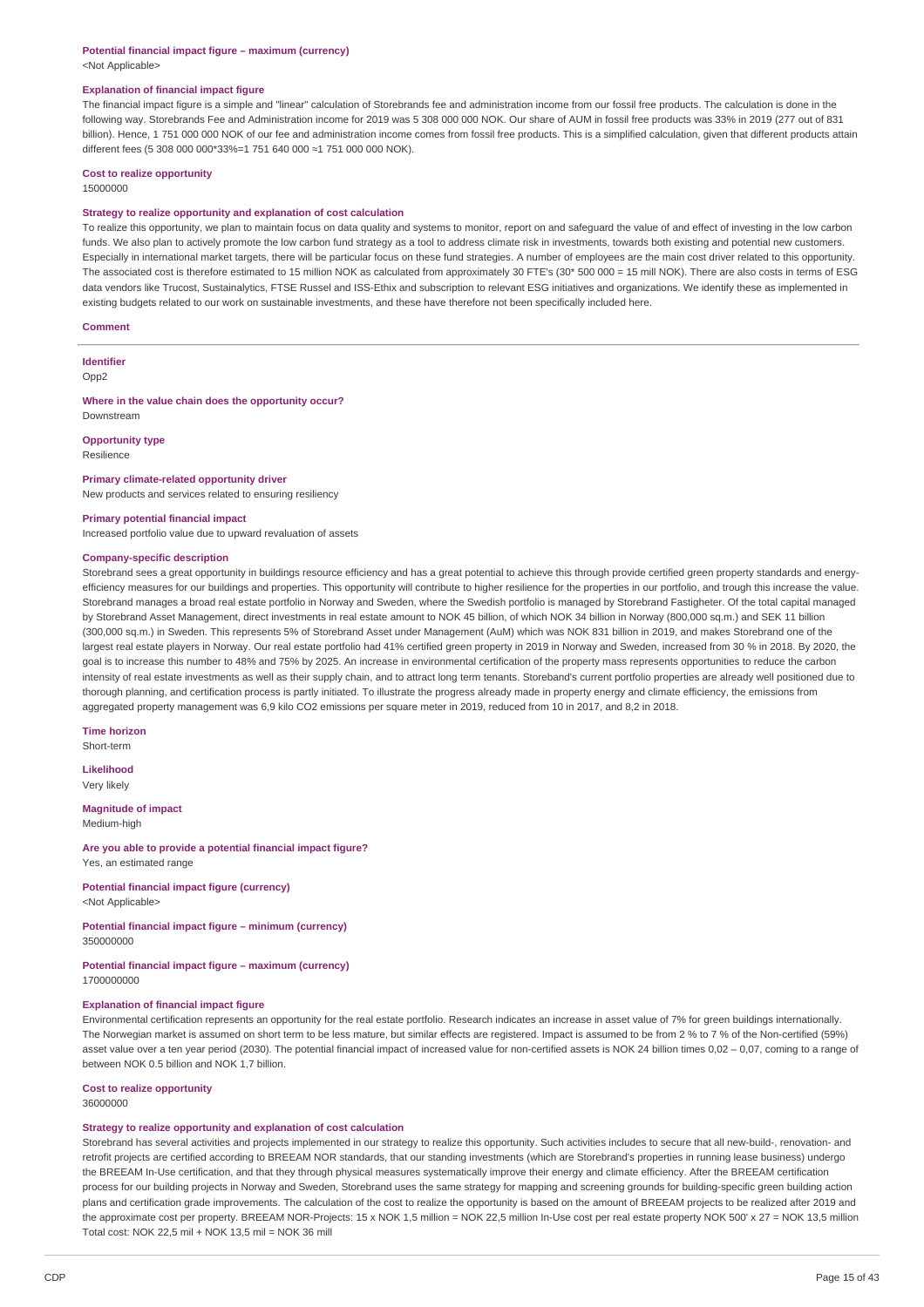#### **Potential financial impact figure – maximum (currency)** <Not Applicable>

#### **Explanation of financial impact figure**

The financial impact figure is a simple and "linear" calculation of Storebrands fee and administration income from our fossil free products. The calculation is done in the following way. Storebrands Fee and Administration income for 2019 was 5 308 000 000 NOK. Our share of AUM in fossil free products was 33% in 2019 (277 out of 831 billion). Hence, 1 751 000 000 NOK of our fee and administration income comes from fossil free products. This is a simplified calculation, given that different products attain different fees (5 308 000 000\*33%=1 751 640 000 ≈1 751 000 000 NOK).

# **Cost to realize opportunity**

### 15000000

#### **Strategy to realize opportunity and explanation of cost calculation**

To realize this opportunity, we plan to maintain focus on data quality and systems to monitor, report on and safeguard the value of and effect of investing in the low carbon funds. We also plan to actively promote the low carbon fund strategy as a tool to address climate risk in investments, towards both existing and potential new customers Especially in international market targets, there will be particular focus on these fund strategies. A number of employees are the main cost driver related to this opportunity. The associated cost is therefore estimated to 15 million NOK as calculated from approximately 30 FTE's (30\* 500 000 = 15 mill NOK). There are also costs in terms of ESG data vendors like Trucost, Sustainalytics, FTSE Russel and ISS-Ethix and subscription to relevant ESG initiatives and organizations. We identify these as implemented in existing budgets related to our work on sustainable investments, and these have therefore not been specifically included here.

#### **Comment**

**Identifier** Opp2

#### **Where in the value chain does the opportunity occur?** Downstream

**Opportunity type**

Resilience

#### **Primary climate-related opportunity driver**

New products and services related to ensuring resiliency

#### **Primary potential financial impact**

Increased portfolio value due to upward revaluation of assets

#### **Company-specific description**

Storebrand sees a great opportunity in buildings resource efficiency and has a great potential to achieve this through provide certified green property standards and energyefficiency measures for our buildings and properties. This opportunity will contribute to higher resilience for the properties in our portfolio, and trough this increase the value. Storebrand manages a broad real estate portfolio in Norway and Sweden, where the Swedish portfolio is managed by Storebrand Fastigheter. Of the total capital managed by Storebrand Asset Management, direct investments in real estate amount to NOK 45 billion, of which NOK 34 billion in Norway (800,000 sq.m.) and SEK 11 billion (300,000 sq.m.) in Sweden. This represents 5% of Storebrand Asset under Management (AuM) which was NOK 831 billion in 2019, and makes Storebrand one of the largest real estate players in Norway. Our real estate portfolio had 41% certified green property in 2019 in Norway and Sweden, increased from 30 % in 2018. By 2020, the goal is to increase this number to 48% and 75% by 2025. An increase in environmental certification of the property mass represents opportunities to reduce the carbon intensity of real estate investments as well as their supply chain, and to attract long term tenants. Storeband's current portfolio properties are already well positioned due to thorough planning, and certification process is partly initiated. To illustrate the progress already made in property energy and climate efficiency, the emissions from aggregated property management was 6,9 kilo CO2 emissions per square meter in 2019, reduced from 10 in 2017, and 8,2 in 2018.

### **Time horizon**

Short-term

**Likelihood** Very likely

#### **Magnitude of impact**

Medium-high

#### **Are you able to provide a potential financial impact figure?** Yes, an estimated range

**Potential financial impact figure (currency)** <Not Applicable>

**Potential financial impact figure – minimum (currency)**

350000000

### **Potential financial impact figure – maximum (currency)** 1700000000

#### **Explanation of financial impact figure**

Environmental certification represents an opportunity for the real estate portfolio. Research indicates an increase in asset value of 7% for green buildings internationally. The Norwegian market is assumed on short term to be less mature, but similar effects are registered. Impact is assumed to be from 2 % to 7 % of the Non-certified (59%) asset value over a ten year period (2030). The potential financial impact of increased value for non-certified assets is NOK 24 billion times 0,02 - 0,07, coming to a range of between NOK 0.5 billion and NOK 1,7 billion.

#### **Cost to realize opportunity** 36000000

### **Strategy to realize opportunity and explanation of cost calculation**

Storebrand has several activities and projects implemented in our strategy to realize this opportunity. Such activities includes to secure that all new-build-, renovation- and retrofit projects are certified according to BREEAM NOR standards, that our standing investments (which are Storebrand's properties in running lease business) undergo the BREEAM In-Use certification, and that they through physical measures systematically improve their energy and climate efficiency. After the BREEAM certification process for our building projects in Norway and Sweden, Storebrand uses the same strategy for mapping and screening grounds for building-specific green building action plans and certification grade improvements. The calculation of the cost to realize the opportunity is based on the amount of BREEAM projects to be realized after 2019 and the approximate cost per property. BREEAM NOR-Projects: 15 x NOK 1,5 million = NOK 22,5 million In-Use cost per real estate property NOK 500' x 27 = NOK 13,5 million Total cost: NOK 22,5 mil + NOK 13,5 mil = NOK 36 mill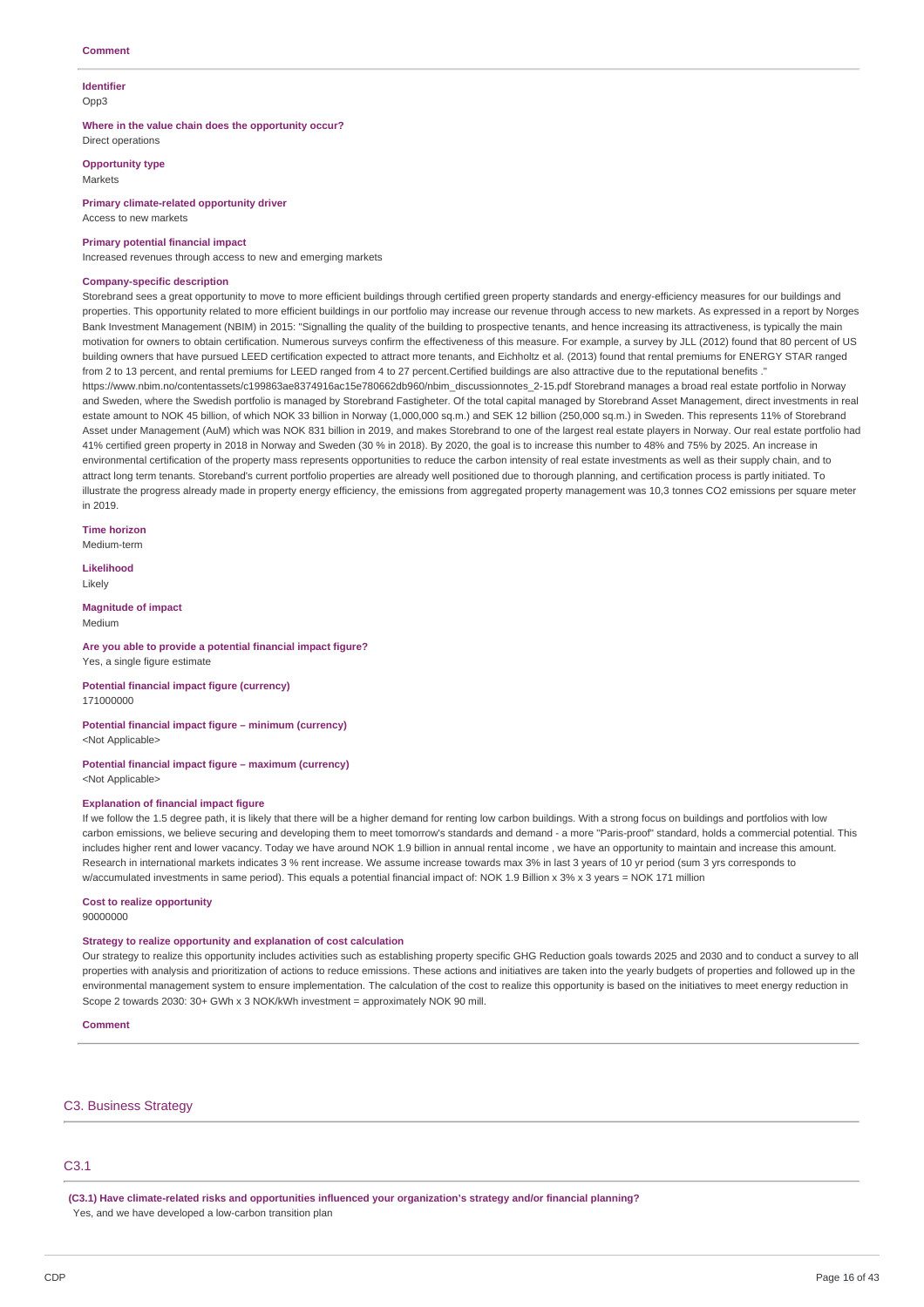#### **Identifier** Opp3

**Where in the value chain does the opportunity occur?**

Direct operations

**Opportunity type** Markets

**Primary climate-related opportunity driver** Access to new markets

#### **Primary potential financial impact**

Increased revenues through access to new and emerging markets

#### **Company-specific description**

Storebrand sees a great opportunity to move to more efficient buildings through certified green property standards and energy-efficiency measures for our buildings and properties. This opportunity related to more efficient buildings in our portfolio may increase our revenue through access to new markets. As expressed in a report by Norges Bank Investment Management (NBIM) in 2015: "Signalling the quality of the building to prospective tenants, and hence increasing its attractiveness, is typically the main motivation for owners to obtain certification. Numerous surveys confirm the effectiveness of this measure. For example, a survey by JLL (2012) found that 80 percent of US building owners that have pursued LEED certification expected to attract more tenants, and Eichholtz et al. (2013) found that rental premiums for ENERGY STAR ranged from 2 to 13 percent, and rental premiums for LEED ranged from 4 to 27 percent.Certified buildings are also attractive due to the reputational benefits ." https://www.nbim.no/contentassets/c199863ae8374916ac15e780662db960/nbim\_discussionnotes\_2-15.pdf Storebrand manages a broad real estate portfolio in Norway and Sweden, where the Swedish portfolio is managed by Storebrand Fastigheter. Of the total capital managed by Storebrand Asset Management, direct investments in real estate amount to NOK 45 billion, of which NOK 33 billion in Norway (1,000,000 sq.m.) and SEK 12 billion (250,000 sq.m.) in Sweden. This represents 11% of Storebrand Asset under Management (AuM) which was NOK 831 billion in 2019, and makes Storebrand to one of the largest real estate players in Norway. Our real estate portfolio had 41% certified green property in 2018 in Norway and Sweden (30 % in 2018). By 2020, the goal is to increase this number to 48% and 75% by 2025. An increase in environmental certification of the property mass represents opportunities to reduce the carbon intensity of real estate investments as well as their supply chain, and to attract long term tenants. Storeband's current portfolio properties are already well positioned due to thorough planning, and certification process is partly initiated. To illustrate the progress already made in property energy efficiency, the emissions from aggregated property management was 10,3 tonnes CO2 emissions per square meter in 2019.

**Time horizon**

Medium-term

**Likelihood** Likely

**Magnitude of impact** Medium

# **Are you able to provide a potential financial impact figure?**

Yes, a single figure estimate

### **Potential financial impact figure (currency)** 171000000

# **Potential financial impact figure – minimum (currency)**

<Not Applicable>

#### **Potential financial impact figure – maximum (currency)** <Not Applicable>

#### **Explanation of financial impact figure**

If we follow the 1.5 degree path, it is likely that there will be a higher demand for renting low carbon buildings. With a strong focus on buildings and portfolios with low carbon emissions, we believe securing and developing them to meet tomorrow's standards and demand - a more "Paris-proof" standard, holds a commercial potential. This includes higher rent and lower vacancy. Today we have around NOK 1.9 billion in annual rental income , we have an opportunity to maintain and increase this amount. Research in international markets indicates 3 % rent increase. We assume increase towards max 3% in last 3 years of 10 yr period (sum 3 yrs corresponds to w/accumulated investments in same period). This equals a potential financial impact of: NOK 1.9 Billion x 3% x 3 years = NOK 171 million

# **Cost to realize opportunity**

90000000

### **Strategy to realize opportunity and explanation of cost calculation**

Our strategy to realize this opportunity includes activities such as establishing property specific GHG Reduction goals towards 2025 and 2030 and to conduct a survey to all properties with analysis and prioritization of actions to reduce emissions. These actions and initiatives are taken into the yearly budgets of properties and followed up in the environmental management system to ensure implementation. The calculation of the cost to realize this opportunity is based on the initiatives to meet energy reduction in Scope 2 towards 2030: 30+ GWh x 3 NOK/kWh investment = approximately NOK 90 mill.

**Comment**

### C3. Business Strategy

# C3.1

**(C3.1) Have climate-related risks and opportunities influenced your organization's strategy and/or financial planning?** Yes, and we have developed a low-carbon transition plan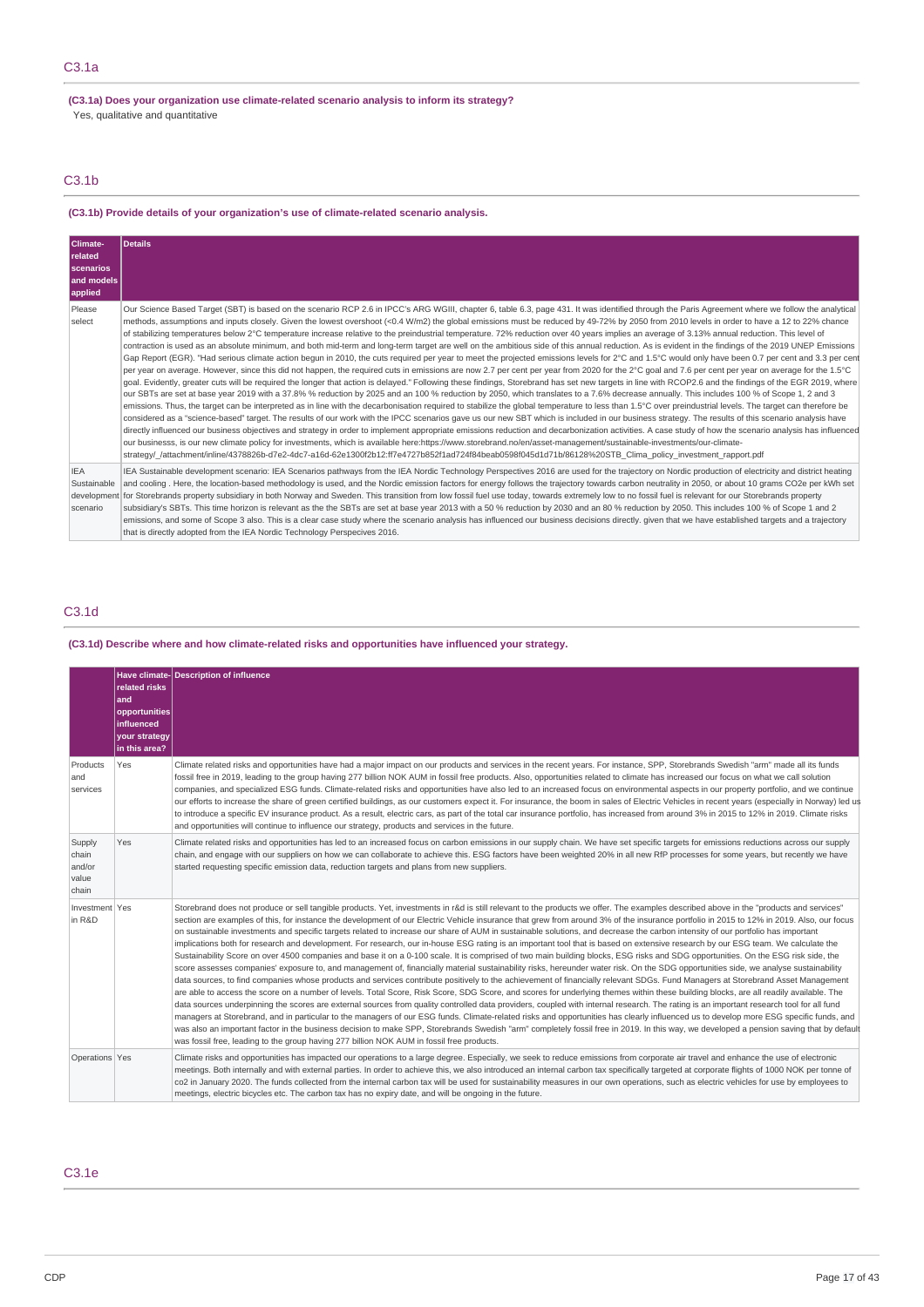### **(C3.1a) Does your organization use climate-related scenario analysis to inform its strategy?** Yes, qualitative and quantitative

# C3.1b

### **(C3.1b) Provide details of your organization's use of climate-related scenario analysis.**

| Climate-<br>related<br>scenarios<br>and models<br>applied | Details                                                                                                                                                                                                                                                                                                                                                                                                                                                                                                                                                                                                                                                                                                                                                                                                                                                                                                                                                                                                                                                                                                                                                                                                                                                                                                                                                                                                                                                                                                                                                                                                                                                                                                                                                                                                                                                                                                                                                                                                                                                                                                                                                                                                                                                                                                                                                                                                                                                                                                                                                                                              |
|-----------------------------------------------------------|------------------------------------------------------------------------------------------------------------------------------------------------------------------------------------------------------------------------------------------------------------------------------------------------------------------------------------------------------------------------------------------------------------------------------------------------------------------------------------------------------------------------------------------------------------------------------------------------------------------------------------------------------------------------------------------------------------------------------------------------------------------------------------------------------------------------------------------------------------------------------------------------------------------------------------------------------------------------------------------------------------------------------------------------------------------------------------------------------------------------------------------------------------------------------------------------------------------------------------------------------------------------------------------------------------------------------------------------------------------------------------------------------------------------------------------------------------------------------------------------------------------------------------------------------------------------------------------------------------------------------------------------------------------------------------------------------------------------------------------------------------------------------------------------------------------------------------------------------------------------------------------------------------------------------------------------------------------------------------------------------------------------------------------------------------------------------------------------------------------------------------------------------------------------------------------------------------------------------------------------------------------------------------------------------------------------------------------------------------------------------------------------------------------------------------------------------------------------------------------------------------------------------------------------------------------------------------------------------|
| Please<br>select                                          | Our Science Based Target (SBT) is based on the scenario RCP 2.6 in IPCC's ARG WGIII, chapter 6, table 6.3, page 431. It was identified through the Paris Agreement where we follow the analytical<br>methods, assumptions and inputs closely. Given the lowest overshoot (<0.4 W/m2) the global emissions must be reduced by 49-72% by 2050 from 2010 levels in order to have a 12 to 22% chance<br>of stabilizing temperatures below 2°C temperature increase relative to the preindustrial temperature. 72% reduction over 40 years implies an average of 3.13% annual reduction. This level of<br>contraction is used as an absolute minimum, and both mid-term and long-term target are well on the ambitious side of this annual reduction. As is evident in the findings of the 2019 UNEP Emissions<br>Gap Report (EGR). "Had serious climate action begun in 2010, the cuts required per year to meet the projected emissions levels for 2°C and 1.5°C would only have been 0.7 per cent and 3.3 per cent<br>per year on average. However, since this did not happen, the required cuts in emissions are now 2.7 per cent per year from 2020 for the 2°C goal and 7.6 per cent per year on average for the 1.5°C<br>goal. Evidently, greater cuts will be required the longer that action is delayed." Following these findings, Storebrand has set new targets in line with RCOP2.6 and the findings of the EGR 2019, where<br>our SBTs are set at base year 2019 with a 37.8% % reduction by 2025 and an 100 % reduction by 2050, which translates to a 7.6% decrease annually. This includes 100 % of Scope 1, 2 and 3<br>emissions. Thus, the target can be interpreted as in line with the decarbonisation required to stabilize the global temperature to less than 1.5°C over preindustrial levels. The target can therefore be<br>considered as a "science-based" target. The results of our work with the IPCC scenarios gave us our new SBT which is included in our business strategy. The results of this scenario analysis have<br>directly influenced our business objectives and strategy in order to implement appropriate emissions reduction and decarbonization activities. A case study of how the scenario analysis has influenced<br>our businesss, is our new climate policy for investments, which is available here:https://www.storebrand.no/en/asset-management/sustainable-investments/our-climate-<br>strategy/ /attachment/inline/4378826b-d7e2-4dc7-a16d-62e1300f2b12:ff7e4727b852f1ad724f84beab0598f045d1d71b/86128%20STB Clima policy investment rapport.pdf |
| <b>IEA</b><br>Sustainable<br>scenario                     | IEA Sustainable development scenario: IEA Scenarios pathways from the IEA Nordic Technology Perspectives 2016 are used for the trajectory on Nordic production of electricity and district heating<br>and cooling. Here, the location-based methodology is used, and the Nordic emission factors for energy follows the trajectory towards carbon neutrality in 2050, or about 10 grams CO2e per kWh set<br>development for Storebrands property subsidiary in both Norway and Sweden. This transition from low fossil fuel use today, towards extremely low to no fossil fuel is relevant for our Storebrands property<br>subsidiary's SBTs. This time horizon is relevant as the the SBTs are set at base year 2013 with a 50 % reduction by 2030 and an 80 % reduction by 2050. This includes 100 % of Scope 1 and 2<br>emissions, and some of Scope 3 also. This is a clear case study where the scenario analysis has influenced our business decisions directly, given that we have established targets and a trajectory<br>that is directly adopted from the IEA Nordic Technology Perspecives 2016.                                                                                                                                                                                                                                                                                                                                                                                                                                                                                                                                                                                                                                                                                                                                                                                                                                                                                                                                                                                                                                                                                                                                                                                                                                                                                                                                                                                                                                                                                          |

# C3.1d

### **(C3.1d) Describe where and how climate-related risks and opportunities have influenced your strategy.**

|                                             | related risks<br>and<br>opportunities<br>influenced<br>your strategy<br>in this area? | Have climate-Description of influence                                                                                                                                                                                                                                                                                                                                                                                                                                                                                                                                                                                                                                                                                                                                                                                                                                                                                                                                                                                                                                                                                                                                                                                                                                                                                                                                                                                                                                                                                                                                                                                                                                                                                                                                                                                                                                                                                                                                                                                                                                                                                                                                                         |
|---------------------------------------------|---------------------------------------------------------------------------------------|-----------------------------------------------------------------------------------------------------------------------------------------------------------------------------------------------------------------------------------------------------------------------------------------------------------------------------------------------------------------------------------------------------------------------------------------------------------------------------------------------------------------------------------------------------------------------------------------------------------------------------------------------------------------------------------------------------------------------------------------------------------------------------------------------------------------------------------------------------------------------------------------------------------------------------------------------------------------------------------------------------------------------------------------------------------------------------------------------------------------------------------------------------------------------------------------------------------------------------------------------------------------------------------------------------------------------------------------------------------------------------------------------------------------------------------------------------------------------------------------------------------------------------------------------------------------------------------------------------------------------------------------------------------------------------------------------------------------------------------------------------------------------------------------------------------------------------------------------------------------------------------------------------------------------------------------------------------------------------------------------------------------------------------------------------------------------------------------------------------------------------------------------------------------------------------------------|
| Products<br>and<br>services                 | Yes                                                                                   | Climate related risks and opportunities have had a major impact on our products and services in the recent years. For instance, SPP, Storebrands Swedish "arm" made all its funds<br>fossil free in 2019, leading to the group having 277 billion NOK AUM in fossil free products. Also, opportunities related to climate has increased our focus on what we call solution<br>companies, and specialized ESG funds. Climate-related risks and opportunities have also led to an increased focus on environmental aspects in our property portfolio, and we continue<br>our efforts to increase the share of green certified buildings, as our customers expect it. For insurance, the boom in sales of Electric Vehicles in recent years (especially in Norway) led us<br>to introduce a specific EV insurance product. As a result, electric cars, as part of the total car insurance portfolio, has increased from around 3% in 2015 to 12% in 2019. Climate risks<br>and opportunities will continue to influence our strategy, products and services in the future.                                                                                                                                                                                                                                                                                                                                                                                                                                                                                                                                                                                                                                                                                                                                                                                                                                                                                                                                                                                                                                                                                                                       |
| Supply<br>chain<br>and/or<br>value<br>chain | Yes                                                                                   | Climate related risks and opportunities has led to an increased focus on carbon emissions in our supply chain. We have set specific targets for emissions reductions across our supply<br>chain, and engage with our suppliers on how we can collaborate to achieve this. ESG factors have been weighted 20% in all new RfP processes for some years, but recently we have<br>started requesting specific emission data, reduction targets and plans from new suppliers.                                                                                                                                                                                                                                                                                                                                                                                                                                                                                                                                                                                                                                                                                                                                                                                                                                                                                                                                                                                                                                                                                                                                                                                                                                                                                                                                                                                                                                                                                                                                                                                                                                                                                                                      |
| Investment Yes<br>in R&D                    |                                                                                       | Storebrand does not produce or sell tangible products. Yet, investments in r&d is still relevant to the products we offer. The examples described above in the "products and services"<br>section are examples of this, for instance the development of our Electric Vehicle insurance that grew from around 3% of the insurance portfolio in 2015 to 12% in 2019. Also, our focus<br>on sustainable investments and specific targets related to increase our share of AUM in sustainable solutions, and decrease the carbon intensity of our portfolio has important<br>implications both for research and development. For research, our in-house ESG rating is an important tool that is based on extensive research by our ESG team. We calculate the<br>Sustainability Score on over 4500 companies and base it on a 0-100 scale. It is comprised of two main building blocks, ESG risks and SDG opportunities. On the ESG risk side, the<br>score assesses companies' exposure to, and management of, financially material sustainability risks, hereunder water risk. On the SDG opportunities side, we analyse sustainability<br>data sources, to find companies whose products and services contribute positively to the achievement of financially relevant SDGs. Fund Managers at Storebrand Asset Management<br>are able to access the score on a number of levels. Total Score, Risk Score, SDG Score, and scores for underlying themes within these building blocks, are all readily available. The<br>data sources underpinning the scores are external sources from quality controlled data providers, coupled with internal research. The rating is an important research tool for all fund<br>managers at Storebrand, and in particular to the managers of our ESG funds. Climate-related risks and opportunities has clearly influenced us to develop more ESG specific funds, and<br>was also an important factor in the business decision to make SPP, Storebrands Swedish "arm" completely fossil free in 2019. In this way, we developed a pension saving that by default<br>was fossil free, leading to the group having 277 billion NOK AUM in fossil free products. |
| Operations Yes                              |                                                                                       | Climate risks and opportunities has impacted our operations to a large degree. Especially, we seek to reduce emissions from corporate air travel and enhance the use of electronic<br>meetings. Both internally and with external parties. In order to achieve this, we also introduced an internal carbon tax specifically targeted at corporate flights of 1000 NOK per tonne of<br>co2 in January 2020. The funds collected from the internal carbon tax will be used for sustainability measures in our own operations, such as electric vehicles for use by employees to<br>meetings, electric bicycles etc. The carbon tax has no expiry date, and will be ongoing in the future.                                                                                                                                                                                                                                                                                                                                                                                                                                                                                                                                                                                                                                                                                                                                                                                                                                                                                                                                                                                                                                                                                                                                                                                                                                                                                                                                                                                                                                                                                                       |

# C3.1e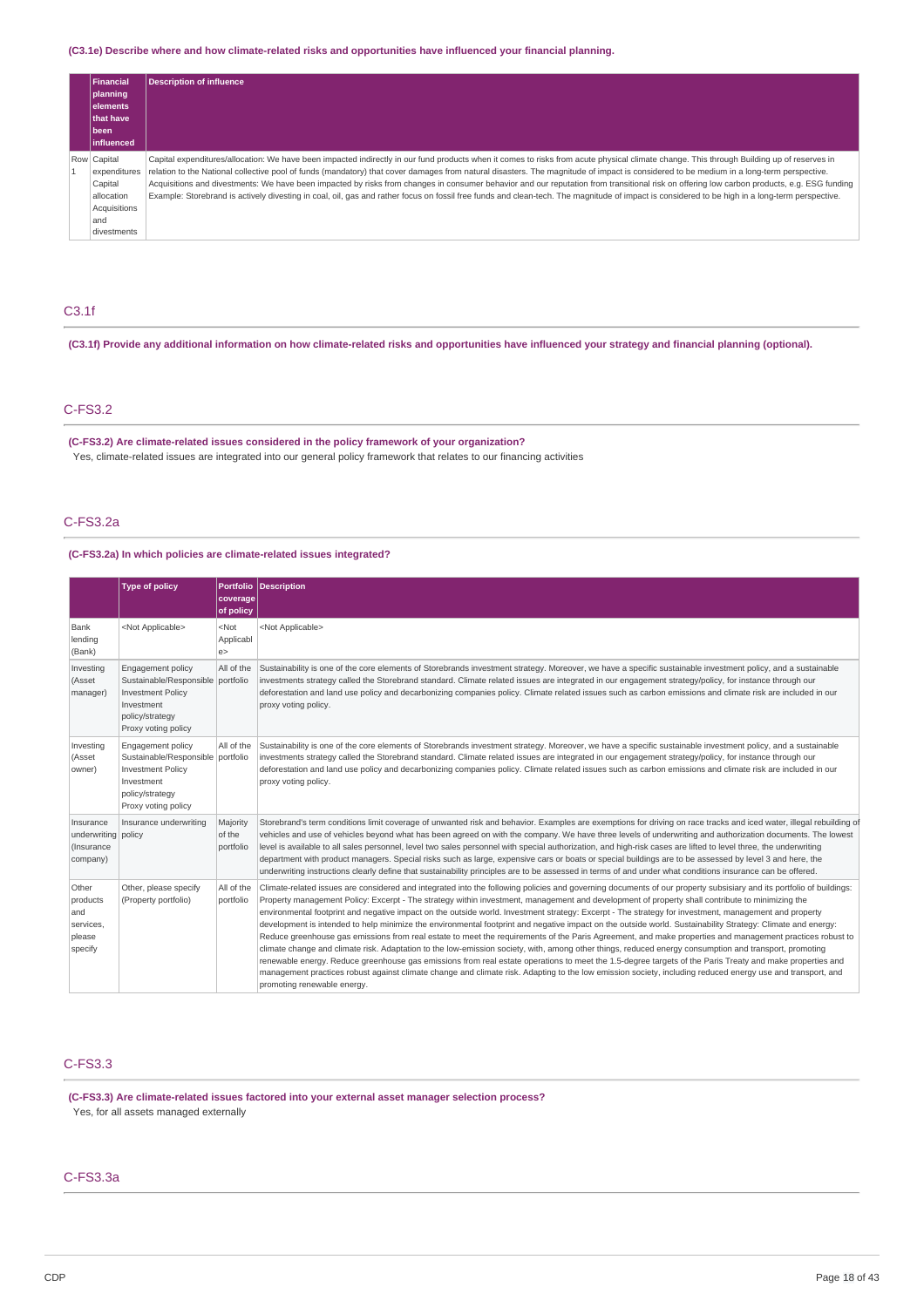### **(C3.1e) Describe where and how climate-related risks and opportunities have influenced your financial planning.**

| Financial<br>planning<br><b>elements</b><br>that have<br>l been<br>linfluenced             | <b>Description of influence</b>                                                                                                                                                                                                                                                                                                                                                                                                                                                                                                                                                                                                                                                                                                                                                      |
|--------------------------------------------------------------------------------------------|--------------------------------------------------------------------------------------------------------------------------------------------------------------------------------------------------------------------------------------------------------------------------------------------------------------------------------------------------------------------------------------------------------------------------------------------------------------------------------------------------------------------------------------------------------------------------------------------------------------------------------------------------------------------------------------------------------------------------------------------------------------------------------------|
| Row Capital<br>expenditures<br>Capital<br>allocation<br>Acquisitions<br>and<br>divestments | Capital expenditures/allocation: We have been impacted indirectly in our fund products when it comes to risks from acute physical climate change. This through Building up of reserves in<br>relation to the National collective pool of funds (mandatory) that cover damages from natural disasters. The magnitude of impact is considered to be medium in a long-term perspective.<br>Acquisitions and divestments: We have been impacted by risks from changes in consumer behavior and our reputation from transitional risk on offering low carbon products, e.g. ESG funding<br>Example: Storebrand is actively divesting in coal, oil, gas and rather focus on fossil free funds and clean-tech. The magnitude of impact is considered to be high in a long-term perspective. |

# C3.1f

(C3.1f) Provide any additional information on how climate-related risks and opportunities have influenced your strategy and financial planning (optional).

### C-FS3.2

**(C-FS3.2) Are climate-related issues considered in the policy framework of your organization?** Yes, climate-related issues are integrated into our general policy framework that relates to our financing activities

### C-FS3.2a

### **(C-FS3.2a) In which policies are climate-related issues integrated?**

|                                                            | <b>Type of policy</b>                                                                                                                             |                                 | Portfolio Description                                                                                                                                                                                                                                                                                                                                                                                                                                                                                                                                                                                                                                                                                                                                                                                                                                                                                                                                                                                                                                                                                                                                                                                                                                                                                                         |
|------------------------------------------------------------|---------------------------------------------------------------------------------------------------------------------------------------------------|---------------------------------|-------------------------------------------------------------------------------------------------------------------------------------------------------------------------------------------------------------------------------------------------------------------------------------------------------------------------------------------------------------------------------------------------------------------------------------------------------------------------------------------------------------------------------------------------------------------------------------------------------------------------------------------------------------------------------------------------------------------------------------------------------------------------------------------------------------------------------------------------------------------------------------------------------------------------------------------------------------------------------------------------------------------------------------------------------------------------------------------------------------------------------------------------------------------------------------------------------------------------------------------------------------------------------------------------------------------------------|
|                                                            |                                                                                                                                                   | coverage<br>of policy           |                                                                                                                                                                                                                                                                                                                                                                                                                                                                                                                                                                                                                                                                                                                                                                                                                                                                                                                                                                                                                                                                                                                                                                                                                                                                                                                               |
| Bank<br>lending<br>(Bank)                                  | <not applicable=""></not>                                                                                                                         | $<$ Not<br>Applicabl<br>e       | <not applicable=""></not>                                                                                                                                                                                                                                                                                                                                                                                                                                                                                                                                                                                                                                                                                                                                                                                                                                                                                                                                                                                                                                                                                                                                                                                                                                                                                                     |
| Investing<br>(Asset<br>manager)                            | <b>Engagement policy</b><br>Sustainable/Responsible portfolio<br><b>Investment Policy</b><br>Investment<br>policy/strategy<br>Proxy voting policy | All of the                      | Sustainability is one of the core elements of Storebrands investment strategy. Moreover, we have a specific sustainable investment policy, and a sustainable<br>investments strategy called the Storebrand standard. Climate related issues are integrated in our engagement strategy/policy, for instance through our<br>deforestation and land use policy and decarbonizing companies policy. Climate related issues such as carbon emissions and climate risk are included in our<br>proxy voting policy.                                                                                                                                                                                                                                                                                                                                                                                                                                                                                                                                                                                                                                                                                                                                                                                                                  |
| Investing<br>(Asset<br>owner)                              | <b>Engagement policy</b><br>Sustainable/Responsible portfolio<br><b>Investment Policy</b><br>Investment<br>policy/strategy<br>Proxy voting policy | All of the                      | Sustainability is one of the core elements of Storebrands investment strategy. Moreover, we have a specific sustainable investment policy, and a sustainable<br>investments strategy called the Storebrand standard. Climate related issues are integrated in our engagement strategy/policy, for instance through our<br>deforestation and land use policy and decarbonizing companies policy. Climate related issues such as carbon emissions and climate risk are included in our<br>proxy voting policy.                                                                                                                                                                                                                                                                                                                                                                                                                                                                                                                                                                                                                                                                                                                                                                                                                  |
| Insurance<br>underwriting policy<br>(Insurance<br>company) | Insurance underwriting                                                                                                                            | Majority<br>of the<br>portfolio | Storebrand's term conditions limit coverage of unwanted risk and behavior. Examples are exemptions for driving on race tracks and iced water, illegal rebuilding of<br>vehicles and use of vehicles beyond what has been agreed on with the company. We have three levels of underwriting and authorization documents. The lowest<br>level is available to all sales personnel, level two sales personnel with special authorization, and high-risk cases are lifted to level three, the underwriting<br>department with product managers. Special risks such as large, expensive cars or boats or special buildings are to be assessed by level 3 and here, the<br>underwriting instructions clearly define that sustainability principles are to be assessed in terms of and under what conditions insurance can be offered.                                                                                                                                                                                                                                                                                                                                                                                                                                                                                                |
| Other<br>products<br>and<br>services,<br>please<br>specify | Other, please specify<br>(Property portfolio)                                                                                                     | All of the<br>portfolio         | Climate-related issues are considered and integrated into the following policies and governing documents of our property subsisiary and its portfolio of buildings:<br>Property management Policy: Excerpt - The strategy within investment, management and development of property shall contribute to minimizing the<br>environmental footprint and negative impact on the outside world. Investment strategy: Excerpt - The strategy for investment, management and property<br>development is intended to help minimize the environmental footprint and negative impact on the outside world. Sustainability Strategy: Climate and energy:<br>Reduce greenhouse gas emissions from real estate to meet the requirements of the Paris Agreement, and make properties and management practices robust to<br>climate change and climate risk. Adaptation to the low-emission society, with, among other things, reduced energy consumption and transport, promoting<br>renewable energy. Reduce greenhouse gas emissions from real estate operations to meet the 1.5-degree targets of the Paris Treaty and make properties and<br>management practices robust against climate change and climate risk. Adapting to the low emission society, including reduced energy use and transport, and<br>promoting renewable energy. |

# C-FS3.3

**(C-FS3.3) Are climate-related issues factored into your external asset manager selection process?** Yes, for all assets managed externally

### C-FS3.3a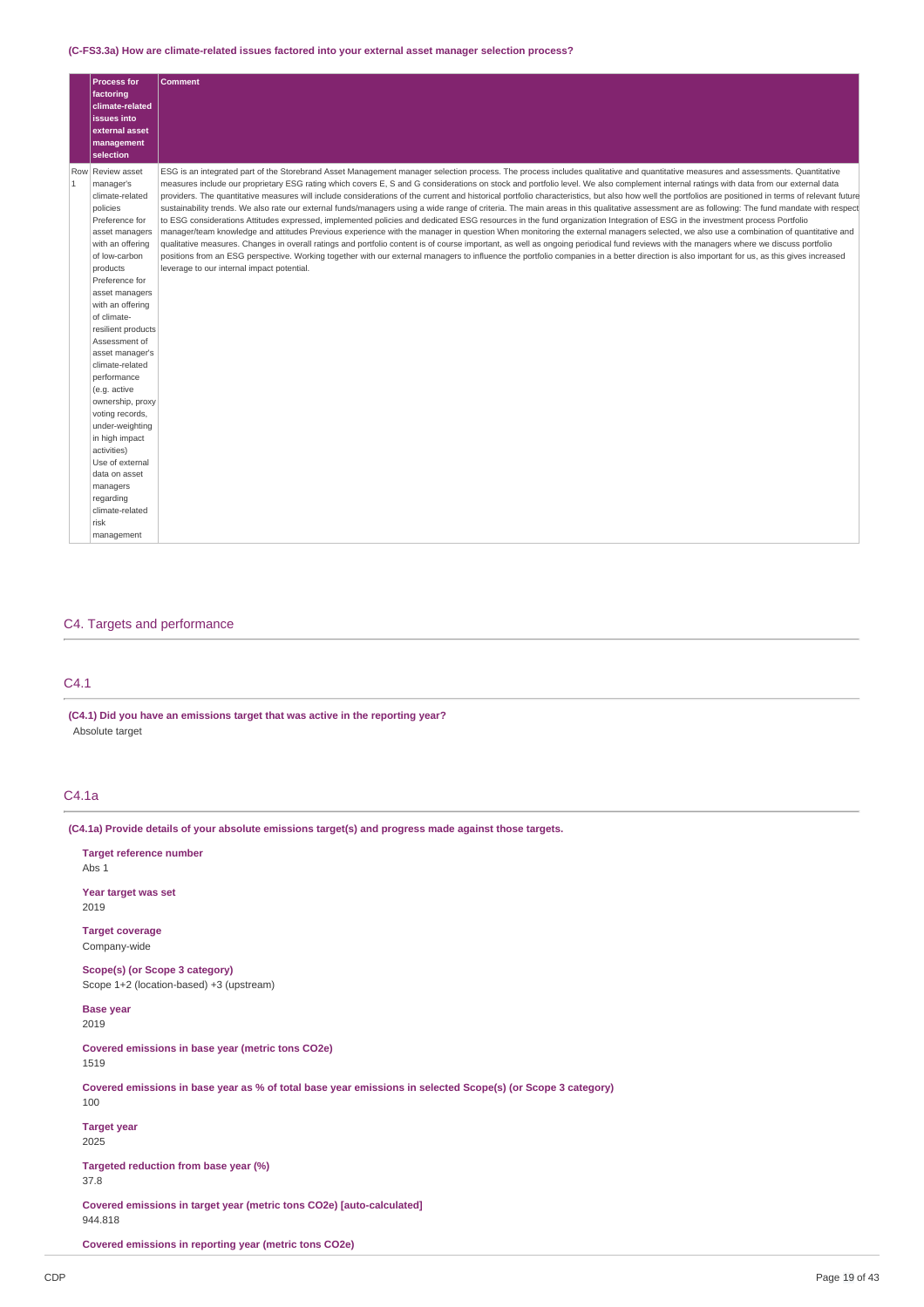### **(C-FS3.3a) How are climate-related issues factored into your external asset manager selection process?**

|   | <b>Process for</b><br>factoring<br>climate-related<br>issues into<br>external asset<br>management<br>selection                                                                                                                                                                                                                                                                                                                                                                                                                        | <b>Comment</b>                                                                                                                                                                                                                                                                                                                                                                                                                                                                                                                                                                                                                                                                                                                                                                                                                                                                                                                                                                                                                                                                                                                                                                                                                                                                                                                                                                                                                                                                                                                                                                                   |
|---|---------------------------------------------------------------------------------------------------------------------------------------------------------------------------------------------------------------------------------------------------------------------------------------------------------------------------------------------------------------------------------------------------------------------------------------------------------------------------------------------------------------------------------------|--------------------------------------------------------------------------------------------------------------------------------------------------------------------------------------------------------------------------------------------------------------------------------------------------------------------------------------------------------------------------------------------------------------------------------------------------------------------------------------------------------------------------------------------------------------------------------------------------------------------------------------------------------------------------------------------------------------------------------------------------------------------------------------------------------------------------------------------------------------------------------------------------------------------------------------------------------------------------------------------------------------------------------------------------------------------------------------------------------------------------------------------------------------------------------------------------------------------------------------------------------------------------------------------------------------------------------------------------------------------------------------------------------------------------------------------------------------------------------------------------------------------------------------------------------------------------------------------------|
| 1 | Row Review asset<br>manager's<br>climate-related<br>policies<br>Preference for<br>asset managers<br>with an offering<br>of low-carbon<br>products<br>Preference for<br>asset managers<br>with an offering<br>of climate-<br>resilient products<br>Assessment of<br>asset manager's<br>climate-related<br>performance<br>(e.g. active<br>ownership, proxy<br>voting records,<br>under-weighting<br>in high impact<br>activities)<br>Use of external<br>data on asset<br>managers<br>regarding<br>climate-related<br>risk<br>management | ESG is an integrated part of the Storebrand Asset Management manager selection process. The process includes qualitative and quantitative measures and assessments. Quantitative<br>measures include our proprietary ESG rating which covers E, S and G considerations on stock and portfolio level. We also complement internal ratings with data from our external data<br>providers. The quantitative measures will include considerations of the current and historical portfolio characteristics, but also how well the portfolios are positioned in terms of relevant future<br>sustainability trends. We also rate our external funds/managers using a wide range of criteria. The main areas in this qualitative assessment are as following: The fund mandate with respect<br>to ESG considerations Attitudes expressed, implemented policies and dedicated ESG resources in the fund organization Integration of ESG in the investment process Portfolio<br>manager/team knowledge and attitudes Previous experience with the manager in question When monitoring the external managers selected, we also use a combination of quantitative and<br>qualitative measures. Changes in overall ratings and portfolio content is of course important, as well as ongoing periodical fund reviews with the managers where we discuss portfolio<br>positions from an ESG perspective. Working together with our external managers to influence the portfolio companies in a better direction is also important for us, as this gives increased<br>leverage to our internal impact potential. |

# C4. Targets and performance

## C4.1

**(C4.1) Did you have an emissions target that was active in the reporting year?** Absolute target

# C4.1a

**(C4.1a) Provide details of your absolute emissions target(s) and progress made against those targets.**

| <b>Target reference number</b><br>Abs $1$                                                                          |
|--------------------------------------------------------------------------------------------------------------------|
| Year target was set<br>2019                                                                                        |
| <b>Target coverage</b><br>Company-wide                                                                             |
| Scope(s) (or Scope 3 category)<br>Scope 1+2 (location-based) +3 (upstream)                                         |
| <b>Base year</b><br>2019                                                                                           |
| Covered emissions in base year (metric tons CO2e)<br>1519                                                          |
| Covered emissions in base year as % of total base year emissions in selected Scope(s) (or Scope 3 category)<br>100 |
| <b>Target year</b><br>2025                                                                                         |
| Targeted reduction from base year (%)<br>37.8                                                                      |
| Covered emissions in target year (metric tons CO2e) [auto-calculated]<br>944.818                                   |
| Covered emissions in reporting year (metric tons CO2e)                                                             |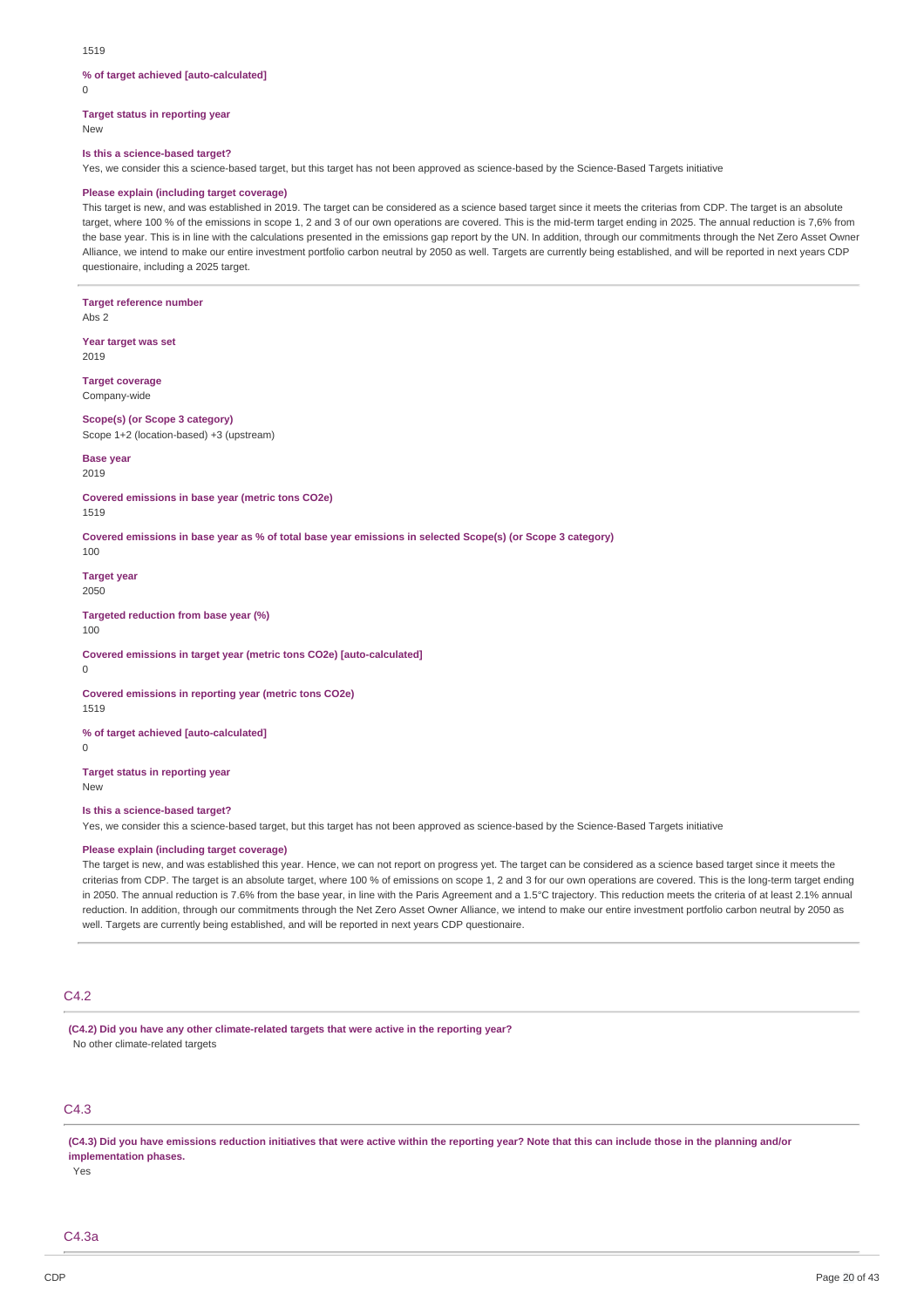### **% of target achieved [auto-calculated]**

 $\Omega$ 

**Target status in reporting year**

New

## **Is this a science-based target?**

Yes, we consider this a science-based target, but this target has not been approved as science-based by the Science-Based Targets initiative

### **Please explain (including target coverage)**

This target is new, and was established in 2019. The target can be considered as a science based target since it meets the criterias from CDP. The target is an absolute target, where 100 % of the emissions in scope 1, 2 and 3 of our own operations are covered. This is the mid-term target ending in 2025. The annual reduction is 7,6% from the base year. This is in line with the calculations presented in the emissions gap report by the UN. In addition, through our commitments through the Net Zero Asset Owner Alliance, we intend to make our entire investment portfolio carbon neutral by 2050 as well. Targets are currently being established, and will be reported in next years CDP questionaire, including a 2025 target.

**Target reference number** Abs 2

**Year target was set** 2019

**Target coverage** Company-wide

#### **Scope(s) (or Scope 3 category)** Scope 1+2 (location-based) +3 (upstream)

**Base year**

2019

**Covered emissions in base year (metric tons CO2e)** 1519

Covered emissions in base year as % of total base year emissions in selected Scope(s) (or Scope 3 category) 100

**Target year**

2050

**Targeted reduction from base year (%)** 100

**Covered emissions in target year (metric tons CO2e) [auto-calculated]**  $\Omega$ 

**Covered emissions in reporting year (metric tons CO2e)**

1519

**% of target achieved [auto-calculated]**

 $\theta$ 

**Target status in reporting year** New

### **Is this a science-based target?**

Yes, we consider this a science-based target, but this target has not been approved as science-based by the Science-Based Targets initiative

### **Please explain (including target coverage)**

The target is new, and was established this year. Hence, we can not report on progress yet. The target can be considered as a science based target since it meets the criterias from CDP. The target is an absolute target, where 100 % of emissions on scope 1, 2 and 3 for our own operations are covered. This is the long-term target ending in 2050. The annual reduction is 7.6% from the base year, in line with the Paris Agreement and a 1.5°C trajectory. This reduction meets the criteria of at least 2.1% annual reduction. In addition, through our commitments through the Net Zero Asset Owner Alliance, we intend to make our entire investment portfolio carbon neutral by 2050 as well. Targets are currently being established, and will be reported in next years CDP questionaire.

### C4.2

**(C4.2) Did you have any other climate-related targets that were active in the reporting year?** No other climate-related targets

# C4.3

(C4.3) Did you have emissions reduction initiatives that were active within the reporting year? Note that this can include those in the planning and/or **implementation phases.**

Yes

C4.3a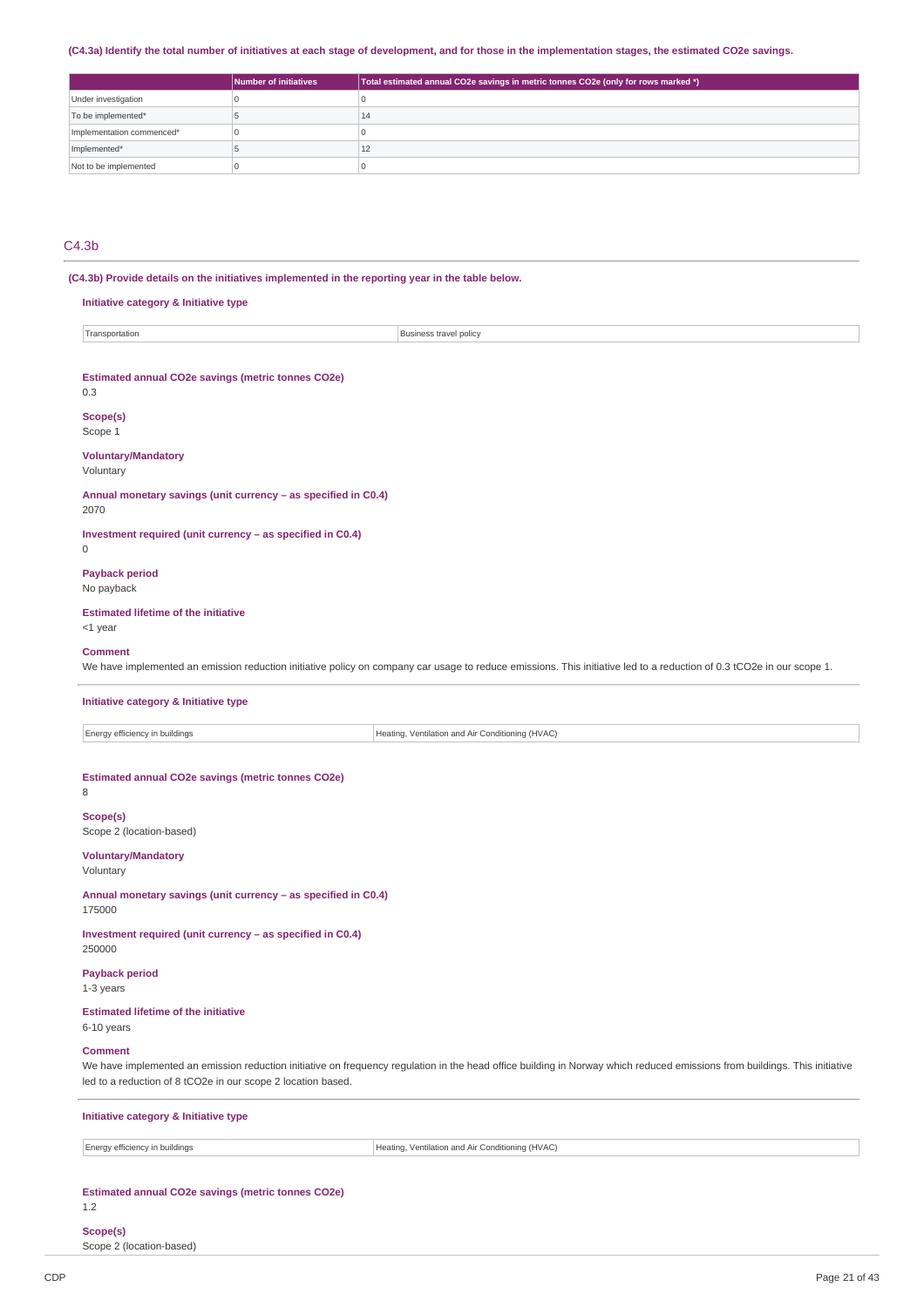### (C4.3a) Identify the total number of initiatives at each stage of development, and for those in the implementation stages, the estimated CO2e savings.

|                           | Number of initiatives | Total estimated annual CO2e savings in metric tonnes CO2e (only for rows marked *) $^{\prime}$ |
|---------------------------|-----------------------|------------------------------------------------------------------------------------------------|
| Under investigation       |                       |                                                                                                |
| To be implemented*        |                       | 14                                                                                             |
| Implementation commenced* |                       |                                                                                                |
| Implemented*              |                       | 12                                                                                             |
| Not to be implemented     |                       |                                                                                                |

### C4.3b

**(C4.3b) Provide details on the initiatives implemented in the reporting year in the table below.**

# **Initiative category & Initiative type** Transportation **Business travel policy Estimated annual CO2e savings (metric tonnes CO2e)** 0.3 **Scope(s)** Scope 1 **Voluntary/Mandatory** Voluntary **Annual monetary savings (unit currency – as specified in C0.4)** 2070 **Investment required (unit currency – as specified in C0.4)**  $\theta$ **Payback period** No payback **Estimated lifetime of the initiative** <1 year **Comment** We have implemented an emission reduction initiative policy on company car usage to reduce emissions. This initiative led to a reduction of 0.3 tCO2e in our scope 1. **Initiative category & Initiative type** Energy efficiency in buildings  $\vert$  Heating, Ventilation and Air Conditioning (HVAC) **Estimated annual CO2e savings (metric tonnes CO2e)** 8 **Scope(s)** Scope 2 (location-based) **Voluntary/Mandatory** Voluntary **Annual monetary savings (unit currency – as specified in C0.4)** 175000 **Investment required (unit currency – as specified in C0.4)** 250000 **Payback period** 1-3 years **Estimated lifetime of the initiative** 6-10 years **Comment** We have implemented an emission reduction initiative on frequency regulation in the head office building in Norway which reduced emissions from buildings. This initiative led to a reduction of 8 tCO2e in our scope 2 location based. **Initiative category & Initiative type** Energy efficiency in buildings **Heating, Ventilation and Air Conditioning (HVAC)**

**Estimated annual CO2e savings (metric tonnes CO2e)**

### 1.2

**Scope(s)** Scope 2 (location-based)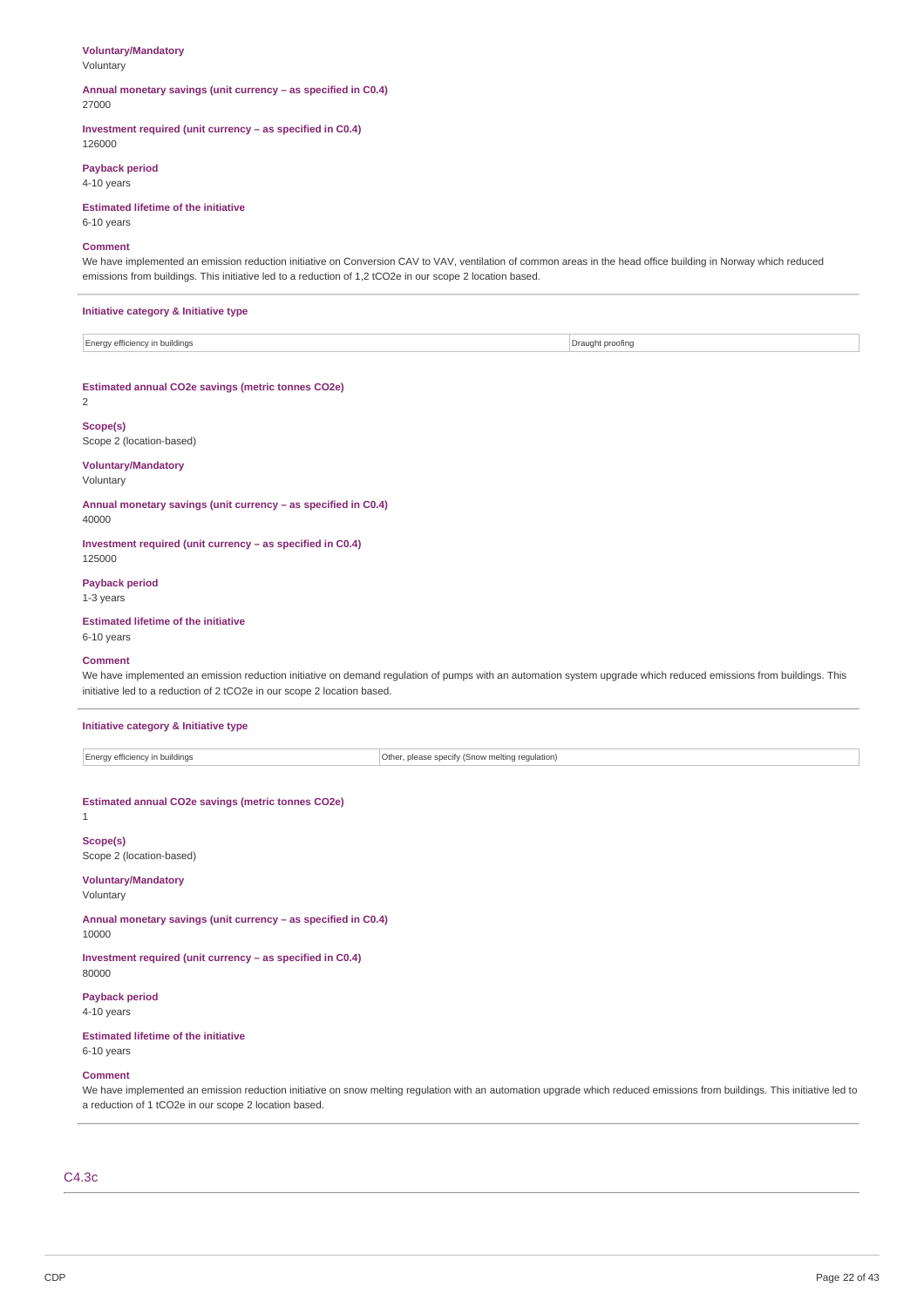## **Voluntary/Mandatory**

Voluntary

#### **Annual monetary savings (unit currency – as specified in C0.4)** 27000

**Investment required (unit currency – as specified in C0.4)** 126000

**Payback period** 4-10 years

# **Estimated lifetime of the initiative**

6-10 years

### **Comment**

We have implemented an emission reduction initiative on Conversion CAV to VAV, ventilation of common areas in the head office building in Norway which reduced emissions from buildings. This initiative led to a reduction of 1,2 tCO2e in our scope 2 location based.

### **Initiative category & Initiative type**

| v efficienc:<br><b>Energy</b><br>buildinas ו | Drai<br>uaht proofinc |
|----------------------------------------------|-----------------------|

### **Estimated annual CO2e savings (metric tonnes CO2e)**

2

### **Scope(s)**

Scope 2 (location-based)

#### **Voluntary/Mandatory** Voluntary

**Annual monetary savings (unit currency – as specified in C0.4)** 40000

**Investment required (unit currency – as specified in C0.4)** 125000

### **Payback period**

1-3 years

### **Estimated lifetime of the initiative**

6-10 years

#### **Comment**

We have implemented an emission reduction initiative on demand regulation of pumps with an automation system upgrade which reduced emissions from buildings. This initiative led to a reduction of 2 tCO2e in our scope 2 location based.

### **Initiative category & Initiative type**

Energy efficiency in buildings **Other, please specify (Snow melting regulation)** Other, please specify (Snow melting regulation)

### **Estimated annual CO2e savings (metric tonnes CO2e)**

1

**Scope(s)** Scope 2 (location-based)

# **Voluntary/Mandatory**

Voluntary

**Annual monetary savings (unit currency – as specified in C0.4)** 10000

**Investment required (unit currency – as specified in C0.4)** 80000

### **Payback period**

4-10 years

### **Estimated lifetime of the initiative**

# 6-10 years

# **Comment**

We have implemented an emission reduction initiative on snow melting regulation with an automation upgrade which reduced emissions from buildings. This initiative led to a reduction of 1 tCO2e in our scope 2 location based.

### C4.3c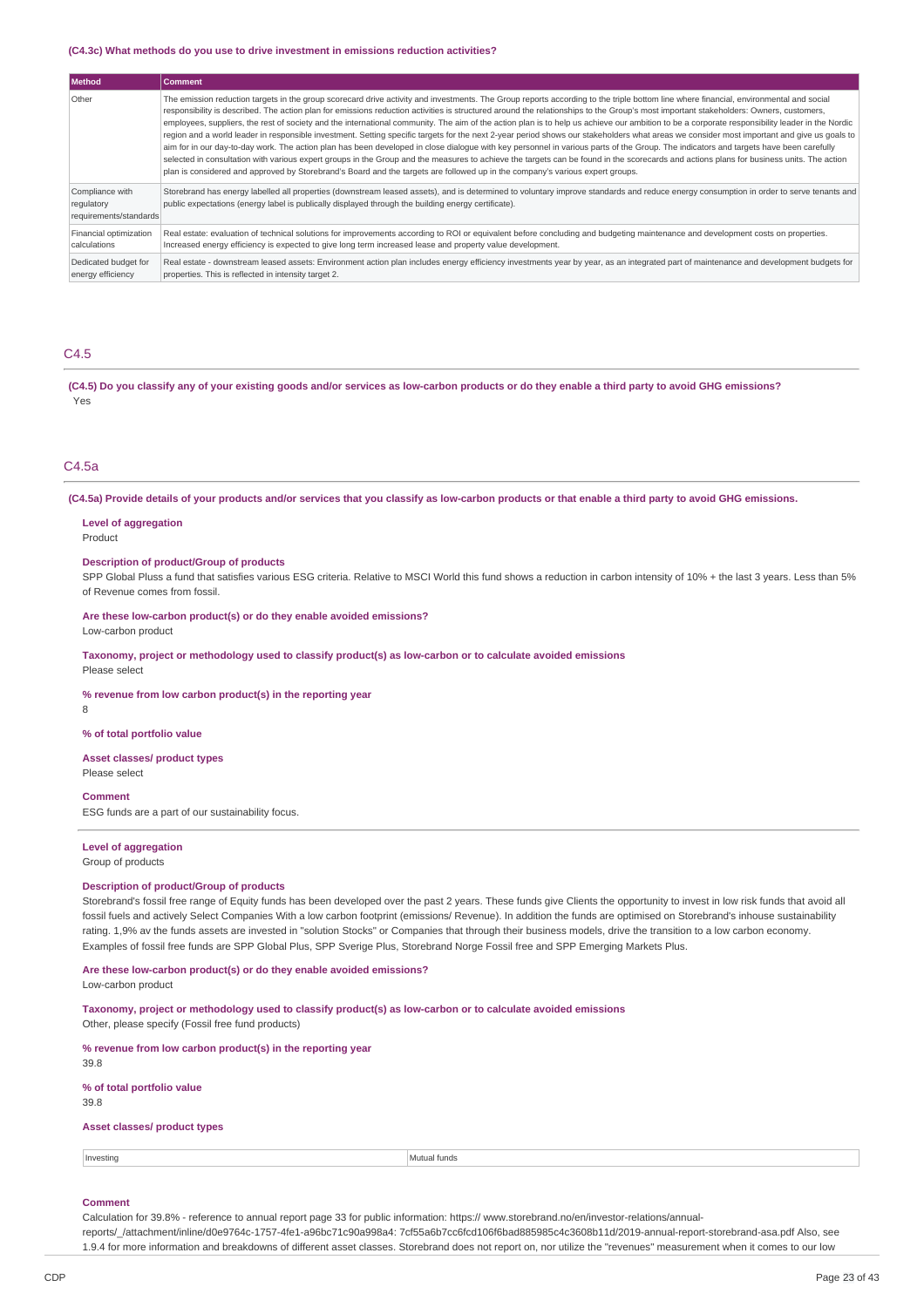#### **(C4.3c) What methods do you use to drive investment in emissions reduction activities?**

|  | l Method                                                | <b>Comment</b>                                                                                                                                                                                                                                                                                                                                                                                                                                                                                                                                                                                                                                                                                                                                                                                                                                                                                                                                                                                                                                                                                                                                                                                                                                                                                       |
|--|---------------------------------------------------------|------------------------------------------------------------------------------------------------------------------------------------------------------------------------------------------------------------------------------------------------------------------------------------------------------------------------------------------------------------------------------------------------------------------------------------------------------------------------------------------------------------------------------------------------------------------------------------------------------------------------------------------------------------------------------------------------------------------------------------------------------------------------------------------------------------------------------------------------------------------------------------------------------------------------------------------------------------------------------------------------------------------------------------------------------------------------------------------------------------------------------------------------------------------------------------------------------------------------------------------------------------------------------------------------------|
|  | Other                                                   | The emission reduction targets in the group scorecard drive activity and investments. The Group reports according to the triple bottom line where financial, environmental and social<br>responsibility is described. The action plan for emissions reduction activities is structured around the relationships to the Group's most important stakeholders: Owners, customers,<br>employees, suppliers, the rest of society and the international community. The aim of the action plan is to help us achieve our ambition to be a corporate responsibility leader in the Nordic<br>region and a world leader in responsible investment. Setting specific targets for the next 2-year period shows our stakeholders what areas we consider most important and give us goals to<br>aim for in our day-to-day work. The action plan has been developed in close dialoque with key personnel in various parts of the Group. The indicators and targets have been carefully<br>selected in consultation with various expert groups in the Group and the measures to achieve the targets can be found in the scorecards and actions plans for business units. The action<br>plan is considered and approved by Storebrand's Board and the targets are followed up in the company's various expert groups. |
|  | Compliance with<br>regulatory<br>requirements/standards | Storebrand has energy labelled all properties (downstream leased assets), and is determined to voluntary improve standards and reduce energy consumption in order to serve tenants and<br>public expectations (energy label is publically displayed through the building energy certificate).                                                                                                                                                                                                                                                                                                                                                                                                                                                                                                                                                                                                                                                                                                                                                                                                                                                                                                                                                                                                        |
|  | Financial optimization<br>calculations                  | Real estate: evaluation of technical solutions for improvements according to ROI or equivalent before concluding and budgeting maintenance and development costs on properties.<br>Increased energy efficiency is expected to give long term increased lease and property value development.                                                                                                                                                                                                                                                                                                                                                                                                                                                                                                                                                                                                                                                                                                                                                                                                                                                                                                                                                                                                         |
|  | Dedicated budget for<br>energy efficiency               | Real estate - downstream leased assets: Environment action plan includes energy efficiency investments year by year, as an integrated part of maintenance and development budgets for<br>properties. This is reflected in intensity target 2.                                                                                                                                                                                                                                                                                                                                                                                                                                                                                                                                                                                                                                                                                                                                                                                                                                                                                                                                                                                                                                                        |

### C4.5

(C4.5) Do you classify any of your existing goods and/or services as low-carbon products or do they enable a third party to avoid GHG emissions? Yes

### C4.5a

(C4.5a) Provide details of your products and/or services that you classify as low-carbon products or that enable a third party to avoid GHG emissions.

## **Level of aggregation**

Product

### **Description of product/Group of products**

SPP Global Pluss a fund that satisfies various ESG criteria. Relative to MSCI World this fund shows a reduction in carbon intensity of 10% + the last 3 years. Less than 5% of Revenue comes from fossil.

**Are these low-carbon product(s) or do they enable avoided emissions?** Low-carbon product

**Taxonomy, project or methodology used to classify product(s) as low-carbon or to calculate avoided emissions**

Please select

**% revenue from low carbon product(s) in the reporting year**

8

#### **% of total portfolio value**

**Asset classes/ product types** Please select

**Comment** ESG funds are a part of our sustainability focus.

#### **Level of aggregation** Group of products

#### **Description of product/Group of products**

Storebrand's fossil free range of Equity funds has been developed over the past 2 years. These funds give Clients the opportunity to invest in low risk funds that avoid all fossil fuels and actively Select Companies With a low carbon footprint (emissions/ Revenue). In addition the funds are optimised on Storebrand's inhouse sustainability rating. 1,9% av the funds assets are invested in "solution Stocks" or Companies that through their business models, drive the transition to a low carbon economy. Examples of fossil free funds are SPP Global Plus, SPP Sverige Plus, Storebrand Norge Fossil free and SPP Emerging Markets Plus.

#### **Are these low-carbon product(s) or do they enable avoided emissions?**

Low-carbon product

**Taxonomy, project or methodology used to classify product(s) as low-carbon or to calculate avoided emissions** Other, please specify (Fossil free fund products)

|      |  | % revenue from low carbon product(s) in the reporting year |  |  |
|------|--|------------------------------------------------------------|--|--|
| 39.8 |  |                                                            |  |  |
|      |  |                                                            |  |  |

**% of total portfolio value** 39.8

#### **Asset classes/ product types**

Investing **Mutual** funds

#### **Comment**

Calculation for 39.8% - reference to annual report page 33 for public information: https:// www.storebrand.no/en/investor-relations/annual-

reports/\_/attachment/inline/d0e9764c-1757-4fe1-a96bc71c90a998a4: 7cf55a6b7cc6fcd106f6bad885985c4c3608b11d/2019-annual-report-storebrand-asa.pdf Also, see 1.9.4 for more information and breakdowns of different asset classes. Storebrand does not report on, nor utilize the "revenues" measurement when it comes to our low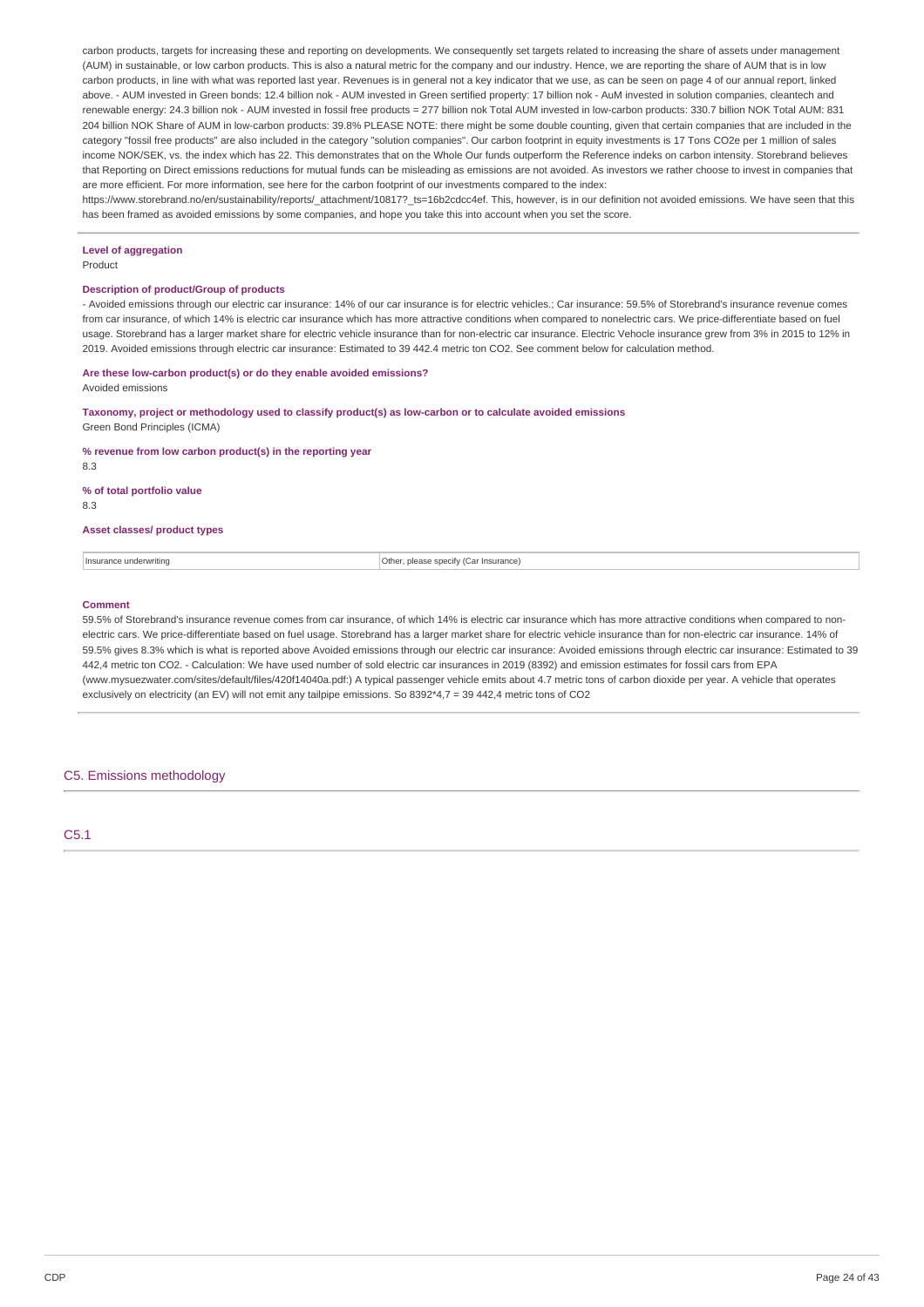carbon products, targets for increasing these and reporting on developments. We consequently set targets related to increasing the share of assets under management (AUM) in sustainable, or low carbon products. This is also a natural metric for the company and our industry. Hence, we are reporting the share of AUM that is in low carbon products, in line with what was reported last year. Revenues is in general not a key indicator that we use, as can be seen on page 4 of our annual report, linked above. - AUM invested in Green bonds: 12.4 billion nok - AUM invested in Green sertified property: 17 billion nok - AuM invested in solution companies, cleantech and renewable energy: 24.3 billion nok - AUM invested in fossil free products = 277 billion nok Total AUM invested in low-carbon products: 330.7 billion NOK Total AUM: 831 204 billion NOK Share of AUM in low-carbon products: 39.8% PLEASE NOTE: there might be some double counting, given that certain companies that are included in the category "fossil free products" are also included in the category "solution companies". Our carbon footprint in equity investments is 17 Tons CO2e per 1 million of sales income NOK/SEK, vs. the index which has 22. This demonstrates that on the Whole Our funds outperform the Reference indeks on carbon intensity. Storebrand believes that Reporting on Direct emissions reductions for mutual funds can be misleading as emissions are not avoided. As investors we rather choose to invest in companies that are more efficient. For more information, see here for the carbon footprint of our investments compared to the index:

https://www.storebrand.no/en/sustainability/reports/ attachment/10817? ts=16b2cdcc4ef. This, however, is in our definition not avoided emissions. We have seen that this has been framed as avoided emissions by some companies, and hope you take this into account when you set the score.

### **Level of aggregation**

Product

#### **Description of product/Group of products**

- Avoided emissions through our electric car insurance: 14% of our car insurance is for electric vehicles.; Car insurance: 59.5% of Storebrand's insurance revenue comes from car insurance, of which 14% is electric car insurance which has more attractive conditions when compared to nonelectric cars. We price-differentiate based on fuel usage. Storebrand has a larger market share for electric vehicle insurance than for non-electric car insurance. Electric Vehocle insurance grew from 3% in 2015 to 12% in 2019. Avoided emissions through electric car insurance: Estimated to 39 442.4 metric ton CO2. See comment below for calculation method.

## **Are these low-carbon product(s) or do they enable avoided emissions?**

Avoided emissions

**Taxonomy, project or methodology used to classify product(s) as low-carbon or to calculate avoided emissions** Green Bond Principles (ICMA)

**% revenue from low carbon product(s) in the reporting year**

8.3

#### **% of total portfolio value**

8.3

#### **Asset classes/ product types**

Insurance underwriting **Insurance** underwriting **COLOGITY** COLOGITY **Other, please specify (Car Insurance)** 

#### **Comment**

59.5% of Storebrand's insurance revenue comes from car insurance, of which 14% is electric car insurance which has more attractive conditions when compared to nonelectric cars. We price-differentiate based on fuel usage. Storebrand has a larger market share for electric vehicle insurance than for non-electric car insurance. 14% of 59.5% gives 8.3% which is what is reported above Avoided emissions through our electric car insurance: Avoided emissions through electric car insurance: Estimated to 39 442,4 metric ton CO2. - Calculation: We have used number of sold electric car insurances in 2019 (8392) and emission estimates for fossil cars from EPA (www.mysuezwater.com/sites/default/files/420f14040a.pdf:) A typical passenger vehicle emits about 4.7 metric tons of carbon dioxide per year. A vehicle that operates exclusively on electricity (an EV) will not emit any tailpipe emissions. So 8392\*4.7 = 39 442.4 metric tons of CO2

### C5. Emissions methodology

C5.1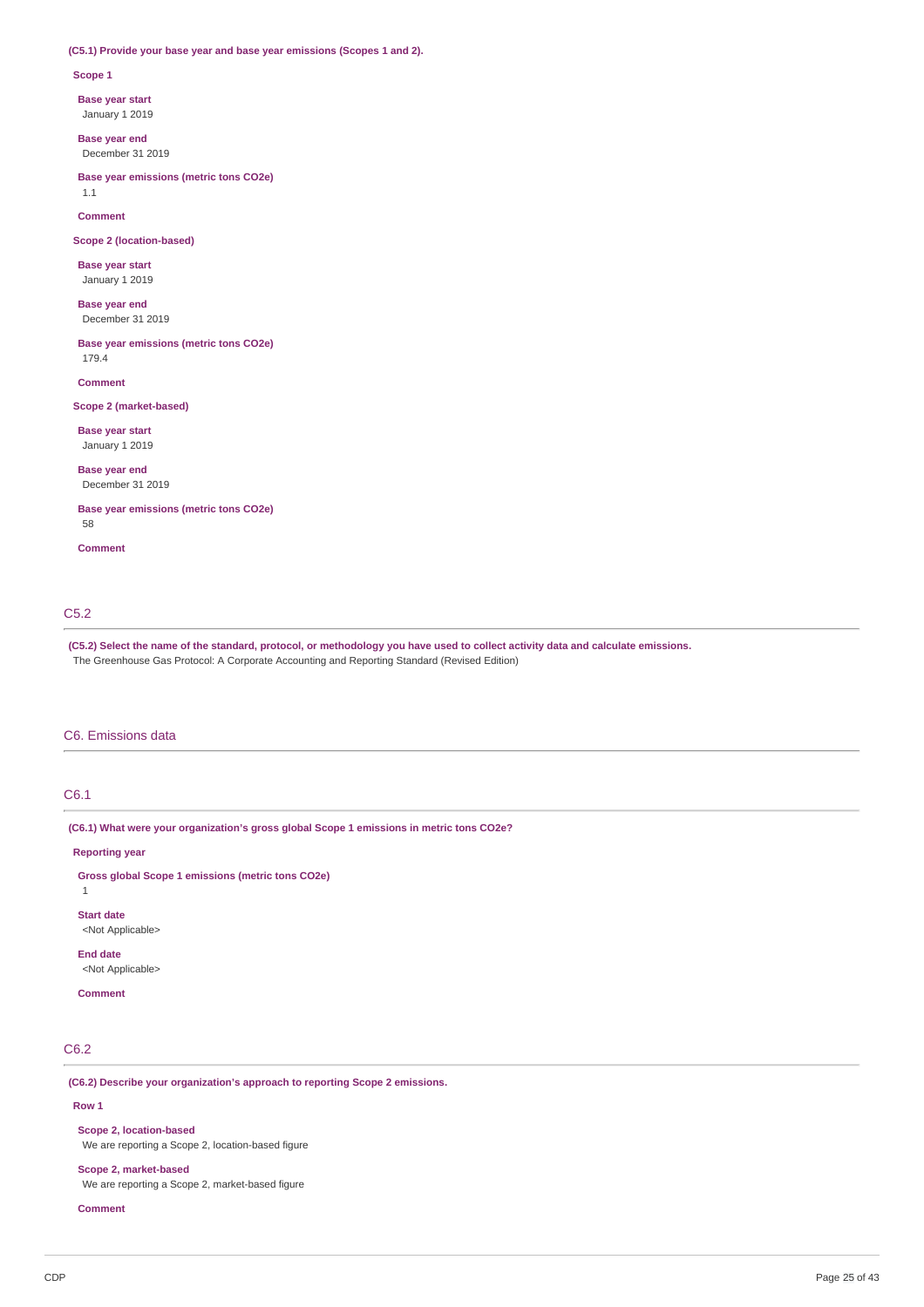### **(C5.1) Provide your base year and base year emissions (Scopes 1 and 2).**

#### **Scope 1**

**Base year start**

January 1 2019

**Base year end** December 31 2019

**Base year emissions (metric tons CO2e)** 1.1

**Comment**

**Scope 2 (location-based)**

**Base year start** January 1 2019

**Base year end** December 31 2019

**Base year emissions (metric tons CO2e)** 179.4

**Comment**

#### **Scope 2 (market-based)**

**Base year start** January 1 2019

**Base year end** December 31 2019

**Base year emissions (metric tons CO2e)** 58

**Comment**

### C5.2

(C5.2) Select the name of the standard, protocol, or methodology you have used to collect activity data and calculate emissions. The Greenhouse Gas Protocol: A Corporate Accounting and Reporting Standard (Revised Edition)

### C6. Emissions data

# C6.1

**(C6.1) What were your organization's gross global Scope 1 emissions in metric tons CO2e?**

**Reporting year**

**Gross global Scope 1 emissions (metric tons CO2e)**

```
1
```
**Start date** <Not Applicable>

**End date**

<Not Applicable>

# **Comment**

## C6.2

**(C6.2) Describe your organization's approach to reporting Scope 2 emissions.**

#### **Row 1**

**Scope 2, location-based** We are reporting a Scope 2, location-based figure

**Scope 2, market-based**

We are reporting a Scope 2, market-based figure

**Comment**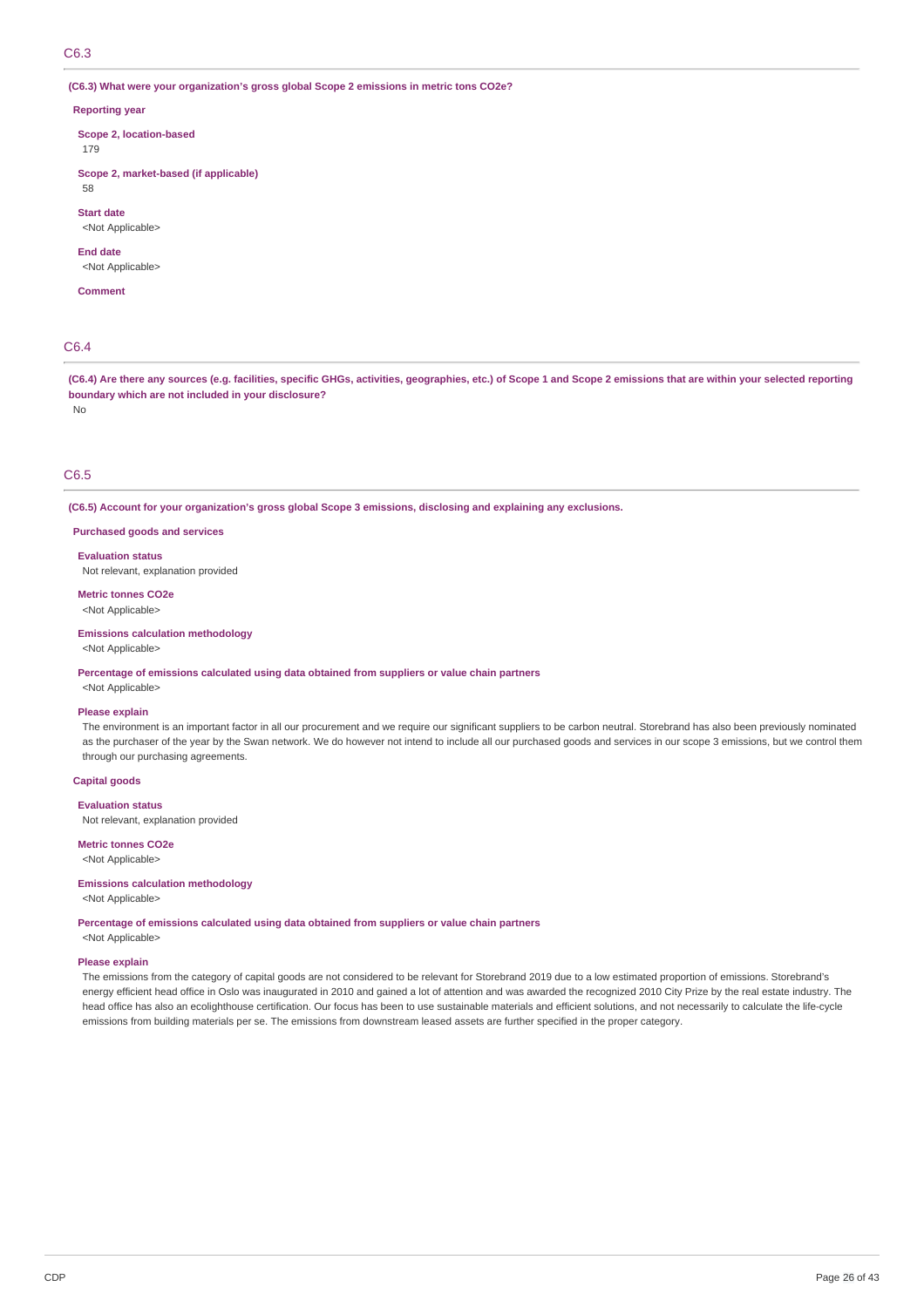C6.3

**(C6.3) What were your organization's gross global Scope 2 emissions in metric tons CO2e?**

#### **Reporting year**

**Scope 2, location-based** 179

**Scope 2, market-based (if applicable)** 58

**Start date** <Not Applicable>

### **End date**

<Not Applicable>

### **Comment**

# C6.4

(C6.4) Are there any sources (e.g. facilities, specific GHGs, activities, geographies, etc.) of Scope 1 and Scope 2 emissions that are within your selected reporting **boundary which are not included in your disclosure?** No

### C6.5

**(C6.5) Account for your organization's gross global Scope 3 emissions, disclosing and explaining any exclusions.**

**Purchased goods and services**

**Evaluation status** Not relevant, explanation provided

# **Metric tonnes CO2e**

<Not Applicable>

### **Emissions calculation methodology**

<Not Applicable>

#### **Percentage of emissions calculated using data obtained from suppliers or value chain partners**

<Not Applicable>

#### **Please explain**

The environment is an important factor in all our procurement and we require our significant suppliers to be carbon neutral. Storebrand has also been previously nominated as the purchaser of the year by the Swan network. We do however not intend to include all our purchased goods and services in our scope 3 emissions, but we control them through our purchasing agreements.

#### **Capital goods**

**Evaluation status**

Not relevant, explanation provided

**Metric tonnes CO2e** <Not Applicable>

#### **Emissions calculation methodology**

<Not Applicable>

**Percentage of emissions calculated using data obtained from suppliers or value chain partners**

<Not Applicable>

### **Please explain**

The emissions from the category of capital goods are not considered to be relevant for Storebrand 2019 due to a low estimated proportion of emissions. Storebrand's energy efficient head office in Oslo was inaugurated in 2010 and gained a lot of attention and was awarded the recognized 2010 City Prize by the real estate industry. The head office has also an ecolighthouse certification. Our focus has been to use sustainable materials and efficient solutions, and not necessarily to calculate the life-cycle emissions from building materials per se. The emissions from downstream leased assets are further specified in the proper category.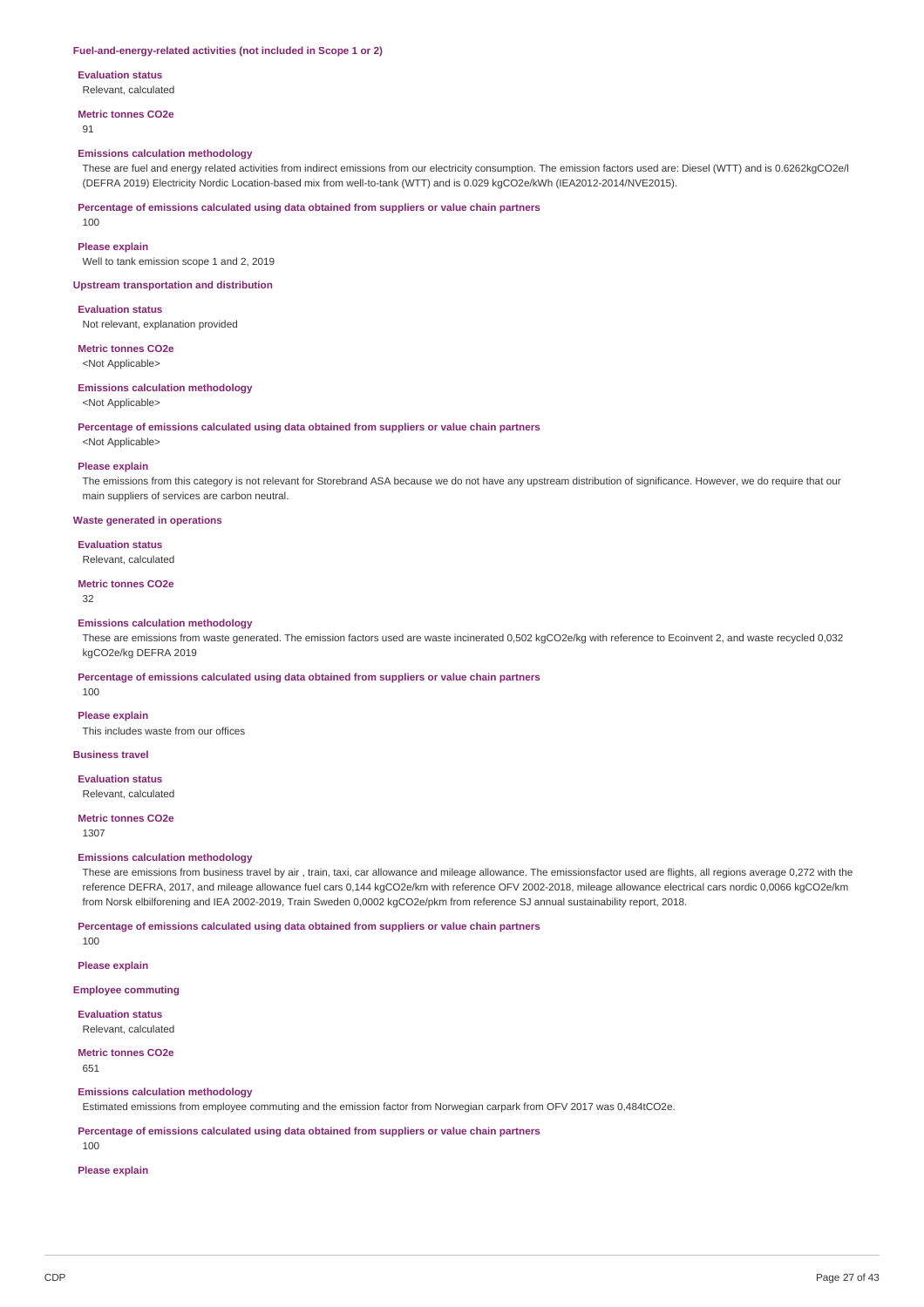#### **Fuel-and-energy-related activities (not included in Scope 1 or 2)**

#### **Evaluation status**

Relevant, calculated

#### **Metric tonnes CO2e**

**91** 

#### **Emissions calculation methodology**

These are fuel and energy related activities from indirect emissions from our electricity consumption. The emission factors used are: Diesel (WTT) and is 0.6262kgCO2e/l (DEFRA 2019) Electricity Nordic Location-based mix from well-to-tank (WTT) and is 0.029 kgCO2e/kWh (IEA2012-2014/NVE2015).

**Percentage of emissions calculated using data obtained from suppliers or value chain partners**

100

### **Please explain**

Well to tank emission scope 1 and 2, 2019

#### **Upstream transportation and distribution**

**Evaluation status**

Not relevant, explanation provided

**Metric tonnes CO2e** <Not Applicable>

# **Emissions calculation methodology**

<Not Applicable>

**Percentage of emissions calculated using data obtained from suppliers or value chain partners**

<Not Applicable>

#### **Please explain**

The emissions from this category is not relevant for Storebrand ASA because we do not have any upstream distribution of significance. However, we do require that our main suppliers of services are carbon neutral.

#### **Waste generated in operations**

**Evaluation status**

### Relevant, calculated

**Metric tonnes CO2e**

32

#### **Emissions calculation methodology**

These are emissions from waste generated. The emission factors used are waste incinerated 0,502 kgCO2e/kg with reference to Ecoinvent 2, and waste recycled 0,032 kgCO2e/kg DEFRA 2019

**Percentage of emissions calculated using data obtained from suppliers or value chain partners**

100

### **Please explain**

This includes waste from our offices

### **Business travel**

**Evaluation status**

#### Relevant, calculated

**Metric tonnes CO2e**

1307

### **Emissions calculation methodology**

These are emissions from business travel by air , train, taxi, car allowance and mileage allowance. The emissionsfactor used are flights, all regions average 0,272 with the reference DEFRA, 2017, and mileage allowance fuel cars 0,144 kgCO2e/km with reference OFV 2002-2018, mileage allowance electrical cars nordic 0,0066 kgCO2e/km from Norsk elbilforening and IEA 2002-2019, Train Sweden 0,0002 kgCO2e/pkm from reference SJ annual sustainability report, 2018.

**Percentage of emissions calculated using data obtained from suppliers or value chain partners**

100

**Please explain**

**Employee commuting**

**Evaluation status** Relevant, calculated

#### **Metric tonnes CO2e**

651

### **Emissions calculation methodology**

Estimated emissions from employee commuting and the emission factor from Norwegian carpark from OFV 2017 was 0,484tCO2e.

**Percentage of emissions calculated using data obtained from suppliers or value chain partners**

100

#### **Please explain**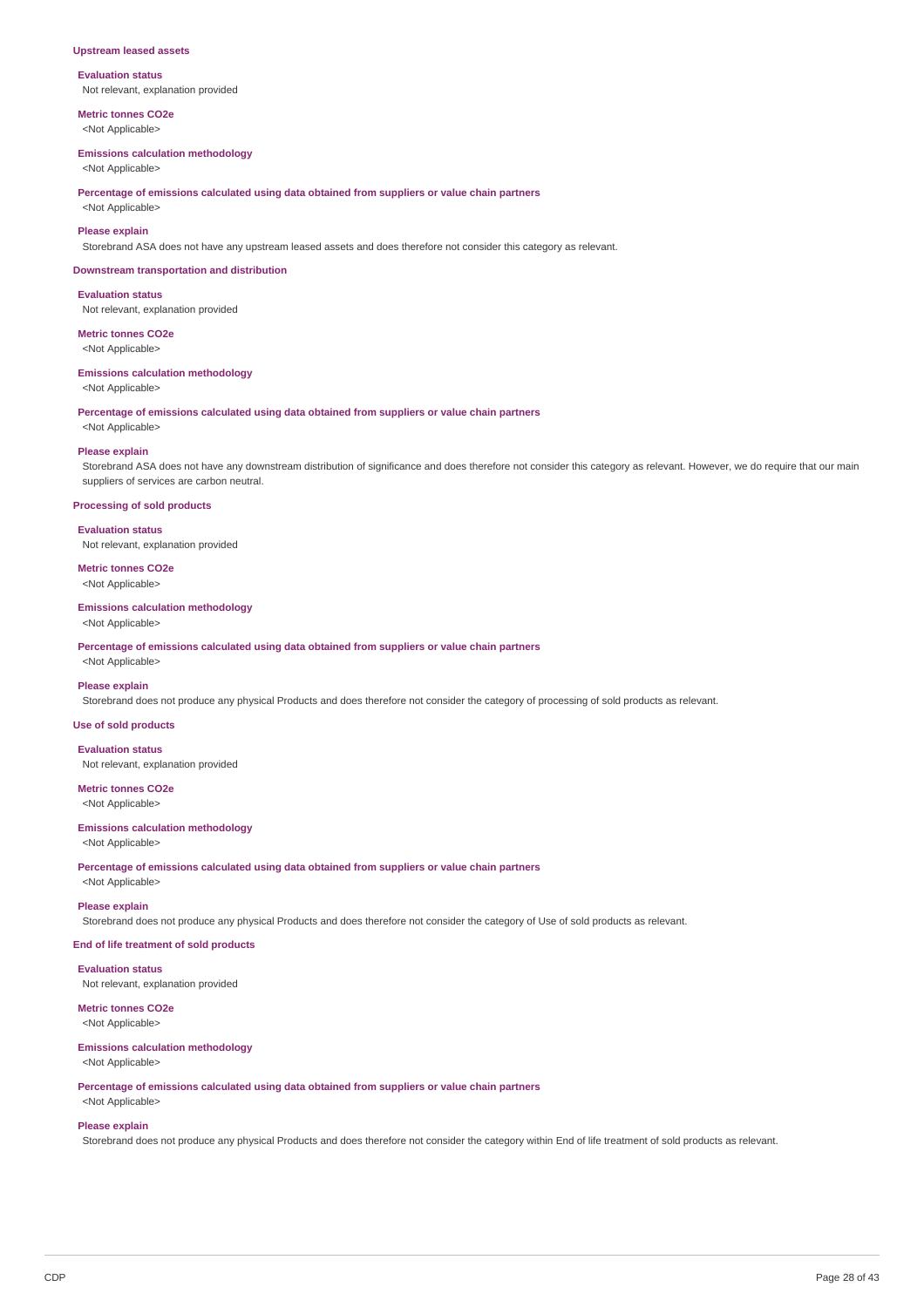#### **Upstream leased assets**

**Evaluation status** Not relevant, explanation provided

**Metric tonnes CO2e**

# <Not Applicable>

**Emissions calculation methodology**

<Not Applicable>

**Percentage of emissions calculated using data obtained from suppliers or value chain partners**

<Not Applicable>

### **Please explain**

Storebrand ASA does not have any upstream leased assets and does therefore not consider this category as relevant.

#### **Downstream transportation and distribution**

**Evaluation status** Not relevant, explanation provided

**Metric tonnes CO2e**

<Not Applicable>

#### **Emissions calculation methodology**

<Not Applicable>

**Percentage of emissions calculated using data obtained from suppliers or value chain partners**

<Not Applicable>

#### **Please explain**

Storebrand ASA does not have any downstream distribution of significance and does therefore not consider this category as relevant. However, we do require that our main suppliers of services are carbon neutral.

### **Processing of sold products**

**Evaluation status** Not relevant, explanation provided

# **Metric tonnes CO2e**

<Not Applicable>

### **Emissions calculation methodology**

<Not Applicable>

**Percentage of emissions calculated using data obtained from suppliers or value chain partners** <Not Applicable>

#### **Please explain**

Storebrand does not produce any physical Products and does therefore not consider the category of processing of sold products as relevant.

### **Use of sold products**

**Evaluation status** Not relevant, explanation provided

# **Metric tonnes CO2e**

<Not Applicable>

### **Emissions calculation methodology**

<Not Applicable>

**Percentage of emissions calculated using data obtained from suppliers or value chain partners** <Not Applicable>

#### **Please explain**

Storebrand does not produce any physical Products and does therefore not consider the category of Use of sold products as relevant.

### **End of life treatment of sold products**

**Evaluation status** Not relevant, explanation provided

**Metric tonnes CO2e**

# <Not Applicable>

# **Emissions calculation methodology**

<Not Applicable>

**Percentage of emissions calculated using data obtained from suppliers or value chain partners** <Not Applicable>

### **Please explain**

Storebrand does not produce any physical Products and does therefore not consider the category within End of life treatment of sold products as relevant.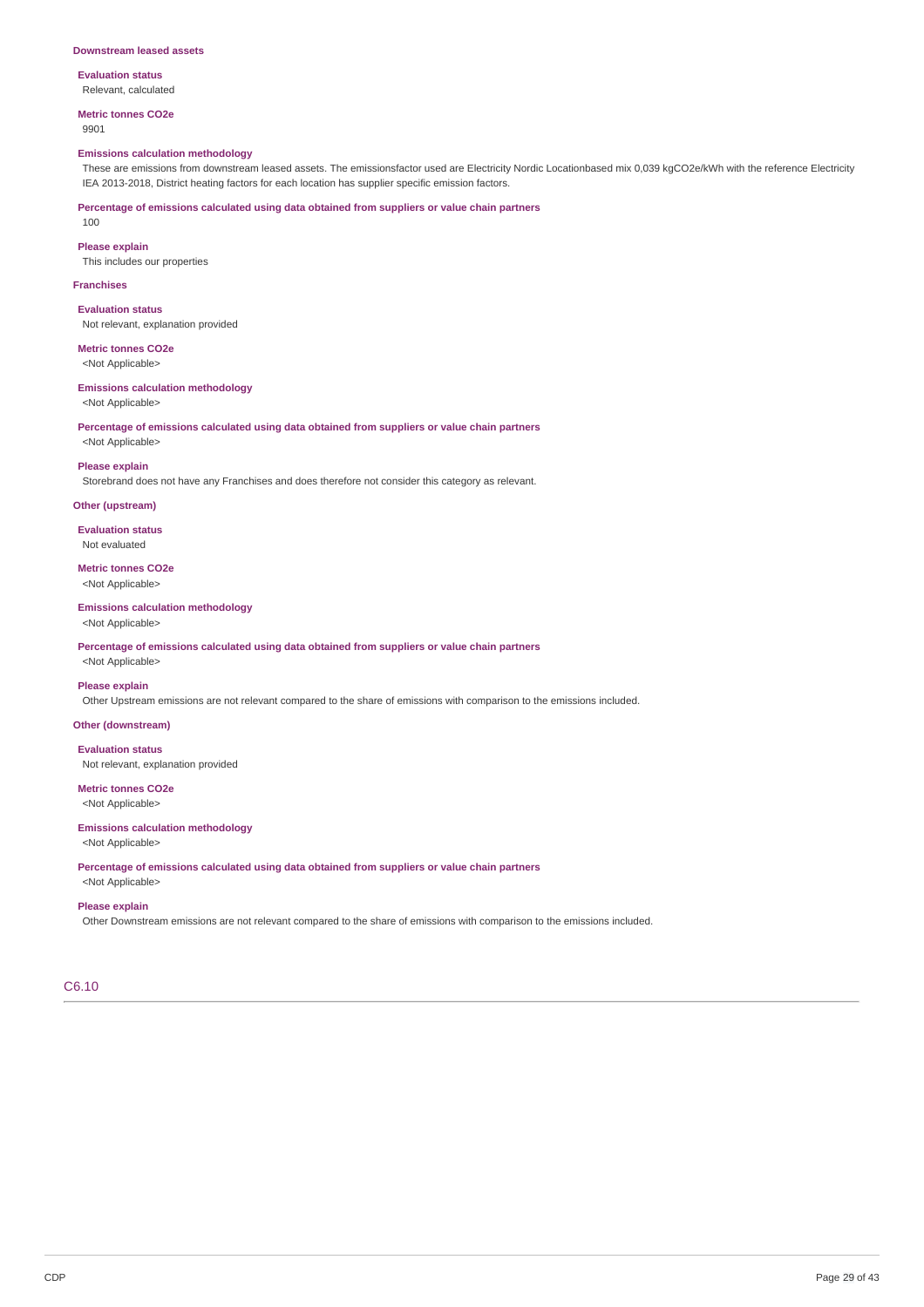#### **Evaluation status** Relevant, calculated

**Metric tonnes CO2e**

### 9901

100

### **Emissions calculation methodology**

These are emissions from downstream leased assets. The emissionsfactor used are Electricity Nordic Locationbased mix 0,039 kgCO2e/kWh with the reference Electricity IEA 2013-2018, District heating factors for each location has supplier specific emission factors.

**Percentage of emissions calculated using data obtained from suppliers or value chain partners**

# **Please explain**

This includes our properties

#### **Franchises**

**Evaluation status** Not relevant, explanation provided

### **Metric tonnes CO2e** <Not Applicable>

#### **Emissions calculation methodology** <Not Applicable>

**Percentage of emissions calculated using data obtained from suppliers or value chain partners** <Not Applicable>

#### **Please explain**

Storebrand does not have any Franchises and does therefore not consider this category as relevant.

### **Other (upstream)**

**Evaluation status** Not evaluated

#### **Metric tonnes CO2e** <Not Applicable>

**Emissions calculation methodology** <Not Applicable>

**Percentage of emissions calculated using data obtained from suppliers or value chain partners** <Not Applicable>

# **Please explain**

Other Upstream emissions are not relevant compared to the share of emissions with comparison to the emissions included.

### **Other (downstream)**

**Evaluation status** Not relevant, explanation provided

# **Metric tonnes CO2e**

<Not Applicable>

### **Emissions calculation methodology**

<Not Applicable>

**Percentage of emissions calculated using data obtained from suppliers or value chain partners** <Not Applicable>

#### **Please explain**

Other Downstream emissions are not relevant compared to the share of emissions with comparison to the emissions included.

# C6.10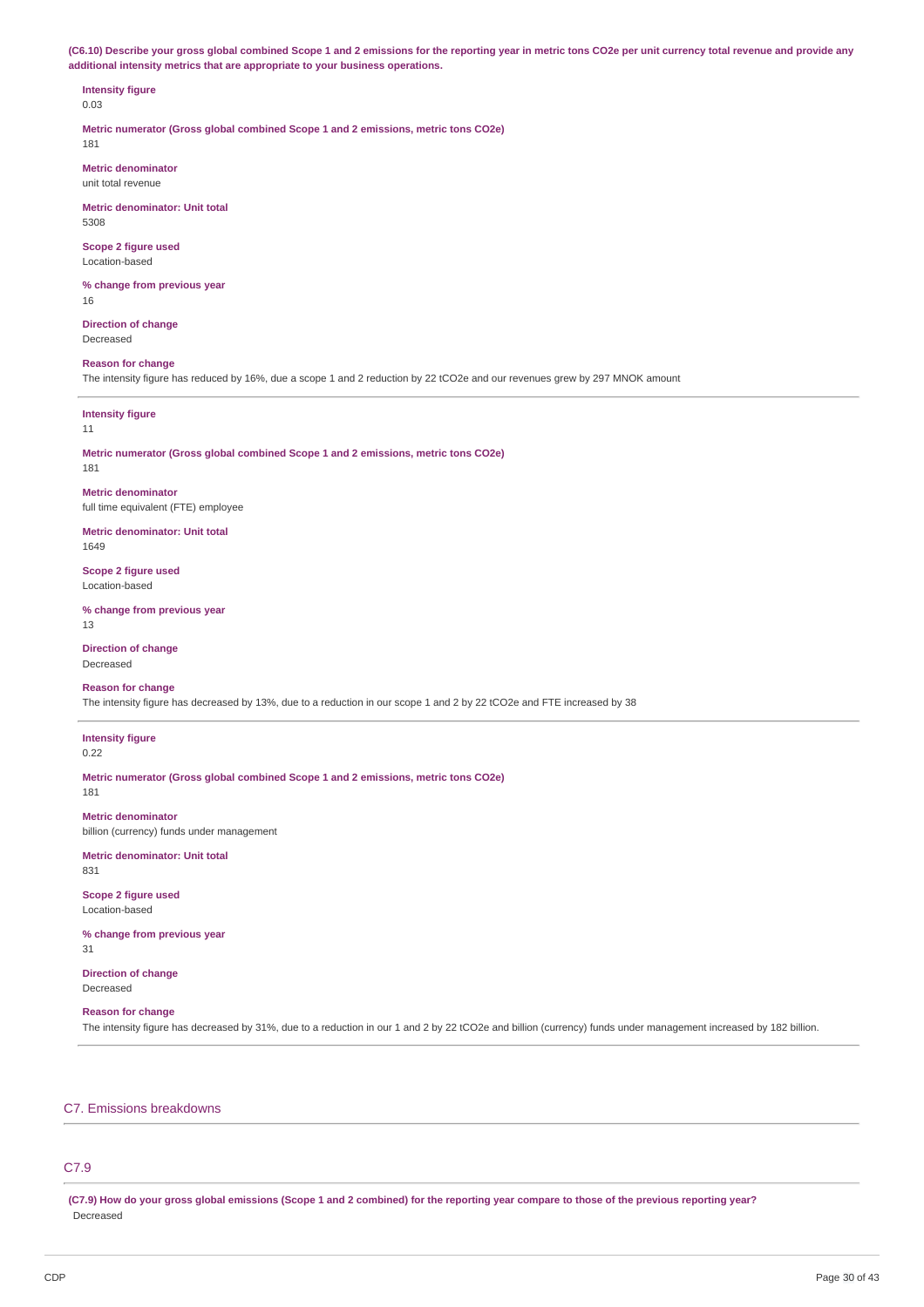(C6.10) Describe your gross global combined Scope 1 and 2 emissions for the reporting year in metric tons CO2e per unit currency total revenue and provide any **additional intensity metrics that are appropriate to your business operations.**

# **Intensity figure**

0.03

**Metric numerator (Gross global combined Scope 1 and 2 emissions, metric tons CO2e)** 181

**Metric denominator**

unit total revenue

**Metric denominator: Unit total** 5308

**Scope 2 figure used** Location-based

**% change from previous year** 16

**Direction of change** Decreased

### **Reason for change**

The intensity figure has reduced by 16%, due a scope 1 and 2 reduction by 22 tCO2e and our revenues grew by 297 MNOK amount

## **Intensity figure**

#### 11

**Metric numerator (Gross global combined Scope 1 and 2 emissions, metric tons CO2e)** 181

**Metric denominator** full time equivalent (FTE) employee

**Metric denominator: Unit total**

1649

**Scope 2 figure used** Location-based

**% change from previous year** 13

**Direction of change** Decreased

# **Reason for change**

The intensity figure has decreased by 13%, due to a reduction in our scope 1 and 2 by 22 tCO2e and FTE increased by 38

#### **Intensity figure** 0.22

**Metric numerator (Gross global combined Scope 1 and 2 emissions, metric tons CO2e)**

181

**Metric denominator** billion (currency) funds under management

**Metric denominator: Unit total**

831

**Scope 2 figure used** Location-based

**% change from previous year** 31

**Direction of change** Decreased

### **Reason for change**

The intensity figure has decreased by 31%, due to a reduction in our 1 and 2 by 22 tCO2e and billion (currency) funds under management increased by 182 billion.

# C7. Emissions breakdowns

# C7.9

(C7.9) How do your gross global emissions (Scope 1 and 2 combined) for the reporting year compare to those of the previous reporting year? Decreased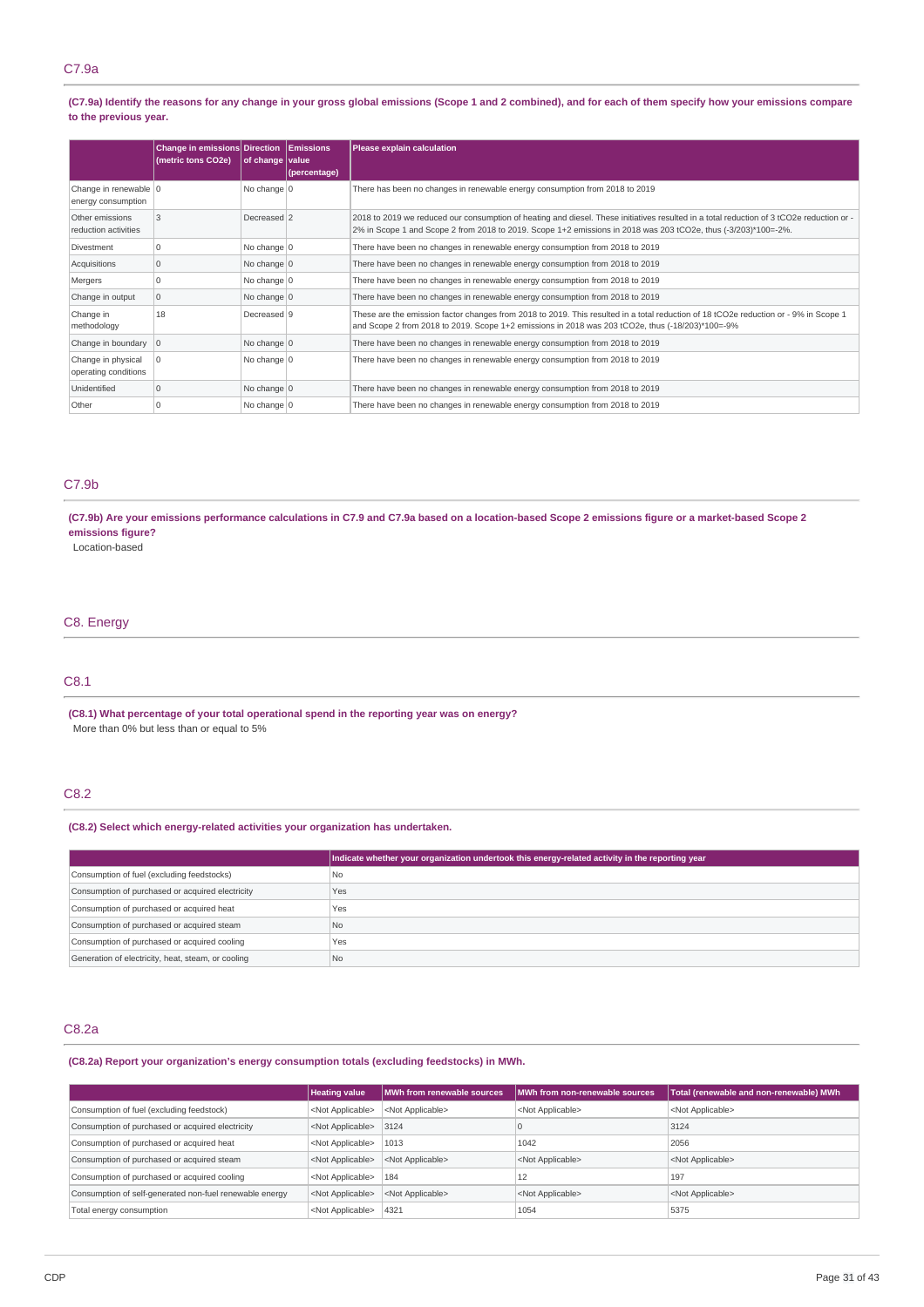### (C7.9a) Identify the reasons for any change in your gross global emissions (Scope 1 and 2 combined), and for each of them specify how your emissions compare **to the previous year.**

|                                             | <b>Change in emissions Direction</b><br>(metric tons CO2e) | of change value     | <b>Emissions</b><br>(percentage) | Please explain calculation                                                                                                                                                                                                                                 |
|---------------------------------------------|------------------------------------------------------------|---------------------|----------------------------------|------------------------------------------------------------------------------------------------------------------------------------------------------------------------------------------------------------------------------------------------------------|
| Change in renewable 0<br>energy consumption |                                                            | No change $ 0 $     |                                  | There has been no changes in renewable energy consumption from 2018 to 2019                                                                                                                                                                                |
| Other emissions<br>reduction activities     | 3                                                          | Decreased 2         |                                  | 2018 to 2019 we reduced our consumption of heating and diesel. These initiatives resulted in a total reduction of 3 tCO2e reduction or -<br>2% in Scope 1 and Scope 2 from 2018 to 2019. Scope 1+2 emissions in 2018 was 203 tCO2e, thus (-3/203)*100=-2%. |
| Divestment                                  | $\Omega$                                                   | No change 0         |                                  | There have been no changes in renewable energy consumption from 2018 to 2019                                                                                                                                                                               |
| Acquisitions                                | $\mathbf 0$                                                | No change $ 0 $     |                                  | There have been no changes in renewable energy consumption from 2018 to 2019                                                                                                                                                                               |
| Mergers                                     | $\Omega$                                                   | No change $0$       |                                  | There have been no changes in renewable energy consumption from 2018 to 2019                                                                                                                                                                               |
| Change in output                            | $\mathbf 0$                                                | No change $\vert$ 0 |                                  | There have been no changes in renewable energy consumption from 2018 to 2019                                                                                                                                                                               |
| Change in<br>methodology                    | 18                                                         | Decreased 9         |                                  | These are the emission factor changes from 2018 to 2019. This resulted in a total reduction of 18 tCO2e reduction or - 9% in Scope 1<br>and Scope 2 from 2018 to 2019. Scope 1+2 emissions in 2018 was 203 tCO2e, thus (-18/203)*100=-9%                   |
| Change in boundary $ 0\rangle$              |                                                            | No change $\vert$ 0 |                                  | There have been no changes in renewable energy consumption from 2018 to 2019                                                                                                                                                                               |
| Change in physical<br>operating conditions  | 0                                                          | No change 0         |                                  | There have been no changes in renewable energy consumption from 2018 to 2019                                                                                                                                                                               |
| Unidentified                                | $\mathbf 0$                                                | No change $ 0 $     |                                  | There have been no changes in renewable energy consumption from 2018 to 2019                                                                                                                                                                               |
| Other                                       | $\Omega$                                                   | No change $ 0 $     |                                  | There have been no changes in renewable energy consumption from 2018 to 2019                                                                                                                                                                               |

# C7.9b

(C7.9b) Are your emissions performance calculations in C7.9 and C7.9a based on a location-based Scope 2 emissions figure or a market-based Scope 2 **emissions figure?**

Location-based

### C8. Energy

# C8.1

**(C8.1) What percentage of your total operational spend in the reporting year was on energy?** More than 0% but less than or equal to 5%

# C8.2

#### **(C8.2) Select which energy-related activities your organization has undertaken.**

|                                                    | Indicate whether your organization undertook this energy-related activity in the reporting year |
|----------------------------------------------------|-------------------------------------------------------------------------------------------------|
| Consumption of fuel (excluding feedstocks)         | <b>No</b>                                                                                       |
| Consumption of purchased or acquired electricity   | Yes                                                                                             |
| Consumption of purchased or acquired heat          | Yes                                                                                             |
| Consumption of purchased or acquired steam         | <b>No</b>                                                                                       |
| Consumption of purchased or acquired cooling       | Yes                                                                                             |
| Generation of electricity, heat, steam, or cooling | N <sub>0</sub>                                                                                  |

### C8.2a

**(C8.2a) Report your organization's energy consumption totals (excluding feedstocks) in MWh.**

|                                                         | <b>Heating value</b>      | MWh from renewable sources | MWh from non-renewable sources | Total (renewable and non-renewable) MWh |
|---------------------------------------------------------|---------------------------|----------------------------|--------------------------------|-----------------------------------------|
| Consumption of fuel (excluding feedstock)               | <not applicable=""></not> | <not applicable=""></not>  | <not applicable=""></not>      | <not applicable=""></not>               |
| Consumption of purchased or acquired electricity        | <not applicable=""></not> | 3124                       | l C                            | 3124                                    |
| Consumption of purchased or acquired heat               | <not applicable=""></not> | 1013                       | 1042                           | 2056                                    |
| Consumption of purchased or acquired steam              | <not applicable=""></not> | <not applicable=""></not>  | <not applicable=""></not>      | <not applicable=""></not>               |
| Consumption of purchased or acquired cooling            | <not applicable=""></not> | 184                        | 12                             | 197                                     |
| Consumption of self-generated non-fuel renewable energy | <not applicable=""></not> | <not applicable=""></not>  | <not applicable=""></not>      | <not applicable=""></not>               |
| Total energy consumption                                | <not applicable=""></not> | 4321                       | 1054                           | 5375                                    |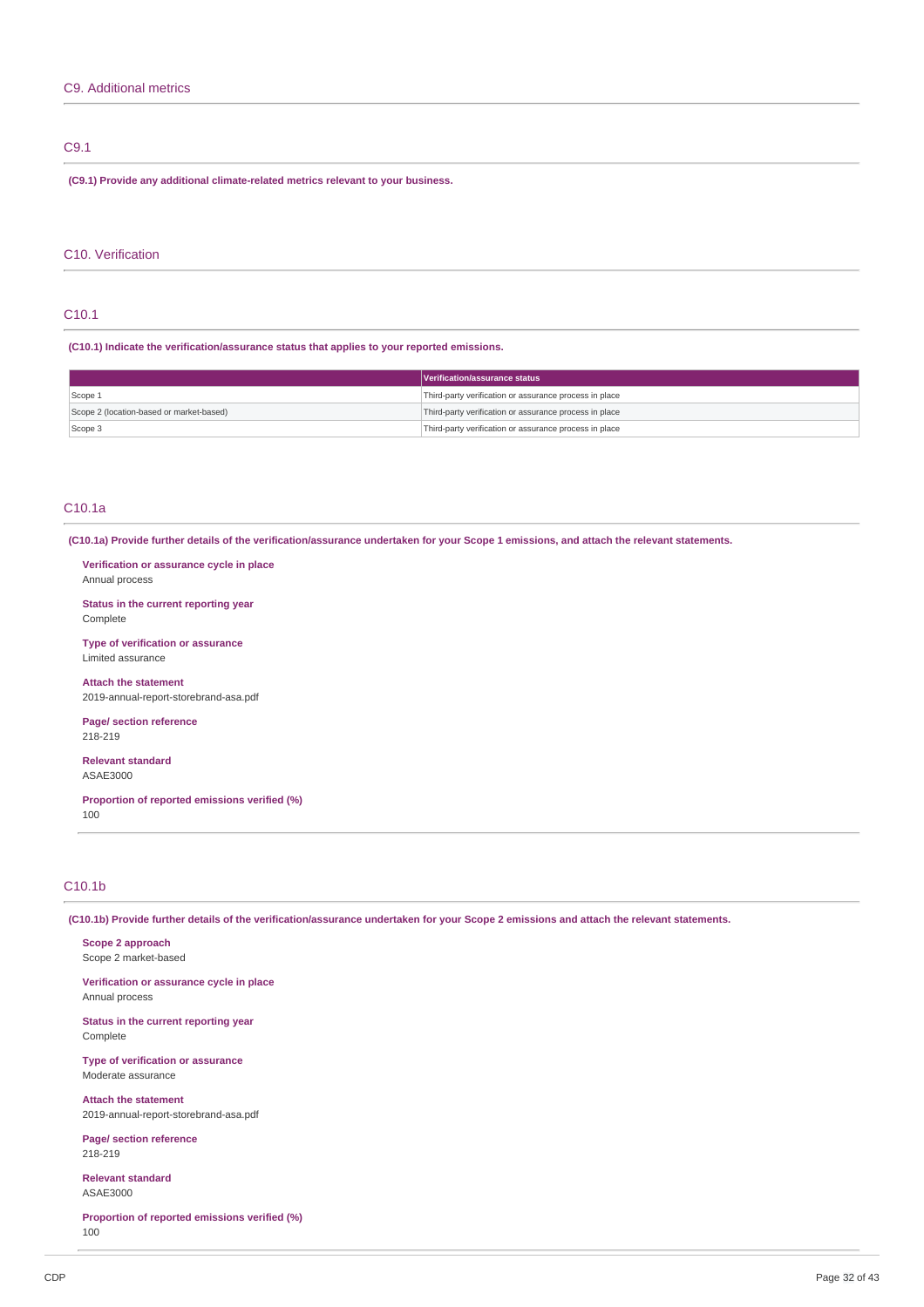# C9.1

**(C9.1) Provide any additional climate-related metrics relevant to your business.**

### C10. Verification

## C10.1

**(C10.1) Indicate the verification/assurance status that applies to your reported emissions.**

|                                          | Verification/assurance status                          |
|------------------------------------------|--------------------------------------------------------|
| Scope 1                                  | Third-party verification or assurance process in place |
| Scope 2 (location-based or market-based) | Third-party verification or assurance process in place |
| Scope 3                                  | Third-party verification or assurance process in place |

### C10.1a

(C10.1a) Provide further details of the verification/assurance undertaken for your Scope 1 emissions, and attach the relevant statements.

**Verification or assurance cycle in place** Annual process

**Status in the current reporting year** Complete

**Type of verification or assurance** Limited assurance

**Attach the statement** 2019-annual-report-storebrand-asa.pdf

**Page/ section reference** 218-219

**Relevant standard** ASAE3000

**Proportion of reported emissions verified (%)** 100

## C10.1b

(C10.1b) Provide further details of the verification/assurance undertaken for your Scope 2 emissions and attach the relevant statements.

**Scope 2 approach** Scope 2 market-based

**Verification or assurance cycle in place** Annual process

**Status in the current reporting year** Complete

**Type of verification or assurance** Moderate assurance

**Attach the statement** 2019-annual-report-storebrand-asa.pdf

**Page/ section reference** 218-219

**Relevant standard** ASAE3000

**Proportion of reported emissions verified (%)** 100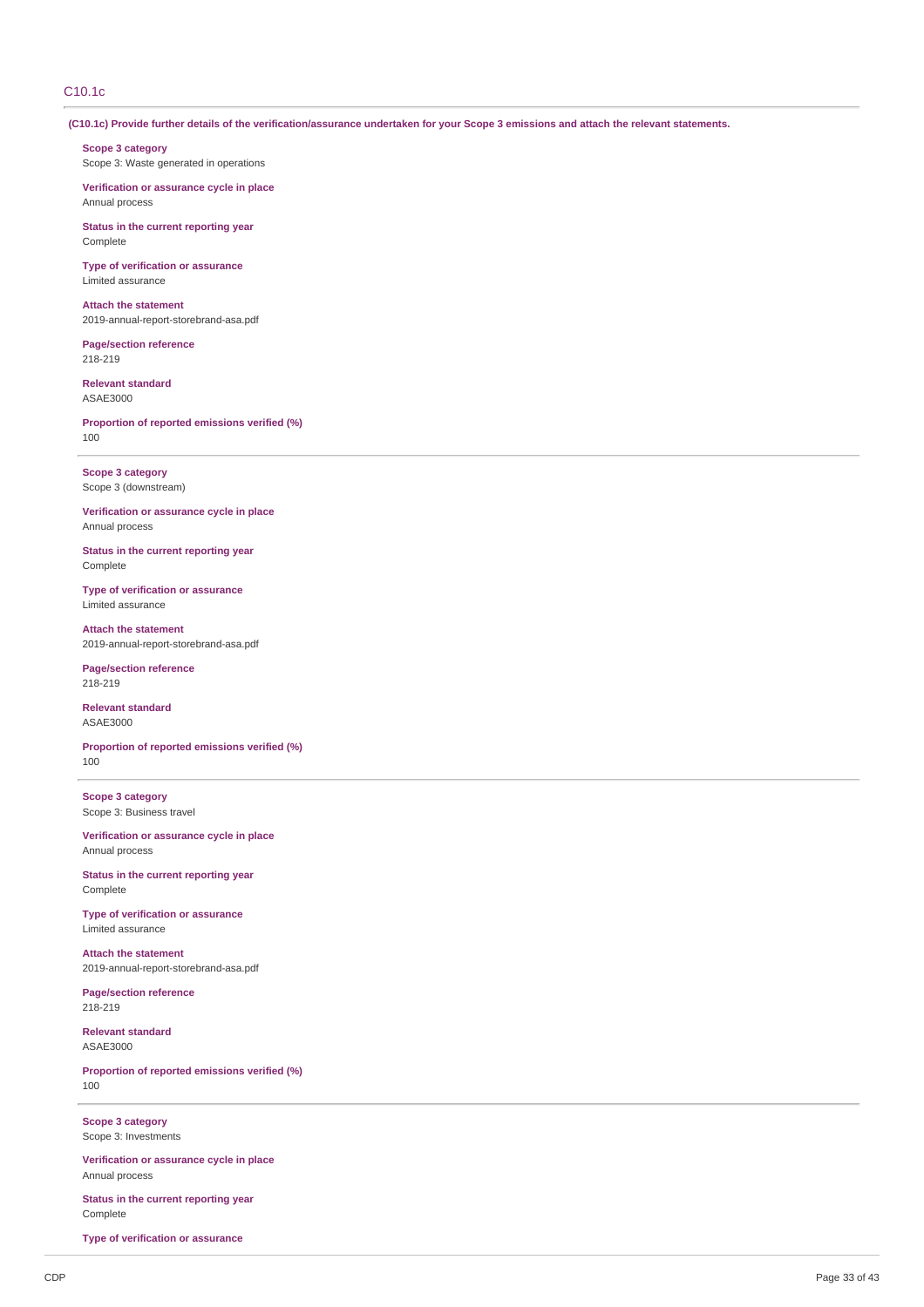# C10.1c

(C10.1c) Provide further details of the verification/assurance undertaken for your Scope 3 emissions and attach the relevant statements.

**Scope 3 category** Scope 3: Waste generated in operations

**Verification or assurance cycle in place** Annual process

**Status in the current reporting year** Complete

**Type of verification or assurance** Limited assurance

**Attach the statement** 2019-annual-report-storebrand-asa.pdf

**Page/section reference** 218-219

**Relevant standard** ASAE3000

**Proportion of reported emissions verified (%)** 100

**Scope 3 category** Scope 3 (downstream)

**Verification or assurance cycle in place** Annual process

**Status in the current reporting year** Complete

**Type of verification or assurance** Limited assurance

**Attach the statement** 2019-annual-report-storebrand-asa.pdf

**Page/section reference** 218-219

**Relevant standard** ASAE3000

**Proportion of reported emissions verified (%)** 100

**Scope 3 category** Scope 3: Business travel

**Verification or assurance cycle in place** Annual process

**Status in the current reporting year** Complete

**Type of verification or assurance** Limited assurance

**Attach the statement** 2019-annual-report-storebrand-asa.pdf

**Page/section reference** 218-219

**Relevant standard** ASAE3000

**Proportion of reported emissions verified (%)** 100

**Scope 3 category** Scope 3: Investments

**Verification or assurance cycle in place** Annual process

**Status in the current reporting year** Complete

**Type of verification or assurance**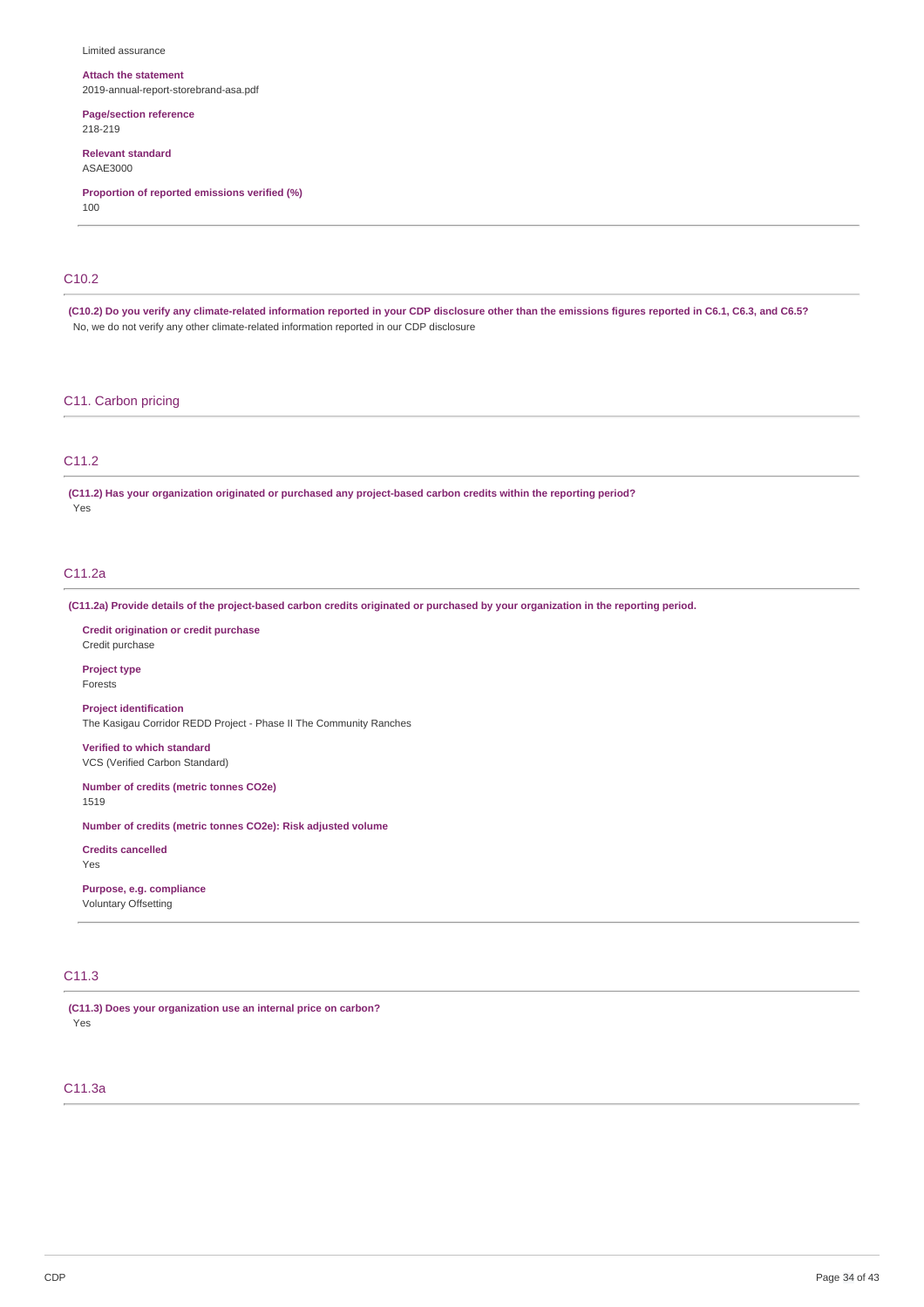#### Limited assurance

#### **Attach the statement**

2019-annual-report-storebrand-asa.pdf

**Page/section reference** 218-219

# **Relevant standard**

ASAE3000

**Proportion of reported emissions verified (%)**

100

# C10.2

(C10.2) Do you verify any climate-related information reported in your CDP disclosure other than the emissions figures reported in C6.1, C6.3, and C6.5? No, we do not verify any other climate-related information reported in our CDP disclosure

### C11. Carbon pricing

### C11.2

**(C11.2) Has your organization originated or purchased any project-based carbon credits within the reporting period?** Yes

### C11.2a

(C11.2a) Provide details of the project-based carbon credits originated or purchased by your organization in the reporting period.

**Credit origination or credit purchase** Credit purchase

**Project type** Forests

**Project identification** The Kasigau Corridor REDD Project - Phase II The Community Ranches

**Verified to which standard** VCS (Verified Carbon Standard)

**Number of credits (metric tonnes CO2e)** 1519

**Number of credits (metric tonnes CO2e): Risk adjusted volume**

**Credits cancelled** Yes

**Purpose, e.g. compliance** Voluntary Offsetting

#### C11.3

**(C11.3) Does your organization use an internal price on carbon?** Yes

# C11.3a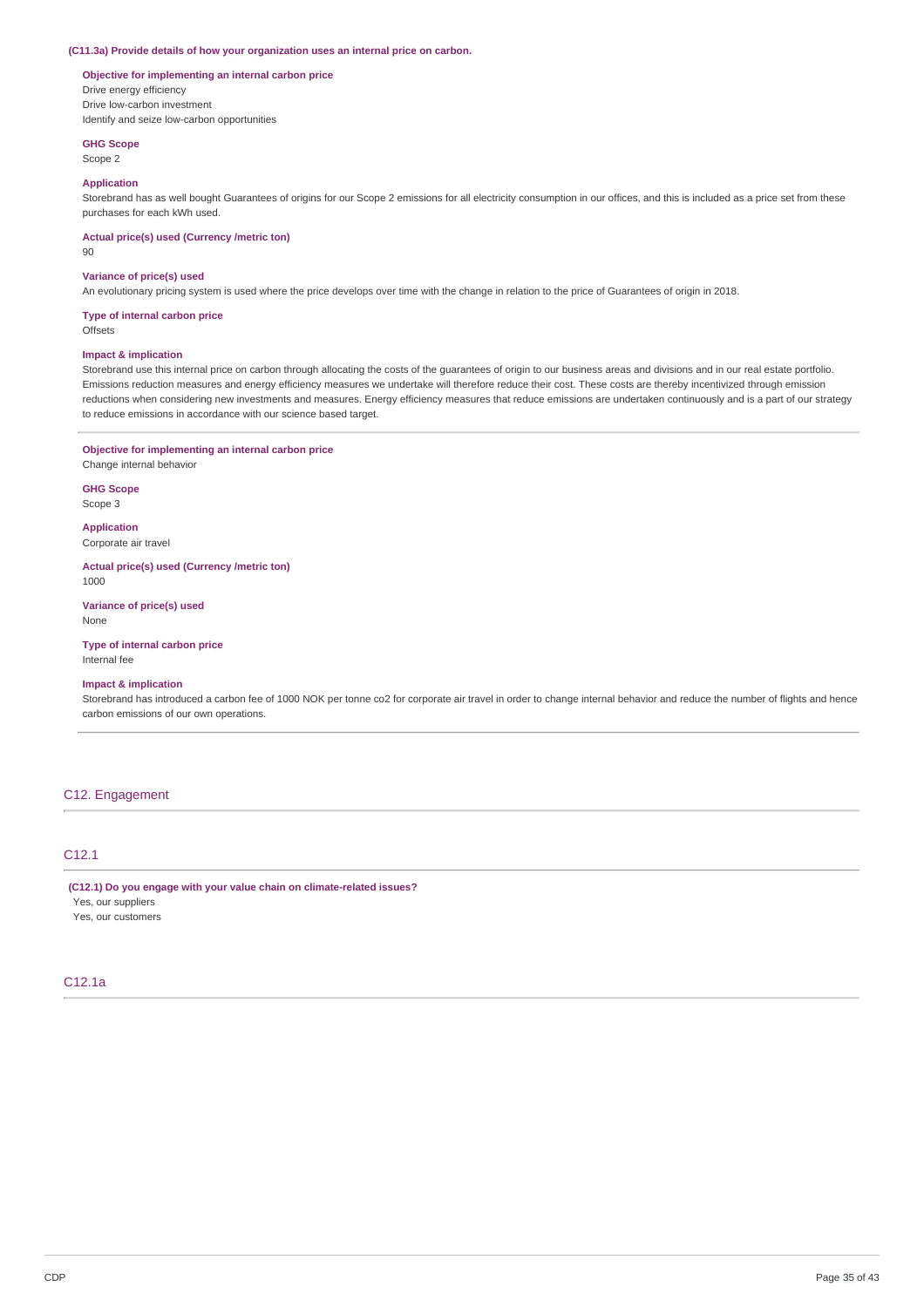#### **(C11.3a) Provide details of how your organization uses an internal price on carbon.**

# **Objective for implementing an internal carbon price**

Drive energy efficiency Drive low-carbon investment Identify and seize low-carbon opportunities

### **GHG Scope** Scope 2

## **Application**

Storebrand has as well bought Guarantees of origins for our Scope 2 emissions for all electricity consumption in our offices, and this is included as a price set from these purchases for each kWh used.

**Actual price(s) used (Currency /metric ton)**

90

#### **Variance of price(s) used**

An evolutionary pricing system is used where the price develops over time with the change in relation to the price of Guarantees of origin in 2018.

### **Type of internal carbon price**

**Offsets** 

### **Impact & implication**

Storebrand use this internal price on carbon through allocating the costs of the guarantees of origin to our business areas and divisions and in our real estate portfolio. Emissions reduction measures and energy efficiency measures we undertake will therefore reduce their cost. These costs are thereby incentivized through emission reductions when considering new investments and measures. Energy efficiency measures that reduce emissions are undertaken continuously and is a part of our strategy to reduce emissions in accordance with our science based target.

### **Objective for implementing an internal carbon price**

Change internal behavior

**GHG Scope** Scope 3

**Application**

Corporate air travel

#### **Actual price(s) used (Currency /metric ton)** 1000

**Variance of price(s) used** None

### **Type of internal carbon price**

Internal fee

### **Impact & implication**

Storebrand has introduced a carbon fee of 1000 NOK per tonne co2 for corporate air travel in order to change internal behavior and reduce the number of flights and hence carbon emissions of our own operations.

### C12. Engagement

### C12.1

**(C12.1) Do you engage with your value chain on climate-related issues?**

Yes, our suppliers Yes, our customers

## C12.1a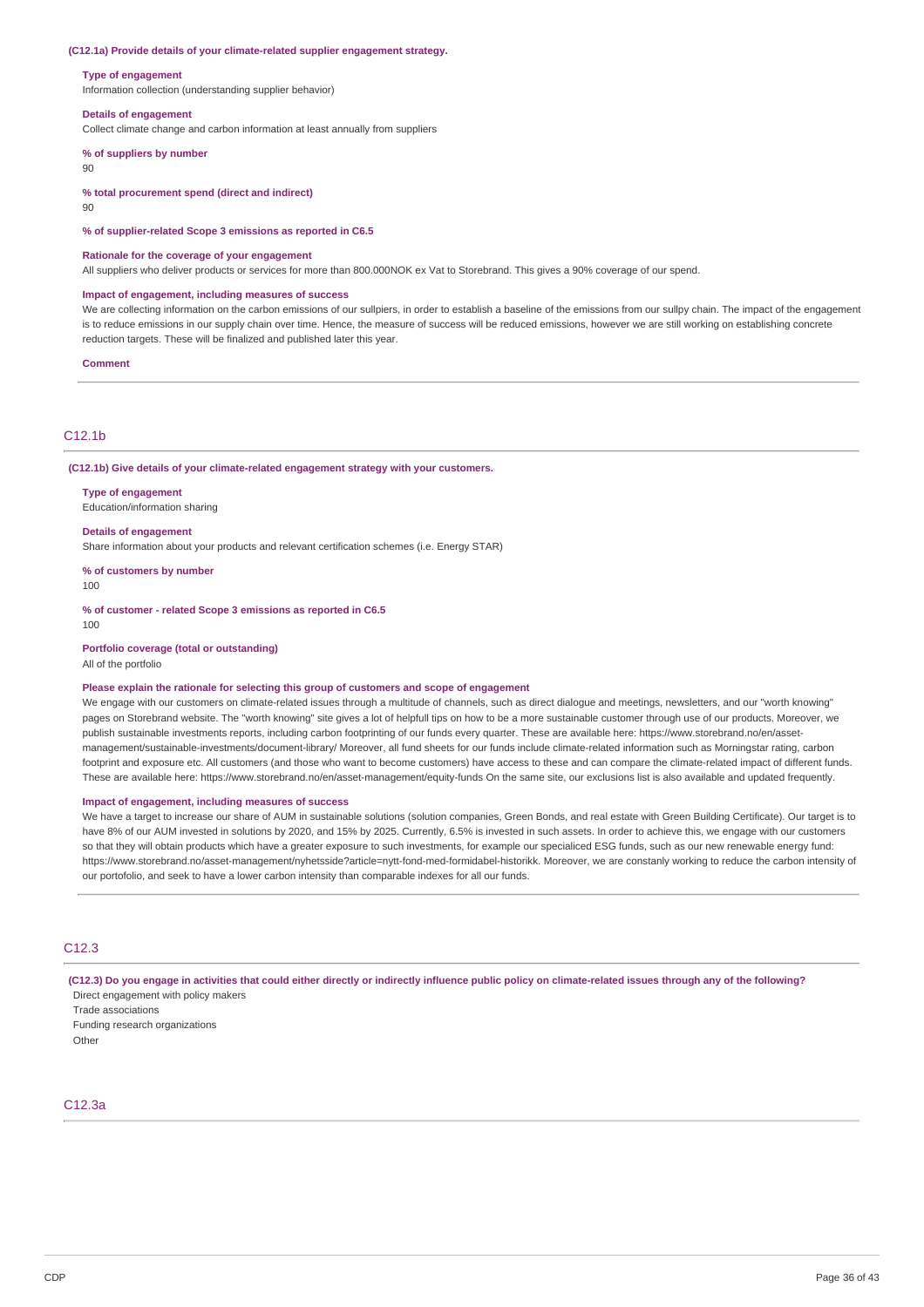#### **(C12.1a) Provide details of your climate-related supplier engagement strategy.**

#### **Type of engagement**

Information collection (understanding supplier behavior)

#### **Details of engagement**

Collect climate change and carbon information at least annually from suppliers

#### **% of suppliers by number**

90

#### **% total procurement spend (direct and indirect)**

 $90$ 

**% of supplier-related Scope 3 emissions as reported in C6.5**

#### **Rationale for the coverage of your engagement**

All suppliers who deliver products or services for more than 800.000NOK ex Vat to Storebrand. This gives a 90% coverage of our spend.

#### **Impact of engagement, including measures of success**

We are collecting information on the carbon emissions of our sullpiers, in order to establish a baseline of the emissions from our sullpy chain. The impact of the engagement is to reduce emissions in our supply chain over time. Hence, the measure of success will be reduced emissions, however we are still working on establishing concrete reduction targets. These will be finalized and published later this year.

#### **Comment**

### C12.1b

**(C12.1b) Give details of your climate-related engagement strategy with your customers.**

#### **Type of engagement**

Education/information sharing

#### **Details of engagement**

Share information about your products and relevant certification schemes (i.e. Energy STAR)

**% of customers by number**

100

**% of customer - related Scope 3 emissions as reported in C6.5** 100

#### **Portfolio coverage (total or outstanding)**

All of the portfolio

### **Please explain the rationale for selecting this group of customers and scope of engagement**

We engage with our customers on climate-related issues through a multitude of channels, such as direct dialogue and meetings, newsletters, and our "worth knowing" pages on Storebrand website. The "worth knowing" site gives a lot of helpfull tips on how to be a more sustainable customer through use of our products. Moreover, we publish sustainable investments reports, including carbon footprinting of our funds every quarter. These are available here: https://www.storebrand.no/en/assetmanagement/sustainable-investments/document-library/ Moreover, all fund sheets for our funds include climate-related information such as Morningstar rating, carbon footprint and exposure etc. All customers (and those who want to become customers) have access to these and can compare the climate-related impact of different funds. These are available here: https://www.storebrand.no/en/asset-management/equity-funds On the same site, our exclusions list is also available and updated frequently.

#### **Impact of engagement, including measures of success**

We have a target to increase our share of AUM in sustainable solutions (solution companies, Green Bonds, and real estate with Green Building Certificate). Our target is to have 8% of our AUM invested in solutions by 2020, and 15% by 2025. Currently, 6.5% is invested in such assets. In order to achieve this, we engage with our customers so that they will obtain products which have a greater exposure to such investments, for example our specialiced ESG funds, such as our new renewable energy fund: https://www.storebrand.no/asset-management/nyhetsside?article=nytt-fond-med-formidabel-historikk. Moreover, we are constanly working to reduce the carbon intensity of our portofolio, and seek to have a lower carbon intensity than comparable indexes for all our funds.

# C12.3

(C12.3) Do you engage in activities that could either directly or indirectly influence public policy on climate-related issues through any of the following? Direct engagement with policy makers

Trade associations Funding research organizations Other

### C12.3a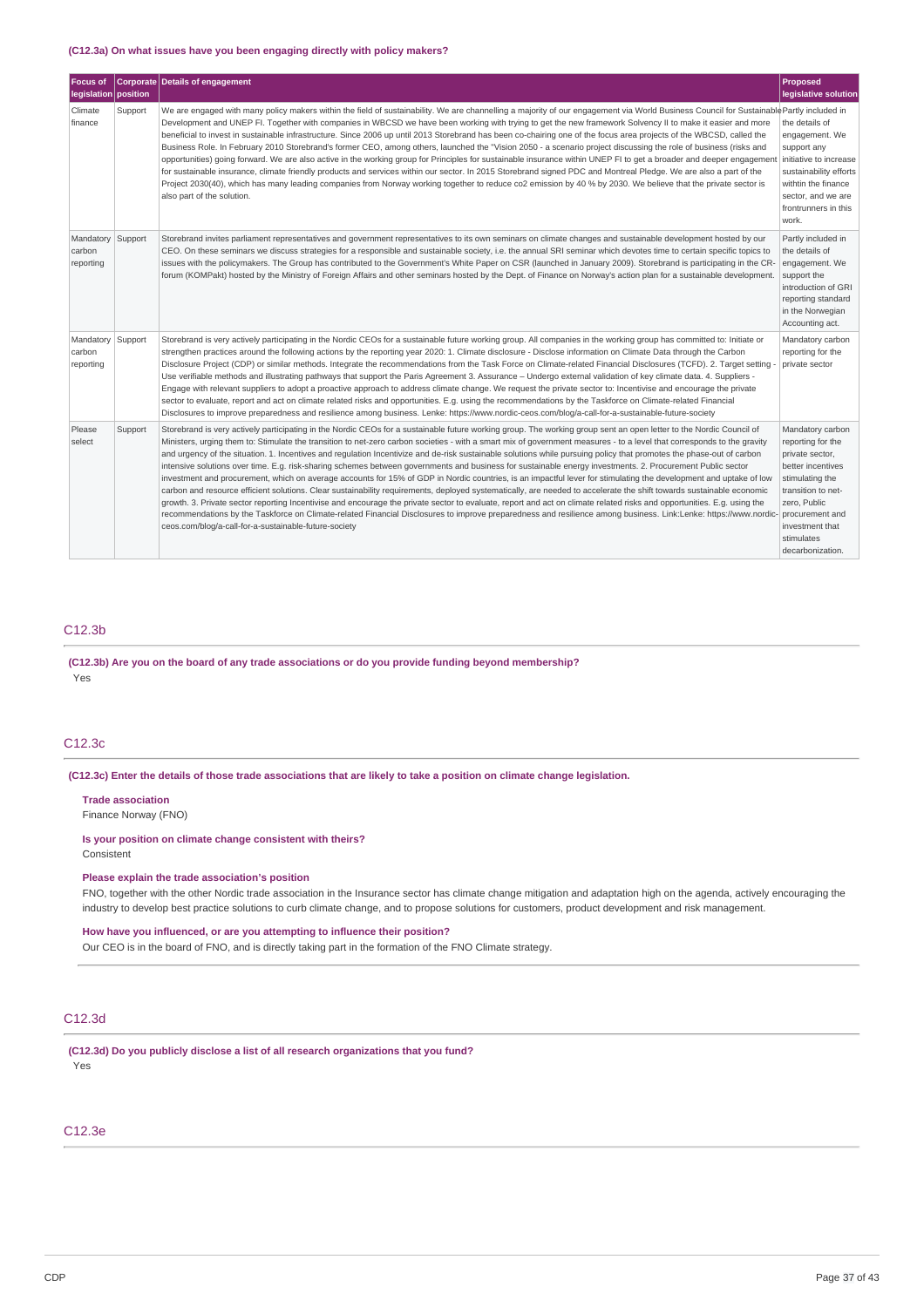### **(C12.3a) On what issues have you been engaging directly with policy makers?**

| <b>Focus of</b><br>legislation position  |         | Corporate Details of engagement                                                                                                                                                                                                                                                                                                                                                                                                                                                                                                                                                                                                                                                                                                                                                                                                                                                                                                                                                                                                                                                                                                                                                                                                                                                                                                                                                                                                           | <b>Proposed</b><br>legislative solution                                                                                                                                                                        |
|------------------------------------------|---------|-------------------------------------------------------------------------------------------------------------------------------------------------------------------------------------------------------------------------------------------------------------------------------------------------------------------------------------------------------------------------------------------------------------------------------------------------------------------------------------------------------------------------------------------------------------------------------------------------------------------------------------------------------------------------------------------------------------------------------------------------------------------------------------------------------------------------------------------------------------------------------------------------------------------------------------------------------------------------------------------------------------------------------------------------------------------------------------------------------------------------------------------------------------------------------------------------------------------------------------------------------------------------------------------------------------------------------------------------------------------------------------------------------------------------------------------|----------------------------------------------------------------------------------------------------------------------------------------------------------------------------------------------------------------|
| Climate<br>finance                       | Support | We are engaged with many policy makers within the field of sustainability. We are channelling a majority of our engagement via World Business Council for Sustainable Partly included in<br>Development and UNEP FI. Together with companies in WBCSD we have been working with trying to get the new framework Solvency II to make it easier and more<br>beneficial to invest in sustainable infrastructure. Since 2006 up until 2013 Storebrand has been co-chairing one of the focus area projects of the WBCSD, called the<br>Business Role. In February 2010 Storebrand's former CEO, among others, launched the "Vision 2050 - a scenario project discussing the role of business (risks and<br>opportunities) going forward. We are also active in the working group for Principles for sustainable insurance within UNEP FI to get a broader and deeper engagement initiative to increase<br>for sustainable insurance, climate friendly products and services within our sector. In 2015 Storebrand signed PDC and Montreal Pledge. We are also a part of the<br>Project 2030(40), which has many leading companies from Norway working together to reduce co2 emission by 40 % by 2030. We believe that the private sector is<br>also part of the solution.                                                                                                                                                                     | the details of<br>engagement. We<br>support any<br>sustainability efforts<br>withtin the finance<br>sector, and we are<br>frontrunners in this<br>work.                                                        |
| Mandatory<br>carbon<br>reporting         | Support | Storebrand invites parliament representatives and government representatives to its own seminars on climate changes and sustainable development hosted by our<br>CEO. On these seminars we discuss strategies for a responsible and sustainable society, i.e. the annual SRI seminar which devotes time to certain specific topics to<br>issues with the policymakers. The Group has contributed to the Government's White Paper on CSR (launched in January 2009). Storebrand is participating in the CR-<br>forum (KOMPakt) hosted by the Ministry of Foreign Affairs and other seminars hosted by the Dept. of Finance on Norway's action plan for a sustainable development.                                                                                                                                                                                                                                                                                                                                                                                                                                                                                                                                                                                                                                                                                                                                                          | Partly included in<br>the details of<br>engagement. We<br>support the<br>introduction of GRI<br>reporting standard<br>in the Norwegian<br>Accounting act.                                                      |
| Mandatory Support<br>carbon<br>reporting |         | Storebrand is very actively participating in the Nordic CEOs for a sustainable future working group. All companies in the working group has committed to: Initiate or<br>strengthen practices around the following actions by the reporting year 2020: 1. Climate disclosure - Disclose information on Climate Data through the Carbon<br>Disclosure Project (CDP) or similar methods. Integrate the recommendations from the Task Force on Climate-related Financial Disclosures (TCFD). 2. Target setting -<br>Use verifiable methods and illustrating pathways that support the Paris Agreement 3. Assurance - Undergo external validation of key climate data. 4. Suppliers -<br>Engage with relevant suppliers to adopt a proactive approach to address climate change. We request the private sector to: Incentivise and encourage the private<br>sector to evaluate, report and act on climate related risks and opportunities. E.g. using the recommendations by the Taskforce on Climate-related Financial<br>Disclosures to improve preparedness and resilience among business. Lenke: https://www.nordic-ceos.com/blog/a-call-for-a-sustainable-future-society                                                                                                                                                                                                                                                                 | Mandatory carbon<br>reporting for the<br>private sector                                                                                                                                                        |
| Please<br>select                         | Support | Storebrand is very actively participating in the Nordic CEOs for a sustainable future working group. The working group sent an open letter to the Nordic Council of<br>Ministers, urging them to: Stimulate the transition to net-zero carbon societies - with a smart mix of government measures - to a level that corresponds to the gravity<br>and urgency of the situation. 1. Incentives and regulation Incentivize and de-risk sustainable solutions while pursuing policy that promotes the phase-out of carbon<br>intensive solutions over time. E.g. risk-sharing schemes between governments and business for sustainable energy investments. 2. Procurement Public sector<br>investment and procurement, which on average accounts for 15% of GDP in Nordic countries, is an impactful lever for stimulating the development and uptake of low<br>carbon and resource efficient solutions. Clear sustainability requirements, deployed systematically, are needed to accelerate the shift towards sustainable economic<br>growth. 3. Private sector reporting Incentivise and encourage the private sector to evaluate, report and act on climate related risks and opportunities. E.g. using the<br>recommendations by the Taskforce on Climate-related Financial Disclosures to improve preparedness and resilience among business. Link:Lenke: https://www.nordic-<br>ceos.com/blog/a-call-for-a-sustainable-future-society | Mandatory carbon<br>reporting for the<br>private sector,<br>better incentives<br>stimulating the<br>transition to net-<br>zero, Public<br>procurement and<br>investment that<br>stimulates<br>decarbonization. |

### C12.3b

**(C12.3b) Are you on the board of any trade associations or do you provide funding beyond membership?** Yes

# C12.3c

(C12.3c) Enter the details of those trade associations that are likely to take a position on climate change legislation.

#### **Trade association**

Finance Norway (FNO)

# **Is your position on climate change consistent with theirs?**

Consistent

### **Please explain the trade association's position**

FNO, together with the other Nordic trade association in the Insurance sector has climate change mitigation and adaptation high on the agenda, actively encouraging the industry to develop best practice solutions to curb climate change, and to propose solutions for customers, product development and risk management.

### **How have you influenced, or are you attempting to influence their position?**

Our CEO is in the board of FNO, and is directly taking part in the formation of the FNO Climate strategy.

# C12.3d

**(C12.3d) Do you publicly disclose a list of all research organizations that you fund?** Yes

# C12.3e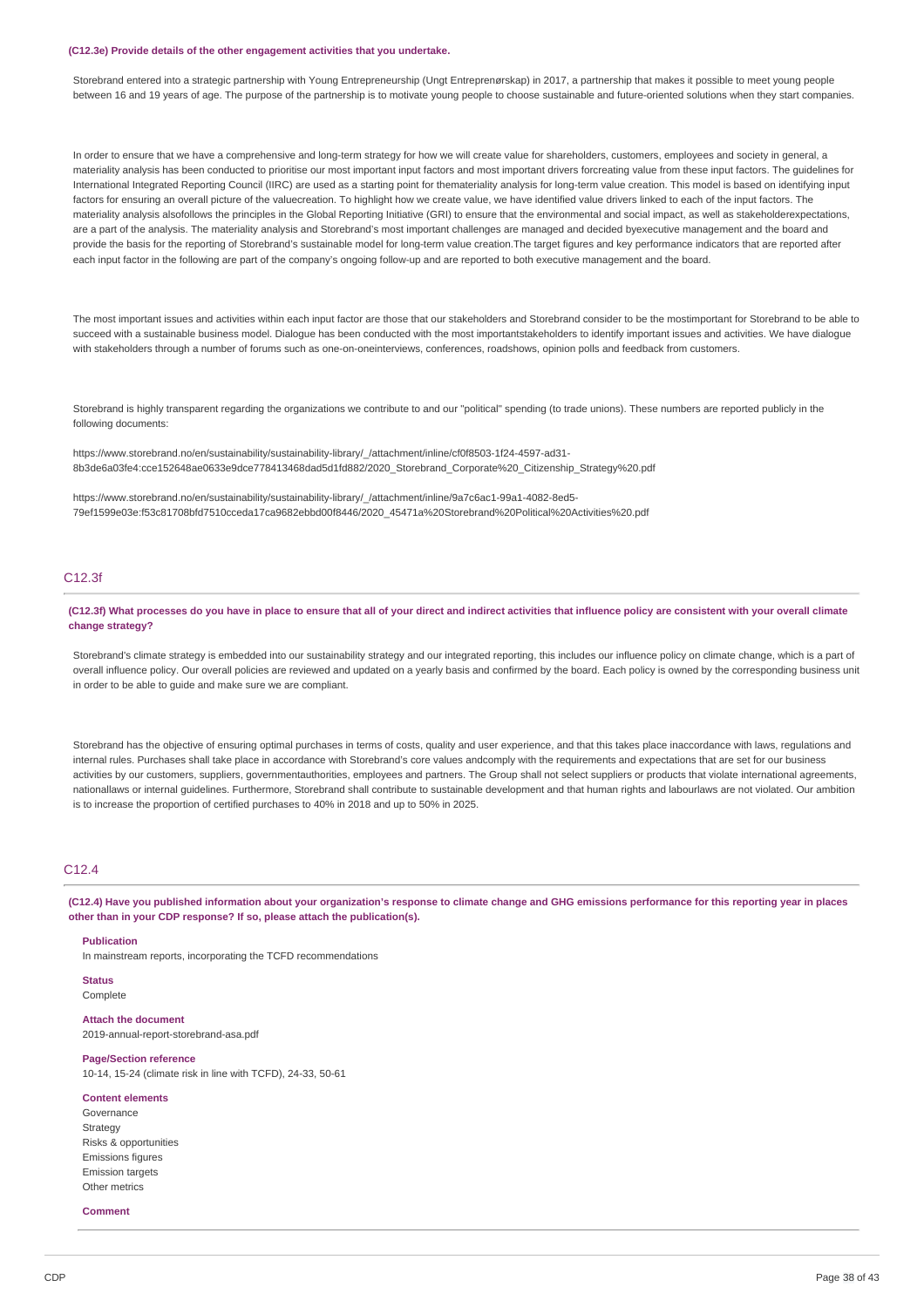#### **(C12.3e) Provide details of the other engagement activities that you undertake.**

Storebrand entered into a strategic partnership with Young Entrepreneurship (Ungt Entreprenørskap) in 2017, a partnership that makes it possible to meet young people between 16 and 19 years of age. The purpose of the partnership is to motivate young people to choose sustainable and future-oriented solutions when they start companies.

In order to ensure that we have a comprehensive and long-term strategy for how we will create value for shareholders, customers, employees and society in general, a materiality analysis has been conducted to prioritise our most important input factors and most important drivers forcreating value from these input factors. The guidelines for International Integrated Reporting Council (IIRC) are used as a starting point for themateriality analysis for long-term value creation. This model is based on identifying input factors for ensuring an overall picture of the valuecreation. To highlight how we create value, we have identified value drivers linked to each of the input factors. The materiality analysis alsofollows the principles in the Global Reporting Initiative (GRI) to ensure that the environmental and social impact, as well as stakeholderexpectations, are a part of the analysis. The materiality analysis and Storebrand's most important challenges are managed and decided byexecutive management and the board and provide the basis for the reporting of Storebrand's sustainable model for long-term value creation. The target figures and key performance indicators that are reported after each input factor in the following are part of the company's ongoing follow-up and are reported to both executive management and the board.

The most important issues and activities within each input factor are those that our stakeholders and Storebrand consider to be the mostimportant for Storebrand to be able to succeed with a sustainable business model. Dialogue has been conducted with the most importantstakeholders to identify important issues and activities. We have dialogue with stakeholders through a number of forums such as one-on-oneinterviews, conferences, roadshows, opinion polls and feedback from customers.

Storebrand is highly transparent regarding the organizations we contribute to and our "political" spending (to trade unions). These numbers are reported publicly in the following documents:

https://www.storebrand.no/en/sustainability/sustainability-library/\_/attachment/inline/cf0f8503-1f24-4597-ad31- 8b3de6a03fe4:cce152648ae0633e9dce778413468dad5d1fd882/2020\_Storebrand\_Corporate%20\_Citizenship\_Strategy%20.pdf

https://www.storebrand.no/en/sustainability/sustainability-library/\_/attachment/inline/9a7c6ac1-99a1-4082-8ed5- 79ef1599e03e:f53c81708bfd7510cceda17ca9682ebbd00f8446/2020\_45471a%20Storebrand%20Political%20Activities%20.pdf

### C12.3f

(C12.3f) What processes do you have in place to ensure that all of your direct and indirect activities that influence policy are consistent with your overall climate **change strategy?**

Storebrand's climate strategy is embedded into our sustainability strategy and our integrated reporting, this includes our influence policy on climate change, which is a part of overall influence policy. Our overall policies are reviewed and updated on a yearly basis and confirmed by the board. Each policy is owned by the corresponding business unit in order to be able to guide and make sure we are compliant.

Storebrand has the objective of ensuring optimal purchases in terms of costs, quality and user experience, and that this takes place inaccordance with laws, regulations and internal rules. Purchases shall take place in accordance with Storebrand's core values andcomply with the requirements and expectations that are set for our business activities by our customers, suppliers, governmentauthorities, employees and partners. The Group shall not select suppliers or products that violate international agreements, nationallaws or internal guidelines. Furthermore, Storebrand shall contribute to sustainable development and that human rights and labourlaws are not violated. Our ambition is to increase the proportion of certified purchases to 40% in 2018 and up to 50% in 2025.

### $C.12.4$

(C12.4) Have you published information about your organization's response to climate change and GHG emissions performance for this reporting year in places **other than in your CDP response? If so, please attach the publication(s).**

#### **Publication**

In mainstream reports, incorporating the TCFD recommendations

**Status Complete** 

**Attach the document** 2019-annual-report-storebrand-asa.pdf

#### **Page/Section reference**

10-14, 15-24 (climate risk in line with TCFD), 24-33, 50-61

#### **Content elements**

Governance **Strategy** Risks & opportunities Emissions figures Emission targets Other metrics

### **Comment**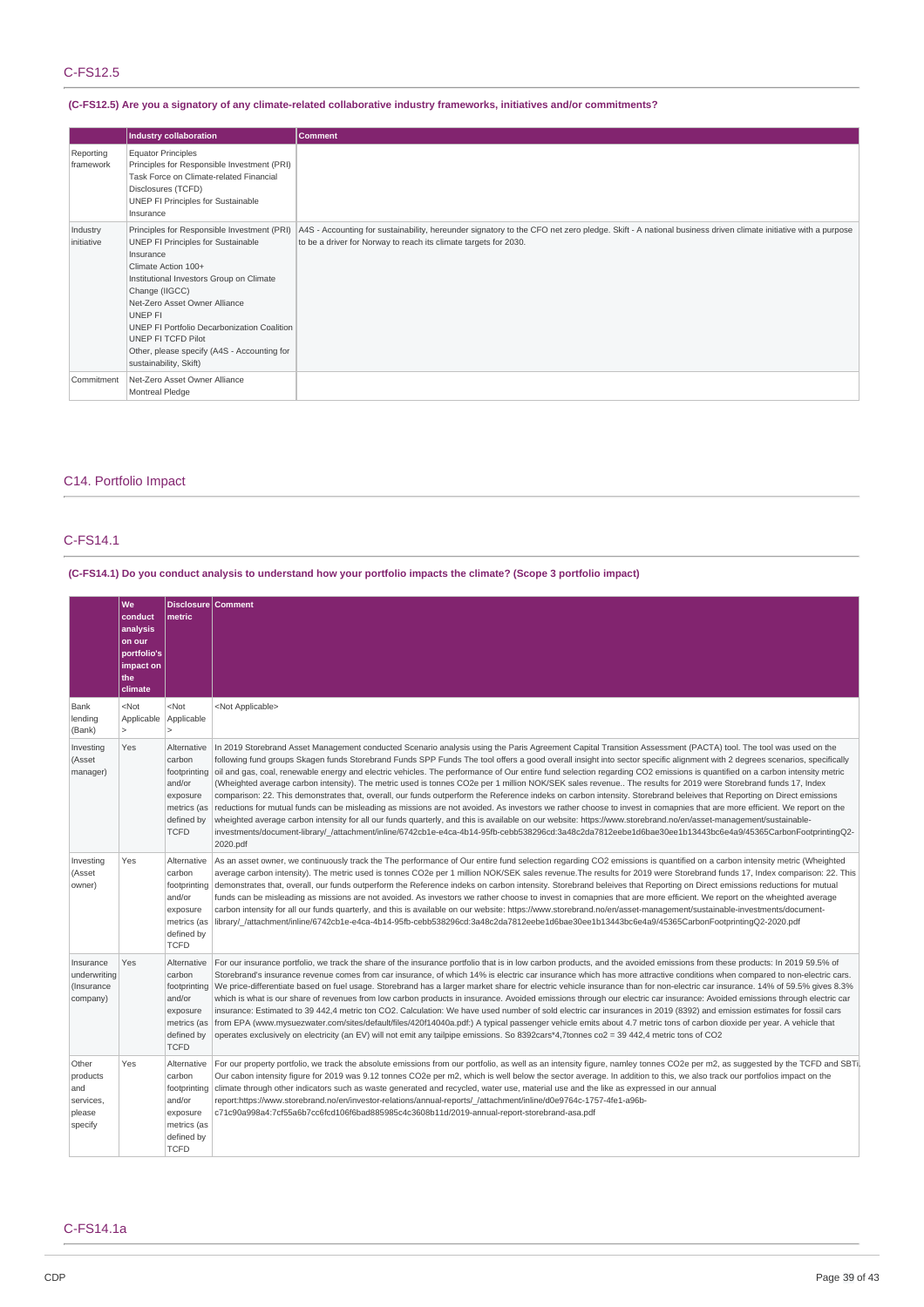### **(C-FS12.5) Are you a signatory of any climate-related collaborative industry frameworks, initiatives and/or commitments?**

|                        | <b>Industry collaboration</b>                                                                                                                                                                                                                                                                                                                                                 | <b>Comment</b>                                                                                                                                                                                                                |
|------------------------|-------------------------------------------------------------------------------------------------------------------------------------------------------------------------------------------------------------------------------------------------------------------------------------------------------------------------------------------------------------------------------|-------------------------------------------------------------------------------------------------------------------------------------------------------------------------------------------------------------------------------|
| Reporting<br>framework | <b>Equator Principles</b><br>Principles for Responsible Investment (PRI)<br>Task Force on Climate-related Financial<br>Disclosures (TCFD)<br>UNEP FI Principles for Sustainable<br>Insurance                                                                                                                                                                                  |                                                                                                                                                                                                                               |
| Industry<br>initiative | Principles for Responsible Investment (PRI)<br>UNEP FI Principles for Sustainable<br>Insurance<br>Climate Action 100+<br>Institutional Investors Group on Climate<br>Change (IIGCC)<br>Net-Zero Asset Owner Alliance<br>UNEP FI<br>UNEP FI Portfolio Decarbonization Coalition<br>UNEP FI TCFD Pilot<br>Other, please specify (A4S - Accounting for<br>sustainability, Skift) | A4S - Accounting for sustainability, hereunder signatory to the CFO net zero pledge. Skift - A national business driven climate initiative with a purpose<br>to be a driver for Norway to reach its climate targets for 2030. |
| Commitment             | Net-Zero Asset Owner Alliance<br>Montreal Pledge                                                                                                                                                                                                                                                                                                                              |                                                                                                                                                                                                                               |

# C14. Portfolio Impact

# C-FS14.1

# (C-FS14.1) Do you conduct analysis to understand how your portfolio impacts the climate? (Scope 3 portfolio impact)

|                                                            | We<br>conduct<br>analysis<br>on our<br>portfolio's<br>impact on<br>the<br>climate | Disclosure   Comment<br>metric                                                                          |                                                                                                                                                                                                                                                                                                                                                                                                                                                                                                                                                                                                                                                                                                                                                                                                                                                                                                                                                                                                                                                                                                                                                                                                                                                                                                                                                                                                 |
|------------------------------------------------------------|-----------------------------------------------------------------------------------|---------------------------------------------------------------------------------------------------------|-------------------------------------------------------------------------------------------------------------------------------------------------------------------------------------------------------------------------------------------------------------------------------------------------------------------------------------------------------------------------------------------------------------------------------------------------------------------------------------------------------------------------------------------------------------------------------------------------------------------------------------------------------------------------------------------------------------------------------------------------------------------------------------------------------------------------------------------------------------------------------------------------------------------------------------------------------------------------------------------------------------------------------------------------------------------------------------------------------------------------------------------------------------------------------------------------------------------------------------------------------------------------------------------------------------------------------------------------------------------------------------------------|
| Bank<br>lending<br>(Bank)                                  | $<$ Not<br>Applicable<br>1>                                                       | <not<br>Applicable<br/><math>\overline{ }</math></not<br>                                               | <not applicable=""></not>                                                                                                                                                                                                                                                                                                                                                                                                                                                                                                                                                                                                                                                                                                                                                                                                                                                                                                                                                                                                                                                                                                                                                                                                                                                                                                                                                                       |
| Investing<br>(Asset<br>manager)                            | Yes                                                                               | Alternative<br>carbon<br>footprinting<br>and/or<br>exposure<br>metrics (as<br>defined by<br><b>TCFD</b> | In 2019 Storebrand Asset Management conducted Scenario analysis using the Paris Agreement Capital Transition Assessment (PACTA) tool. The tool was used on the<br>following fund groups Skagen funds Storebrand Funds SPP Funds The tool offers a good overall insight into sector specific alignment with 2 degrees scenarios, specifically<br>oil and gas, coal, renewable energy and electric vehicles. The performance of Our entire fund selection regarding CO2 emissions is quantified on a carbon intensity metric<br>(Wheighted average carbon intensity). The metric used is tonnes CO2e per 1 million NOK/SEK sales revenue The results for 2019 were Storebrand funds 17, Index<br>comparison: 22. This demonstrates that, overall, our funds outperform the Reference indeks on carbon intensity. Storebrand beleives that Reporting on Direct emissions<br>reductions for mutual funds can be misleading as missions are not avoided. As investors we rather choose to invest in comapnies that are more efficient. We report on the<br>wheighted average carbon intensity for all our funds quarterly, and this is available on our website: https://www.storebrand.no/en/asset-management/sustainable-<br>investments/document-library/ /attachment/inline/6742cb1e-e4ca-4b14-95fb-cebb538296cd:3a48c2da7812eebe1d6bae30ee1b13443bc6e4a9/45365CarbonFootprintingQ2-<br>2020.pdf |
| Investing<br>(Asset<br>owner)                              | Yes                                                                               | Alternative<br>carbon<br>footprinting<br>and/or<br>exposure<br>metrics (as<br>defined by<br><b>TCFD</b> | As an asset owner, we continuously track the The performance of Our entire fund selection regarding CO2 emissions is quantified on a carbon intensity metric (Wheighted<br>average carbon intensity). The metric used is tonnes CO2e per 1 million NOK/SEK sales revenue.The results for 2019 were Storebrand funds 17, Index comparison: 22. This<br>demonstrates that, overall, our funds outperform the Reference indeks on carbon intensity. Storebrand beleives that Reporting on Direct emissions reductions for mutual<br>funds can be misleading as missions are not avoided. As investors we rather choose to invest in comapnies that are more efficient. We report on the wheighted average<br>carbon intensity for all our funds quarterly, and this is available on our website: https://www.storebrand.no/en/asset-management/sustainable-investments/document-<br>library/ /attachment/inline/6742cb1e-e4ca-4b14-95fb-cebb538296cd:3a48c2da7812eebe1d6bae30ee1b13443bc6e4a9/45365CarbonFootprintingQ2-2020.pdf                                                                                                                                                                                                                                                                                                                                                                   |
| Insurance<br>underwriting<br>(Insurance<br>company)        | Yes                                                                               | Alternative<br>carbon<br>footprinting<br>and/or<br>exposure<br>metrics (as<br>defined by<br><b>TCFD</b> | For our insurance portfolio, we track the share of the insurance portfolio that is in low carbon products, and the avoided emissions from these products: In 2019 59.5% of<br>Storebrand's insurance revenue comes from car insurance, of which 14% is electric car insurance which has more attractive conditions when compared to non-electric cars.<br>We price-differentiate based on fuel usage. Storebrand has a larger market share for electric vehicle insurance than for non-electric car insurance. 14% of 59.5% gives 8.3%<br>which is what is our share of revenues from low carbon products in insurance. Avoided emissions through our electric car insurance: Avoided emissions through electric car<br>insurance: Estimated to 39 442,4 metric ton CO2. Calculation: We have used number of sold electric car insurances in 2019 (8392) and emission estimates for fossil cars<br>from EPA (www.mysuezwater.com/sites/default/files/420f14040a.pdf:) A typical passenger vehicle emits about 4.7 metric tons of carbon dioxide per year. A vehicle that<br>operates exclusively on electricity (an EV) will not emit any tailpipe emissions. So 8392cars*4,7tonnes co2 = 39 442,4 metric tons of CO2                                                                                                                                                                           |
| Other<br>products<br>and<br>services,<br>please<br>specify | Yes                                                                               | Alternative<br>carbon<br>footprinting<br>and/or<br>exposure<br>metrics (as<br>defined by<br><b>TCFD</b> | For our property portfolio, we track the absolute emissions from our portfolio, as well as an intensity figure, namley tonnes CO2e per m2, as suggested by the TCFD and SBTi.<br>Our cabon intensity figure for 2019 was 9.12 tonnes CO2e per m2, which is well below the sector average. In addition to this, we also track our portfolios impact on the<br>climate through other indicators such as waste generated and recycled, water use, material use and the like as expressed in our annual<br>report:https://www.storebrand.no/en/investor-relations/annual-reports/ /attachment/inline/d0e9764c-1757-4fe1-a96b-<br>c71c90a998a4:7cf55a6b7cc6fcd106f6bad885985c4c3608b11d/2019-annual-report-storebrand-asa.pdf                                                                                                                                                                                                                                                                                                                                                                                                                                                                                                                                                                                                                                                                        |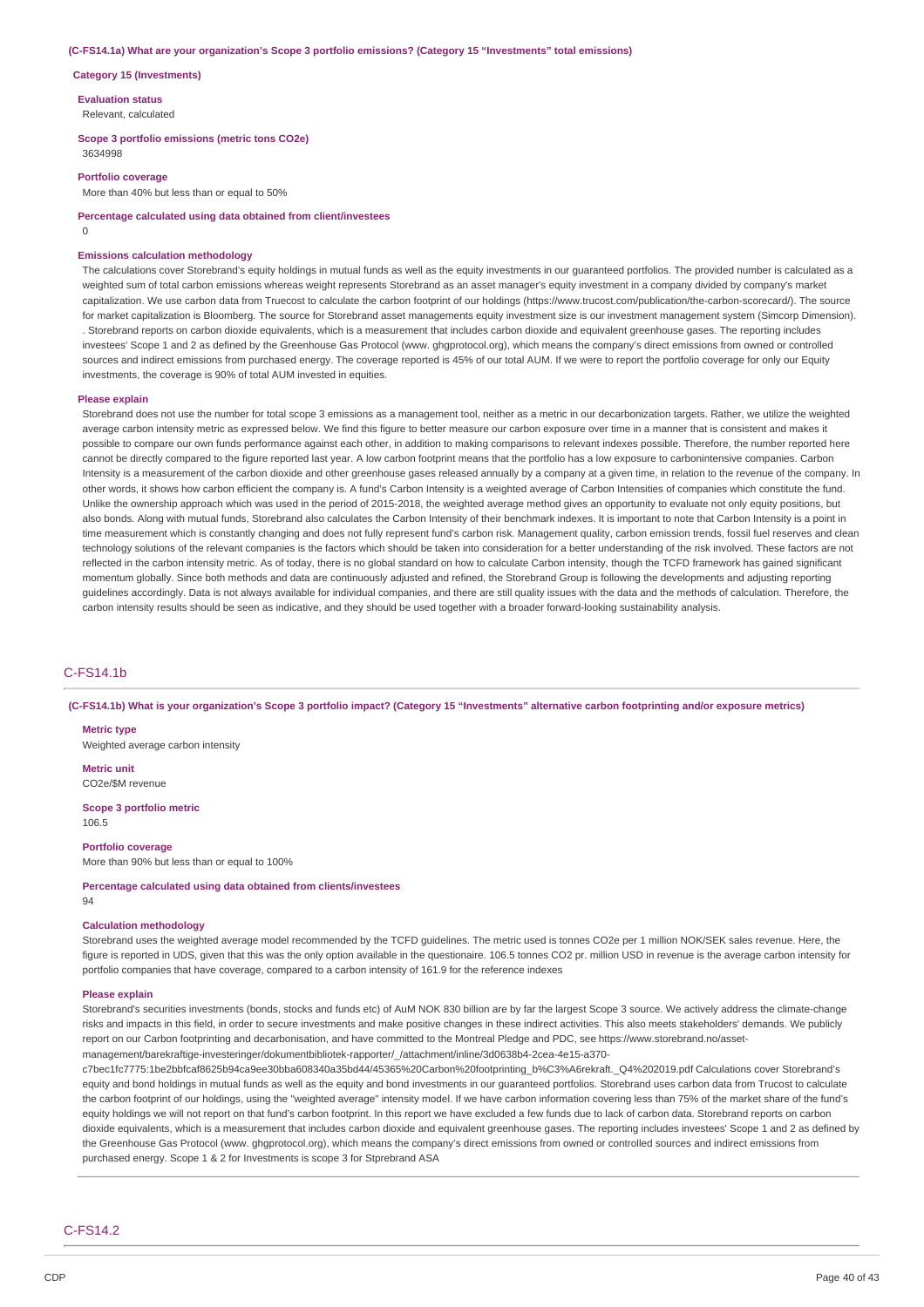#### **(C-FS14.1a) What are your organization's Scope 3 portfolio emissions? (Category 15 "Investments" total emissions)**

#### **Category 15 (Investments)**

**Evaluation status**

Relevant, calculated

#### **Scope 3 portfolio emissions (metric tons CO2e)**

3634998

## **Portfolio coverage**

More than 40% but less than or equal to 50%

**Percentage calculated using data obtained from client/investees**

 $\theta$ 

#### **Emissions calculation methodology**

The calculations cover Storebrand's equity holdings in mutual funds as well as the equity investments in our guaranteed portfolios. The provided number is calculated as a weighted sum of total carbon emissions whereas weight represents Storebrand as an asset manager's equity investment in a company divided by company's market capitalization. We use carbon data from Truecost to calculate the carbon footprint of our holdings (https://www.trucost.com/publication/the-carbon-scorecard/). The source for market capitalization is Bloomberg. The source for Storebrand asset managements equity investment size is our investment management system (Simcorp Dimension). . Storebrand reports on carbon dioxide equivalents, which is a measurement that includes carbon dioxide and equivalent greenhouse gases. The reporting includes investees' Scope 1 and 2 as defined by the Greenhouse Gas Protocol (www. ghgprotocol.org), which means the company's direct emissions from owned or controlled sources and indirect emissions from purchased energy. The coverage reported is 45% of our total AUM. If we were to report the portfolio coverage for only our Equity investments, the coverage is 90% of total AUM invested in equities.

#### **Please explain**

Storebrand does not use the number for total scope 3 emissions as a management tool, neither as a metric in our decarbonization targets. Rather, we utilize the weighted average carbon intensity metric as expressed below. We find this figure to better measure our carbon exposure over time in a manner that is consistent and makes it possible to compare our own funds performance against each other, in addition to making comparisons to relevant indexes possible. Therefore, the number reported here cannot be directly compared to the figure reported last year. A low carbon footprint means that the portfolio has a low exposure to carbonintensive companies. Carbon Intensity is a measurement of the carbon dioxide and other greenhouse gases released annually by a company at a given time, in relation to the revenue of the company. In other words, it shows how carbon efficient the company is. A fund's Carbon Intensity is a weighted average of Carbon Intensities of companies which constitute the fund. Unlike the ownership approach which was used in the period of 2015-2018, the weighted average method gives an opportunity to evaluate not only equity positions, but also bonds. Along with mutual funds, Storebrand also calculates the Carbon Intensity of their benchmark indexes. It is important to note that Carbon Intensity is a point in time measurement which is constantly changing and does not fully represent fund's carbon risk. Management quality, carbon emission trends, fossil fuel reserves and clean technology solutions of the relevant companies is the factors which should be taken into consideration for a better understanding of the risk involved. These factors are not reflected in the carbon intensity metric. As of today, there is no global standard on how to calculate Carbon intensity, though the TCFD framework has gained significant momentum globally. Since both methods and data are continuously adjusted and refined, the Storebrand Group is following the developments and adjusting reporting guidelines accordingly. Data is not always available for individual companies, and there are still quality issues with the data and the methods of calculation. Therefore, the carbon intensity results should be seen as indicative, and they should be used together with a broader forward-looking sustainability analysis.

## C-FS14.1b

(C-FS14.1b) What is your organization's Scope 3 portfolio impact? (Category 15 "Investments" alternative carbon footprinting and/or exposure metrics)

#### **Metric type**

Weighted average carbon intensity

**Metric unit** CO2e/\$M revenue

#### **Scope 3 portfolio metric** 106.5

**Portfolio coverage** More than 90% but less than or equal to 100%

#### **Percentage calculated using data obtained from clients/investees** 94

#### **Calculation methodology**

Storebrand uses the weighted average model recommended by the TCFD guidelines. The metric used is tonnes CO2e per 1 million NOK/SEK sales revenue. Here, the figure is reported in UDS, given that this was the only option available in the questionaire. 106.5 tonnes CO2 pr. million USD in revenue is the average carbon intensity for portfolio companies that have coverage, compared to a carbon intensity of 161.9 for the reference indexes

#### **Please explain**

Storebrand's securities investments (bonds, stocks and funds etc) of AuM NOK 830 billion are by far the largest Scope 3 source. We actively address the climate-change risks and impacts in this field, in order to secure investments and make positive changes in these indirect activities. This also meets stakeholders' demands. We publicly report on our Carbon footprinting and decarbonisation, and have committed to the Montreal Pledge and PDC, see https://www.storebrand.no/assetmanagement/barekraftige-investeringer/dokumentbibliotek-rapporter/\_/attachment/inline/3d0638b4-2cea-4e15-a370-

c7bec1fc7775:1be2bbfcaf8625b94ca9ee30bba608340a35bd44/45365%20Carbon%20footprinting\_b%C3%A6rekraft.\_Q4%202019.pdf Calculations cover Storebrand's equity and bond holdings in mutual funds as well as the equity and bond investments in our guaranteed portfolios. Storebrand uses carbon data from Trucost to calculate the carbon footprint of our holdings, using the "weighted average" intensity model. If we have carbon information covering less than 75% of the market share of the fund's equity holdings we will not report on that fund's carbon footprint. In this report we have excluded a few funds due to lack of carbon data. Storebrand reports on carbon dioxide equivalents, which is a measurement that includes carbon dioxide and equivalent greenhouse gases. The reporting includes investees' Scope 1 and 2 as defined by the Greenhouse Gas Protocol (www. ghgprotocol.org), which means the company's direct emissions from owned or controlled sources and indirect emissions from purchased energy. Scope 1 & 2 for Investments is scope 3 for Stprebrand ASA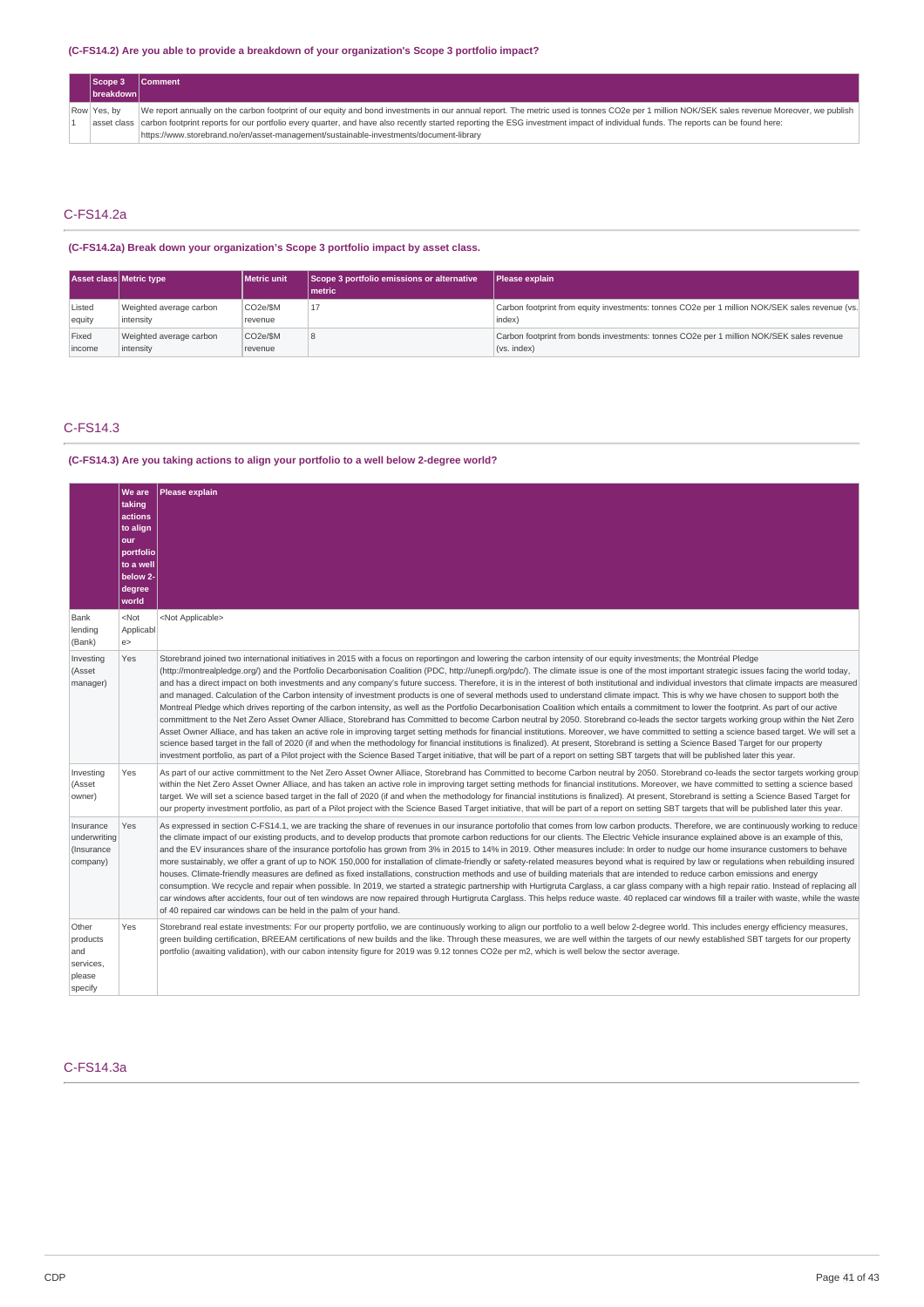### **(C-FS14.2) Are you able to provide a breakdown of your organization's Scope 3 portfolio impact?**

| Scope 3<br> breakdown | <b>Comment</b>                                                                                                                                                                                 |
|-----------------------|------------------------------------------------------------------------------------------------------------------------------------------------------------------------------------------------|
| Row Yes, by           | We report annually on the carbon footprint of our equity and bond investments in our annual report. The metric used is tonnes CO2e per 1 million NOK/SEK sales revenue Moreover, we publish    |
|                       | asset class   carbon footprint reports for our portfolio every quarter, and have also recently started reporting the ESG investment impact of individual funds. The reports can be found here: |
|                       | https://www.storebrand.no/en/asset-management/sustainable-investments/document-library                                                                                                         |

# C-FS14.2a

**(C-FS14.2a) Break down your organization's Scope 3 portfolio impact by asset class.**

|        | <b>Asset class Metric type</b> | Metric unit | Scope 3 portfolio emissions or alternative<br>Imetric | Please explain                                                                                 |
|--------|--------------------------------|-------------|-------------------------------------------------------|------------------------------------------------------------------------------------------------|
| Listed | Weighted average carbon        | CO2e/\$M    |                                                       | Carbon footprint from equity investments: tonnes CO2e per 1 million NOK/SEK sales revenue (vs. |
| equity | intensity                      | revenue     |                                                       | index)                                                                                         |
| Fixed  | Weighted average carbon        | CO2e/\$M    |                                                       | Carbon footprint from bonds investments: tonnes CO2e per 1 million NOK/SEK sales revenue       |
| income | intensity                      | revenue     |                                                       | (vs. index)                                                                                    |

## C-FS14.3

### **(C-FS14.3) Are you taking actions to align your portfolio to a well below 2-degree world?**

|                                                            | <b>We are</b><br>taking<br>actions<br>to align<br>our<br>portfolio<br>to a well<br>below 2-<br>degree<br>world | <b>Please explain</b>                                                                                                                                                                                                                                                                                                                                                                                                                                                                                                                                                                                                                                                                                                                                                                                                                                                                                                                                                                                                                                                                                                                                                                                                                                                                                                                                                                                                                                                                                                                                                                                                                                                                                                                              |
|------------------------------------------------------------|----------------------------------------------------------------------------------------------------------------|----------------------------------------------------------------------------------------------------------------------------------------------------------------------------------------------------------------------------------------------------------------------------------------------------------------------------------------------------------------------------------------------------------------------------------------------------------------------------------------------------------------------------------------------------------------------------------------------------------------------------------------------------------------------------------------------------------------------------------------------------------------------------------------------------------------------------------------------------------------------------------------------------------------------------------------------------------------------------------------------------------------------------------------------------------------------------------------------------------------------------------------------------------------------------------------------------------------------------------------------------------------------------------------------------------------------------------------------------------------------------------------------------------------------------------------------------------------------------------------------------------------------------------------------------------------------------------------------------------------------------------------------------------------------------------------------------------------------------------------------------|
| Bank<br>lending<br>(Bank)                                  | $<$ Not<br>Applicabl<br>e                                                                                      | <not applicable=""></not>                                                                                                                                                                                                                                                                                                                                                                                                                                                                                                                                                                                                                                                                                                                                                                                                                                                                                                                                                                                                                                                                                                                                                                                                                                                                                                                                                                                                                                                                                                                                                                                                                                                                                                                          |
| Investing<br>(Asset<br>manager)                            | Yes                                                                                                            | Storebrand joined two international initiatives in 2015 with a focus on reportingon and lowering the carbon intensity of our equity investments; the Montréal Pledge<br>(http://montrealpledge.org/) and the Portfolio Decarbonisation Coalition (PDC, http://unepfi.org/pdc/). The climate issue is one of the most important strategic issues facing the world today,<br>and has a direct impact on both investments and any company's future success. Therefore, it is in the interest of both institutional and individual investors that climate impacts are measured<br>and managed. Calculation of the Carbon intensity of investment products is one of several methods used to understand climate impact. This is why we have chosen to support both the<br>Montreal Pledge which drives reporting of the carbon intensity, as well as the Portfolio Decarbonisation Coalition which entails a commitment to lower the footprint. As part of our active<br>committment to the Net Zero Asset Owner Alliace, Storebrand has Committed to become Carbon neutral by 2050. Storebrand co-leads the sector targets working group within the Net Zero<br>Asset Owner Alliace, and has taken an active role in improving target setting methods for financial institutions. Moreover, we have committed to setting a science based target. We will set a<br>science based target in the fall of 2020 (if and when the methodology for financial institutions is finalized). At present, Storebrand is setting a Science Based Target for our property<br>investment portfolio, as part of a Pilot project with the Science Based Target initiative, that will be part of a report on setting SBT targets that will be published later this year. |
| Investing<br>(Asset<br>owner)                              | Yes                                                                                                            | As part of our active committment to the Net Zero Asset Owner Alliace, Storebrand has Committed to become Carbon neutral by 2050. Storebrand co-leads the sector targets working group<br>within the Net Zero Asset Owner Alliace, and has taken an active role in improving target setting methods for financial institutions. Moreover, we have committed to setting a science based<br>target. We will set a science based target in the fall of 2020 (if and when the methodology for financial institutions is finalized). At present, Storebrand is setting a Science Based Target for<br>our property investment portfolio, as part of a Pilot project with the Science Based Target initiative, that will be part of a report on setting SBT targets that will be published later this year.                                                                                                                                                                                                                                                                                                                                                                                                                                                                                                                                                                                                                                                                                                                                                                                                                                                                                                                                               |
| Insurance<br>underwriting<br>(Insurance<br>company)        | Yes                                                                                                            | As expressed in section C-FS14.1, we are tracking the share of revenues in our insurance portofolio that comes from low carbon products. Therefore, we are continuously working to reduce<br>the climate impact of our existing products, and to develop products that promote carbon reductions for our clients. The Electric Vehicle insurance explained above is an example of this,<br>and the EV insurances share of the insurance portofolio has grown from 3% in 2015 to 14% in 2019. Other measures include: In order to nudge our home insurance customers to behave<br>more sustainably, we offer a grant of up to NOK 150,000 for installation of climate-friendly or safety-related measures beyond what is required by law or regulations when rebuilding insured<br>houses. Climate-friendly measures are defined as fixed installations, construction methods and use of building materials that are intended to reduce carbon emissions and energy<br>consumption. We recycle and repair when possible. In 2019, we started a strategic partnership with Hurtigruta Carglass, a car glass company with a high repair ratio. Instead of replacing all<br>car windows after accidents, four out of ten windows are now repaired through Hurtigruta Carglass. This helps reduce waste. 40 replaced car windows fill a trailer with waste, while the waste<br>of 40 repaired car windows can be held in the palm of your hand.                                                                                                                                                                                                                                                                                                         |
| Other<br>products<br>and<br>services,<br>please<br>specify | Yes                                                                                                            | Storebrand real estate investments: For our property portfolio, we are continuously working to align our portfolio to a well below 2-degree world. This includes energy efficiency measures,<br>green building certification, BREEAM certifications of new builds and the like. Through these measures, we are well within the targets of our newly established SBT targets for our property<br>portfolio (awaiting validation), with our cabon intensity figure for 2019 was 9.12 tonnes CO2e per m2, which is well below the sector average.                                                                                                                                                                                                                                                                                                                                                                                                                                                                                                                                                                                                                                                                                                                                                                                                                                                                                                                                                                                                                                                                                                                                                                                                     |

# C-FS14.3a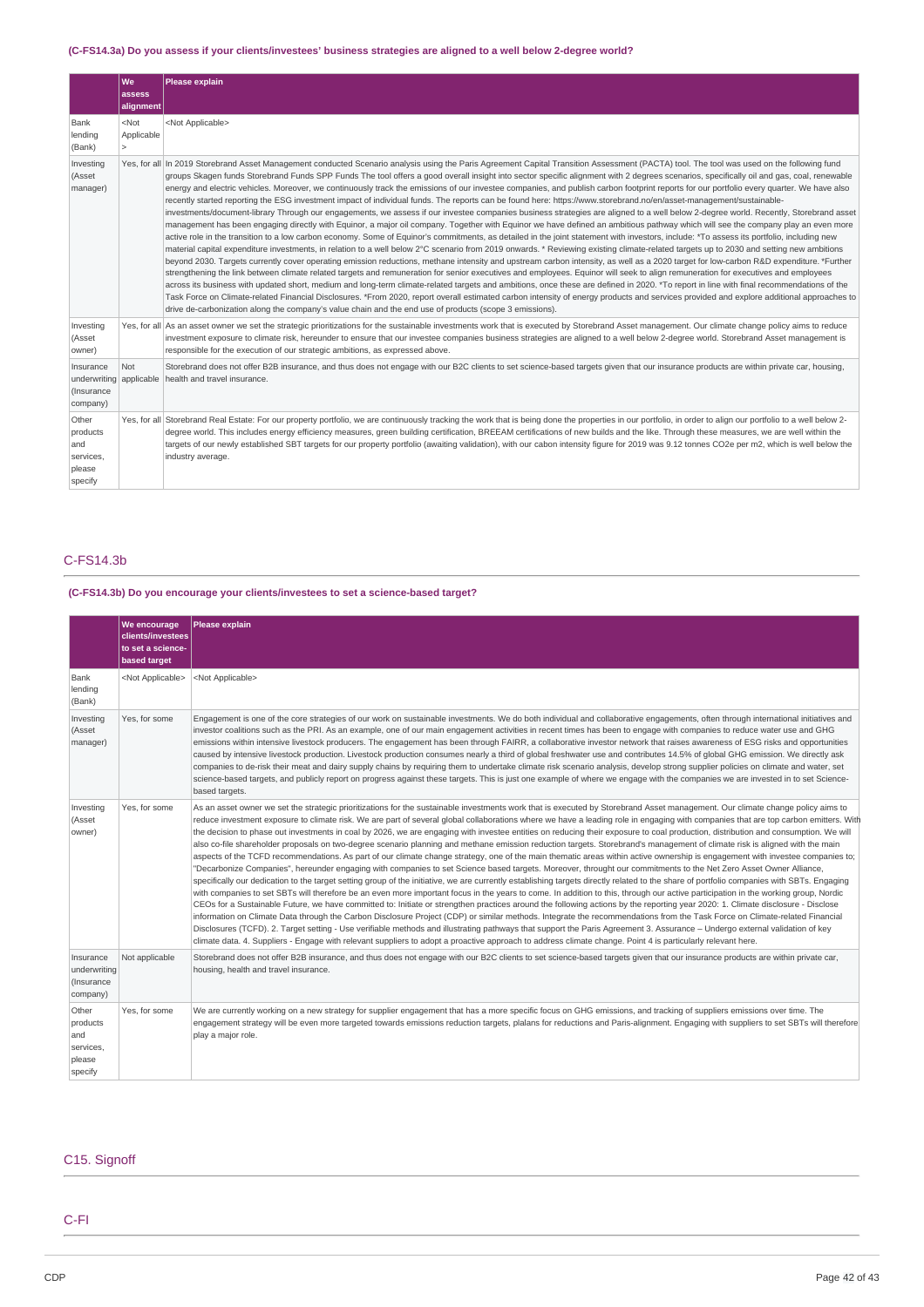# (C-FS14.3a) Do you assess if your clients/investees' business strategies are aligned to a well below 2-degree world?

|                                                                | We<br>assess<br>alignment               | Please explain                                                                                                                                                                                                                                                                                                                                                                                                                                                                                                                                                                                                                                                                                                                                                                                                                                                                                                                                                                                                                                                                                                                                                                                                                                                                                                                                                                                                                                                                                                                                                                                                                                                                                                                                                                                                                                                                                                                                                                                                                                                                                                                                                                                                                                                                                                                                                                                                     |
|----------------------------------------------------------------|-----------------------------------------|--------------------------------------------------------------------------------------------------------------------------------------------------------------------------------------------------------------------------------------------------------------------------------------------------------------------------------------------------------------------------------------------------------------------------------------------------------------------------------------------------------------------------------------------------------------------------------------------------------------------------------------------------------------------------------------------------------------------------------------------------------------------------------------------------------------------------------------------------------------------------------------------------------------------------------------------------------------------------------------------------------------------------------------------------------------------------------------------------------------------------------------------------------------------------------------------------------------------------------------------------------------------------------------------------------------------------------------------------------------------------------------------------------------------------------------------------------------------------------------------------------------------------------------------------------------------------------------------------------------------------------------------------------------------------------------------------------------------------------------------------------------------------------------------------------------------------------------------------------------------------------------------------------------------------------------------------------------------------------------------------------------------------------------------------------------------------------------------------------------------------------------------------------------------------------------------------------------------------------------------------------------------------------------------------------------------------------------------------------------------------------------------------------------------|
| Bank<br>lending<br>(Bank)                                      | $<$ Not<br>Applicable<br>$\overline{ }$ | <not applicable=""></not>                                                                                                                                                                                                                                                                                                                                                                                                                                                                                                                                                                                                                                                                                                                                                                                                                                                                                                                                                                                                                                                                                                                                                                                                                                                                                                                                                                                                                                                                                                                                                                                                                                                                                                                                                                                                                                                                                                                                                                                                                                                                                                                                                                                                                                                                                                                                                                                          |
| Investing<br>(Asset<br>manager)                                |                                         | Yes, for all   In 2019 Storebrand Asset Management conducted Scenario analysis using the Paris Agreement Capital Transition Assessment (PACTA) tool. The tool was used on the following fund<br>groups Skagen funds Storebrand Funds SPP Funds The tool offers a good overall insight into sector specific alignment with 2 degrees scenarios, specifically oil and gas, coal, renewable<br>energy and electric vehicles. Moreover, we continuously track the emissions of our investee companies, and publish carbon footprint reports for our portfolio every quarter. We have also<br>recently started reporting the ESG investment impact of individual funds. The reports can be found here: https://www.storebrand.no/en/asset-management/sustainable-<br>investments/document-library Through our engagements, we assess if our investee companies business strategies are aligned to a well below 2-degree world. Recently, Storebrand asset<br>management has been engaging directly with Equinor, a major oil company. Together with Equinor we have defined an ambitious pathway which will see the company play an even more<br>active role in the transition to a low carbon economy. Some of Equinor's commitments, as detailed in the joint statement with investors, include: *To assess its portfolio, including new<br>material capital expenditure investments, in relation to a well below 2°C scenario from 2019 onwards. * Reviewing existing climate-related targets up to 2030 and setting new ambitions<br>beyond 2030. Targets currently cover operating emission reductions, methane intensity and upstream carbon intensity, as well as a 2020 target for low-carbon R&D expenditure. *Further<br>strengthening the link between climate related targets and remuneration for senior executives and employees. Equinor will seek to align remuneration for executives and employees<br>across its business with updated short, medium and long-term climate-related targets and ambitions, once these are defined in 2020. *To report in line with final recommendations of the<br>Task Force on Climate-related Financial Disclosures. *From 2020, report overall estimated carbon intensity of energy products and services provided and explore additional approaches to<br>drive de-carbonization along the company's value chain and the end use of products (scope 3 emissions). |
| Investing<br>(Asset<br>owner)                                  |                                         | Yes, for all As an asset owner we set the strategic prioritizations for the sustainable investments work that is executed by Storebrand Asset management. Our climate change policy aims to reduce<br>investment exposure to climate risk, hereunder to ensure that our investee companies business strategies are aligned to a well below 2-degree world. Storebrand Asset management is<br>responsible for the execution of our strategic ambitions, as expressed above.                                                                                                                                                                                                                                                                                                                                                                                                                                                                                                                                                                                                                                                                                                                                                                                                                                                                                                                                                                                                                                                                                                                                                                                                                                                                                                                                                                                                                                                                                                                                                                                                                                                                                                                                                                                                                                                                                                                                         |
| Insurance<br>underwriting applicable<br>(Insurance<br>company) | Not                                     | Storebrand does not offer B2B insurance, and thus does not engage with our B2C clients to set science-based targets given that our insurance products are within private car, housing,<br>health and travel insurance.                                                                                                                                                                                                                                                                                                                                                                                                                                                                                                                                                                                                                                                                                                                                                                                                                                                                                                                                                                                                                                                                                                                                                                                                                                                                                                                                                                                                                                                                                                                                                                                                                                                                                                                                                                                                                                                                                                                                                                                                                                                                                                                                                                                             |
| Other<br>products<br>and<br>services,<br>please<br>specify     |                                         | Yes, for all Storebrand Real Estate: For our property portfolio, we are continuously tracking the work that is being done the properties in our portfolio, in order to align our portfolio to a well below 2-<br>degree world. This includes energy efficiency measures, green building certification, BREEAM certifications of new builds and the like. Through these measures, we are well within the<br>targets of our newly established SBT targets for our property portfolio (awaiting validation), with our cabon intensity figure for 2019 was 9.12 tonnes CO2e per m2, which is well below the<br>industry average.                                                                                                                                                                                                                                                                                                                                                                                                                                                                                                                                                                                                                                                                                                                                                                                                                                                                                                                                                                                                                                                                                                                                                                                                                                                                                                                                                                                                                                                                                                                                                                                                                                                                                                                                                                                       |

# C-FS14.3b

# **(C-FS14.3b) Do you encourage your clients/investees to set a science-based target?**

|                                                            | We encourage<br><b>clients/investees</b><br>to set a science-<br><b>based target</b> | Please explain                                                                                                                                                                                                                                                                                                                                                                                                                                                                                                                                                                                                                                                                                                                                                                                                                                                                                                                                                                                                                                                                                                                                                                                                                                                                                                                                                                                                                                                                                                                                                                                                                                                                                                                                                                                                                                                                                                                                                                                                                                                                                                                                                                                     |
|------------------------------------------------------------|--------------------------------------------------------------------------------------|----------------------------------------------------------------------------------------------------------------------------------------------------------------------------------------------------------------------------------------------------------------------------------------------------------------------------------------------------------------------------------------------------------------------------------------------------------------------------------------------------------------------------------------------------------------------------------------------------------------------------------------------------------------------------------------------------------------------------------------------------------------------------------------------------------------------------------------------------------------------------------------------------------------------------------------------------------------------------------------------------------------------------------------------------------------------------------------------------------------------------------------------------------------------------------------------------------------------------------------------------------------------------------------------------------------------------------------------------------------------------------------------------------------------------------------------------------------------------------------------------------------------------------------------------------------------------------------------------------------------------------------------------------------------------------------------------------------------------------------------------------------------------------------------------------------------------------------------------------------------------------------------------------------------------------------------------------------------------------------------------------------------------------------------------------------------------------------------------------------------------------------------------------------------------------------------------|
| Bank<br>lending<br>(Bank)                                  | <not applicable=""></not>                                                            | <not applicable=""></not>                                                                                                                                                                                                                                                                                                                                                                                                                                                                                                                                                                                                                                                                                                                                                                                                                                                                                                                                                                                                                                                                                                                                                                                                                                                                                                                                                                                                                                                                                                                                                                                                                                                                                                                                                                                                                                                                                                                                                                                                                                                                                                                                                                          |
| Investing<br>(Asset<br>manager)                            | Yes, for some                                                                        | Engagement is one of the core strategies of our work on sustainable investments. We do both individual and collaborative engagements, often through international initiatives and<br>investor coalitions such as the PRI. As an example, one of our main engagement activities in recent times has been to engage with companies to reduce water use and GHG<br>emissions within intensive livestock producers. The engagement has been through FAIRR, a collaborative investor network that raises awareness of ESG risks and opportunities<br>caused by intensive livestock production. Livestock production consumes nearly a third of global freshwater use and contributes 14.5% of global GHG emission. We directly ask<br>companies to de-risk their meat and dairy supply chains by requiring them to undertake climate risk scenario analysis, develop strong supplier policies on climate and water, set<br>science-based targets, and publicly report on progress against these targets. This is just one example of where we engage with the companies we are invested in to set Science-<br>based targets.                                                                                                                                                                                                                                                                                                                                                                                                                                                                                                                                                                                                                                                                                                                                                                                                                                                                                                                                                                                                                                                                            |
| Investing<br>(Asset<br>owner)                              | Yes, for some                                                                        | As an asset owner we set the strategic prioritizations for the sustainable investments work that is executed by Storebrand Asset management. Our climate change policy aims to<br>reduce investment exposure to climate risk. We are part of several global collaborations where we have a leading role in engaging with companies that are top carbon emitters. With<br>the decision to phase out investments in coal by 2026, we are engaging with investee entities on reducing their exposure to coal production, distribution and consumption. We will<br>also co-file shareholder proposals on two-degree scenario planning and methane emission reduction targets. Storebrand's management of climate risk is aligned with the main<br>aspects of the TCFD recommendations. As part of our climate change strategy, one of the main thematic areas within active ownership is engagement with investee companies to;<br>"Decarbonize Companies", hereunder engaging with companies to set Science based targets. Moreover, throught our commitments to the Net Zero Asset Owner Alliance,<br>specifically our dedication to the target setting group of the initiative, we are currently establishing targets directly related to the share of portfolio companies with SBTs. Engaging<br>with companies to set SBTs will therefore be an even more important focus in the years to come. In addition to this, through our active participation in the working group, Nordic<br>CEOs for a Sustainable Future, we have committed to: Initiate or strengthen practices around the following actions by the reporting year 2020: 1. Climate disclosure - Disclose<br>information on Climate Data through the Carbon Disclosure Project (CDP) or similar methods. Integrate the recommendations from the Task Force on Climate-related Financial<br>Disclosures (TCFD). 2. Target setting - Use verifiable methods and illustrating pathways that support the Paris Agreement 3. Assurance - Undergo external validation of key<br>climate data. 4. Suppliers - Engage with relevant suppliers to adopt a proactive approach to address climate change. Point 4 is particularly relevant here. |
| Insurance<br>underwriting<br>(Insurance<br>company)        | Not applicable                                                                       | Storebrand does not offer B2B insurance, and thus does not engage with our B2C clients to set science-based targets given that our insurance products are within private car,<br>housing, health and travel insurance.                                                                                                                                                                                                                                                                                                                                                                                                                                                                                                                                                                                                                                                                                                                                                                                                                                                                                                                                                                                                                                                                                                                                                                                                                                                                                                                                                                                                                                                                                                                                                                                                                                                                                                                                                                                                                                                                                                                                                                             |
| Other<br>products<br>and<br>services,<br>please<br>specify | Yes, for some                                                                        | We are currently working on a new strategy for supplier engagement that has a more specific focus on GHG emissions, and tracking of suppliers emissions over time. The<br>engagement strategy will be even more targeted towards emissions reduction targets, plalans for reductions and Paris-alignment. Engaging with suppliers to set SBTs will therefore<br>play a major role.                                                                                                                                                                                                                                                                                                                                                                                                                                                                                                                                                                                                                                                                                                                                                                                                                                                                                                                                                                                                                                                                                                                                                                                                                                                                                                                                                                                                                                                                                                                                                                                                                                                                                                                                                                                                                 |

# C15. Signoff

# C-FI